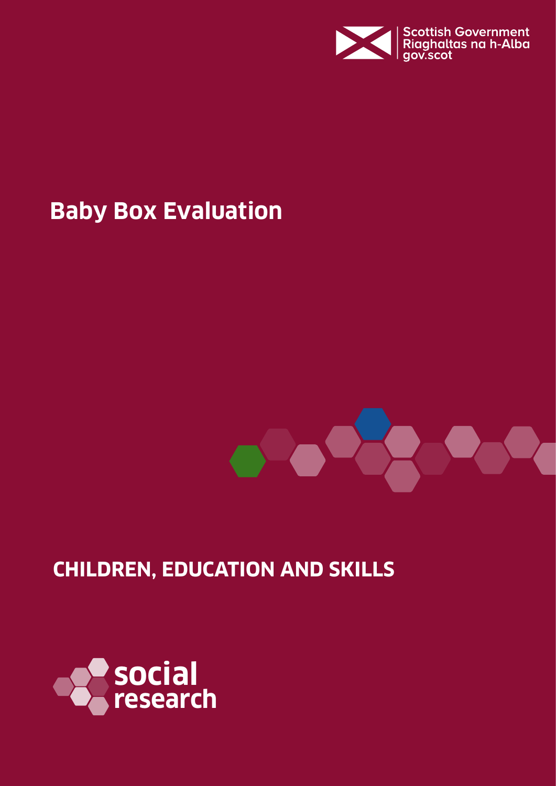

# **Baby Box Evaluation**



# **CHILDREN, EDUCATION AND SKILLS**

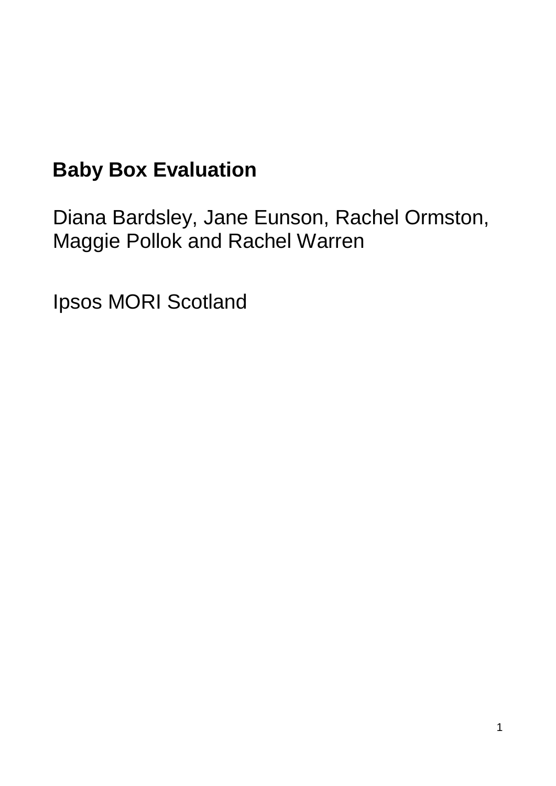# **Baby Box Evaluation**

Diana Bardsley, Jane Eunson, Rachel Ormston, Maggie Pollok and Rachel Warren

Ipsos MORI Scotland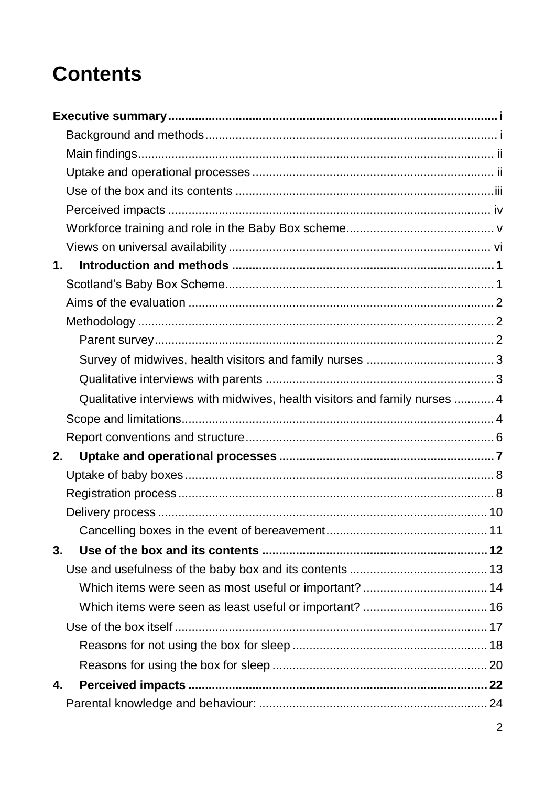# **Contents**

| 1. |                                                                            |  |
|----|----------------------------------------------------------------------------|--|
|    |                                                                            |  |
|    |                                                                            |  |
|    |                                                                            |  |
|    |                                                                            |  |
|    |                                                                            |  |
|    |                                                                            |  |
|    | Qualitative interviews with midwives, health visitors and family nurses  4 |  |
|    |                                                                            |  |
|    |                                                                            |  |
| 2. |                                                                            |  |
|    |                                                                            |  |
|    |                                                                            |  |
|    |                                                                            |  |
|    |                                                                            |  |
| 3. |                                                                            |  |
|    |                                                                            |  |
|    |                                                                            |  |
|    |                                                                            |  |
|    |                                                                            |  |
|    |                                                                            |  |
|    |                                                                            |  |
| 4. |                                                                            |  |
|    |                                                                            |  |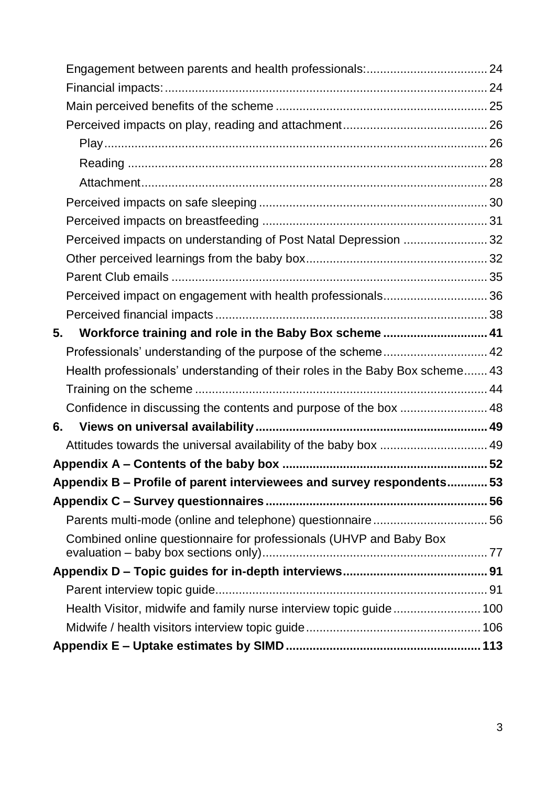| Perceived impacts on understanding of Post Natal Depression  32              |  |
|------------------------------------------------------------------------------|--|
|                                                                              |  |
|                                                                              |  |
| Perceived impact on engagement with health professionals36                   |  |
|                                                                              |  |
| 5.<br>Workforce training and role in the Baby Box scheme 41                  |  |
|                                                                              |  |
| Health professionals' understanding of their roles in the Baby Box scheme 43 |  |
|                                                                              |  |
| Confidence in discussing the contents and purpose of the box  48             |  |
| 6.                                                                           |  |
|                                                                              |  |
|                                                                              |  |
| Appendix B - Profile of parent interviewees and survey respondents 53        |  |
|                                                                              |  |
|                                                                              |  |
| Combined online questionnaire for professionals (UHVP and Baby Box           |  |
|                                                                              |  |
|                                                                              |  |
|                                                                              |  |
|                                                                              |  |
|                                                                              |  |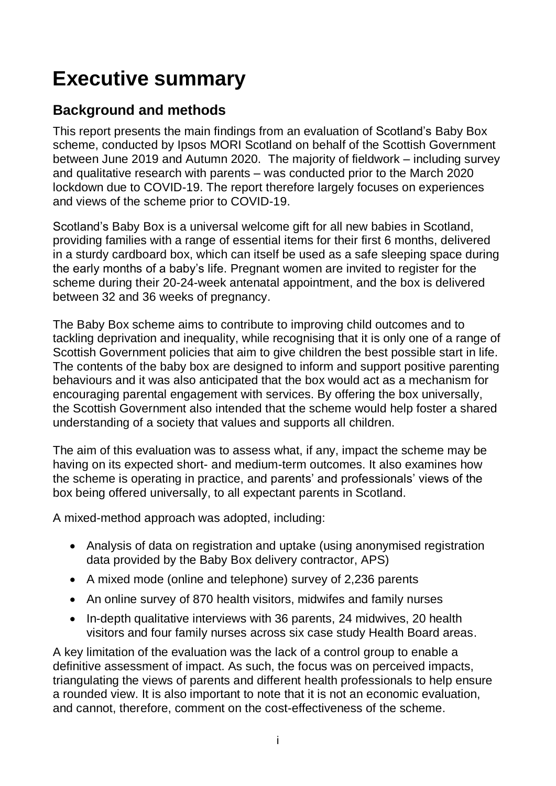# <span id="page-4-0"></span>**Executive summary**

## <span id="page-4-1"></span>**Background and methods**

This report presents the main findings from an evaluation of Scotland's Baby Box scheme, conducted by Ipsos MORI Scotland on behalf of the Scottish Government between June 2019 and Autumn 2020. The majority of fieldwork – including survey and qualitative research with parents – was conducted prior to the March 2020 lockdown due to COVID-19. The report therefore largely focuses on experiences and views of the scheme prior to COVID-19.

Scotland's Baby Box is a universal welcome gift for all new babies in Scotland, providing families with a range of essential items for their first 6 months, delivered in a sturdy cardboard box, which can itself be used as a safe sleeping space during the early months of a baby's life. Pregnant women are invited to register for the scheme during their 20-24-week antenatal appointment, and the box is delivered between 32 and 36 weeks of pregnancy.

The Baby Box scheme aims to contribute to improving child outcomes and to tackling deprivation and inequality, while recognising that it is only one of a range of Scottish Government policies that aim to give children the best possible start in life. The contents of the baby box are designed to inform and support positive parenting behaviours and it was also anticipated that the box would act as a mechanism for encouraging parental engagement with services. By offering the box universally, the Scottish Government also intended that the scheme would help foster a shared understanding of a society that values and supports all children.

The aim of this evaluation was to assess what, if any, impact the scheme may be having on its expected short- and medium-term outcomes. It also examines how the scheme is operating in practice, and parents' and professionals' views of the box being offered universally, to all expectant parents in Scotland.

A mixed-method approach was adopted, including:

- Analysis of data on registration and uptake (using anonymised registration data provided by the Baby Box delivery contractor, APS)
- A mixed mode (online and telephone) survey of 2,236 parents
- An online survey of 870 health visitors, midwifes and family nurses
- In-depth qualitative interviews with 36 parents, 24 midwives, 20 health visitors and four family nurses across six case study Health Board areas.

A key limitation of the evaluation was the lack of a control group to enable a definitive assessment of impact. As such, the focus was on perceived impacts, triangulating the views of parents and different health professionals to help ensure a rounded view. It is also important to note that it is not an economic evaluation, and cannot, therefore, comment on the cost-effectiveness of the scheme.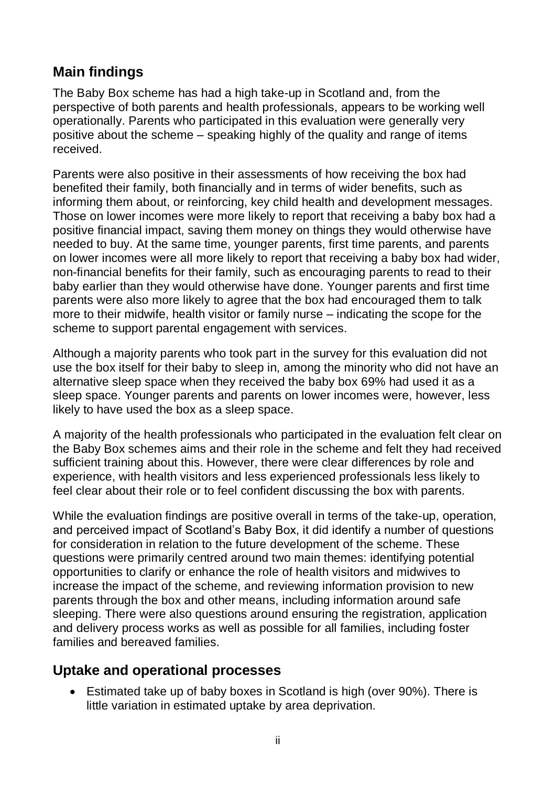## <span id="page-5-0"></span>**Main findings**

The Baby Box scheme has had a high take-up in Scotland and, from the perspective of both parents and health professionals, appears to be working well operationally. Parents who participated in this evaluation were generally very positive about the scheme – speaking highly of the quality and range of items received.

Parents were also positive in their assessments of how receiving the box had benefited their family, both financially and in terms of wider benefits, such as informing them about, or reinforcing, key child health and development messages. Those on lower incomes were more likely to report that receiving a baby box had a positive financial impact, saving them money on things they would otherwise have needed to buy. At the same time, younger parents, first time parents, and parents on lower incomes were all more likely to report that receiving a baby box had wider, non-financial benefits for their family, such as encouraging parents to read to their baby earlier than they would otherwise have done. Younger parents and first time parents were also more likely to agree that the box had encouraged them to talk more to their midwife, health visitor or family nurse – indicating the scope for the scheme to support parental engagement with services.

Although a majority parents who took part in the survey for this evaluation did not use the box itself for their baby to sleep in, among the minority who did not have an alternative sleep space when they received the baby box 69% had used it as a sleep space. Younger parents and parents on lower incomes were, however, less likely to have used the box as a sleep space.

A majority of the health professionals who participated in the evaluation felt clear on the Baby Box schemes aims and their role in the scheme and felt they had received sufficient training about this. However, there were clear differences by role and experience, with health visitors and less experienced professionals less likely to feel clear about their role or to feel confident discussing the box with parents.

While the evaluation findings are positive overall in terms of the take-up, operation, and perceived impact of Scotland's Baby Box, it did identify a number of questions for consideration in relation to the future development of the scheme. These questions were primarily centred around two main themes: identifying potential opportunities to clarify or enhance the role of health visitors and midwives to increase the impact of the scheme, and reviewing information provision to new parents through the box and other means, including information around safe sleeping. There were also questions around ensuring the registration, application and delivery process works as well as possible for all families, including foster families and bereaved families.

### <span id="page-5-1"></span>**Uptake and operational processes**

• Estimated take up of baby boxes in Scotland is high (over 90%). There is little variation in estimated uptake by area deprivation.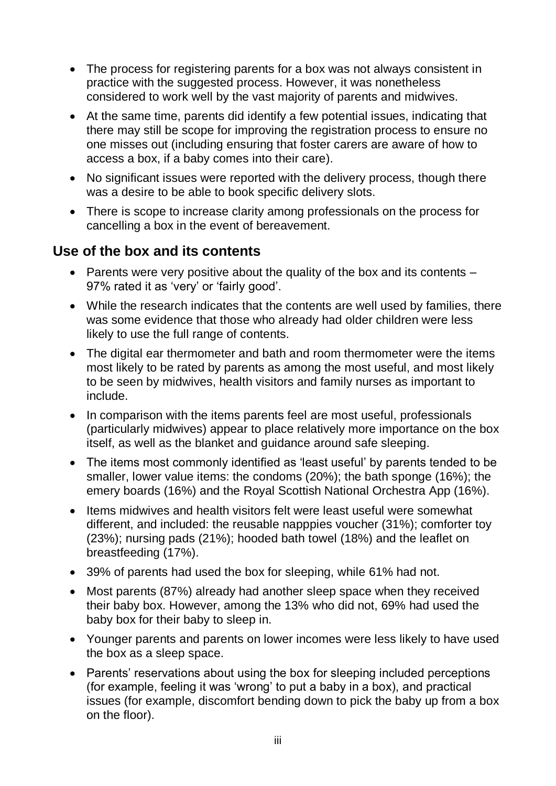- The process for registering parents for a box was not always consistent in practice with the suggested process. However, it was nonetheless considered to work well by the vast majority of parents and midwives.
- At the same time, parents did identify a few potential issues, indicating that there may still be scope for improving the registration process to ensure no one misses out (including ensuring that foster carers are aware of how to access a box, if a baby comes into their care).
- No significant issues were reported with the delivery process, though there was a desire to be able to book specific delivery slots.
- There is scope to increase clarity among professionals on the process for cancelling a box in the event of bereavement.

## <span id="page-6-0"></span>**Use of the box and its contents**

- Parents were very positive about the quality of the box and its contents 97% rated it as 'very' or 'fairly good'.
- While the research indicates that the contents are well used by families, there was some evidence that those who already had older children were less likely to use the full range of contents.
- The digital ear thermometer and bath and room thermometer were the items most likely to be rated by parents as among the most useful, and most likely to be seen by midwives, health visitors and family nurses as important to include.
- In comparison with the items parents feel are most useful, professionals (particularly midwives) appear to place relatively more importance on the box itself, as well as the blanket and guidance around safe sleeping.
- The items most commonly identified as 'least useful' by parents tended to be smaller, lower value items: the condoms (20%); the bath sponge (16%); the emery boards (16%) and the Royal Scottish National Orchestra App (16%).
- Items midwives and health visitors felt were least useful were somewhat different, and included: the reusable napppies voucher (31%); comforter toy (23%); nursing pads (21%); hooded bath towel (18%) and the leaflet on breastfeeding (17%).
- 39% of parents had used the box for sleeping, while 61% had not.
- Most parents (87%) already had another sleep space when they received their baby box. However, among the 13% who did not, 69% had used the baby box for their baby to sleep in.
- Younger parents and parents on lower incomes were less likely to have used the box as a sleep space.
- Parents' reservations about using the box for sleeping included perceptions (for example, feeling it was 'wrong' to put a baby in a box), and practical issues (for example, discomfort bending down to pick the baby up from a box on the floor).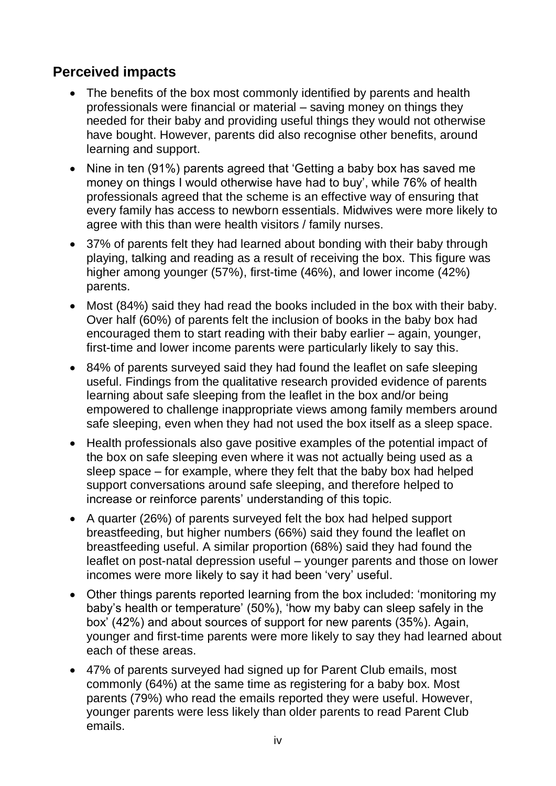## <span id="page-7-0"></span>**Perceived impacts**

- The benefits of the box most commonly identified by parents and health professionals were financial or material – saving money on things they needed for their baby and providing useful things they would not otherwise have bought. However, parents did also recognise other benefits, around learning and support.
- Nine in ten (91%) parents agreed that 'Getting a baby box has saved me money on things I would otherwise have had to buy', while 76% of health professionals agreed that the scheme is an effective way of ensuring that every family has access to newborn essentials. Midwives were more likely to agree with this than were health visitors / family nurses.
- 37% of parents felt they had learned about bonding with their baby through playing, talking and reading as a result of receiving the box. This figure was higher among younger (57%), first-time (46%), and lower income (42%) parents.
- Most (84%) said they had read the books included in the box with their baby. Over half (60%) of parents felt the inclusion of books in the baby box had encouraged them to start reading with their baby earlier – again, younger, first-time and lower income parents were particularly likely to say this.
- 84% of parents surveyed said they had found the leaflet on safe sleeping useful. Findings from the qualitative research provided evidence of parents learning about safe sleeping from the leaflet in the box and/or being empowered to challenge inappropriate views among family members around safe sleeping, even when they had not used the box itself as a sleep space.
- Health professionals also gave positive examples of the potential impact of the box on safe sleeping even where it was not actually being used as a sleep space – for example, where they felt that the baby box had helped support conversations around safe sleeping, and therefore helped to increase or reinforce parents' understanding of this topic.
- A quarter (26%) of parents surveyed felt the box had helped support breastfeeding, but higher numbers (66%) said they found the leaflet on breastfeeding useful. A similar proportion (68%) said they had found the leaflet on post-natal depression useful – younger parents and those on lower incomes were more likely to say it had been 'very' useful.
- Other things parents reported learning from the box included: 'monitoring my baby's health or temperature' (50%), 'how my baby can sleep safely in the box' (42%) and about sources of support for new parents (35%). Again, younger and first-time parents were more likely to say they had learned about each of these areas.
- 47% of parents surveyed had signed up for Parent Club emails, most commonly (64%) at the same time as registering for a baby box. Most parents (79%) who read the emails reported they were useful. However, younger parents were less likely than older parents to read Parent Club emails.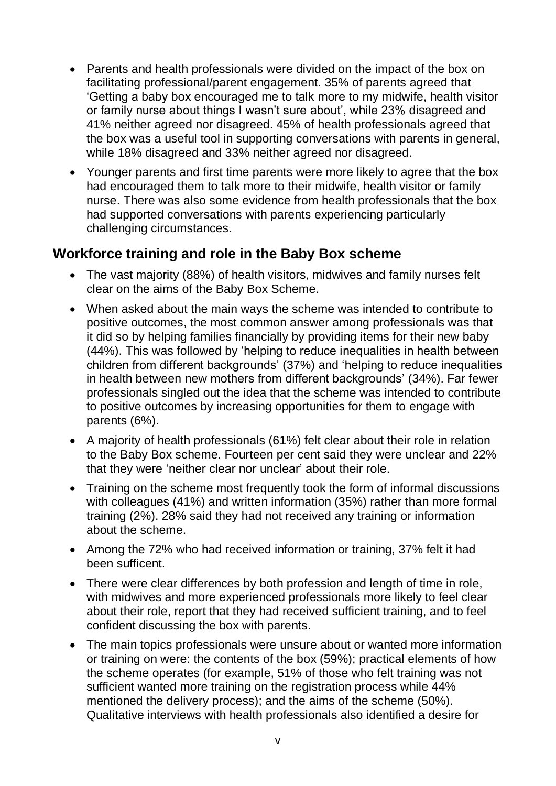- Parents and health professionals were divided on the impact of the box on facilitating professional/parent engagement. 35% of parents agreed that 'Getting a baby box encouraged me to talk more to my midwife, health visitor or family nurse about things I wasn't sure about', while 23% disagreed and 41% neither agreed nor disagreed. 45% of health professionals agreed that the box was a useful tool in supporting conversations with parents in general, while 18% disagreed and 33% neither agreed nor disagreed.
- Younger parents and first time parents were more likely to agree that the box had encouraged them to talk more to their midwife, health visitor or family nurse. There was also some evidence from health professionals that the box had supported conversations with parents experiencing particularly challenging circumstances.

#### <span id="page-8-0"></span>**Workforce training and role in the Baby Box scheme**

- The vast majority (88%) of health visitors, midwives and family nurses felt clear on the aims of the Baby Box Scheme.
- When asked about the main ways the scheme was intended to contribute to positive outcomes, the most common answer among professionals was that it did so by helping families financially by providing items for their new baby (44%). This was followed by 'helping to reduce inequalities in health between children from different backgrounds' (37%) and 'helping to reduce inequalities in health between new mothers from different backgrounds' (34%). Far fewer professionals singled out the idea that the scheme was intended to contribute to positive outcomes by increasing opportunities for them to engage with parents (6%).
- A majority of health professionals (61%) felt clear about their role in relation to the Baby Box scheme. Fourteen per cent said they were unclear and 22% that they were 'neither clear nor unclear' about their role.
- Training on the scheme most frequently took the form of informal discussions with colleagues (41%) and written information (35%) rather than more formal training (2%). 28% said they had not received any training or information about the scheme.
- Among the 72% who had received information or training, 37% felt it had been sufficent.
- There were clear differences by both profession and length of time in role, with midwives and more experienced professionals more likely to feel clear about their role, report that they had received sufficient training, and to feel confident discussing the box with parents.
- The main topics professionals were unsure about or wanted more information or training on were: the contents of the box (59%); practical elements of how the scheme operates (for example, 51% of those who felt training was not sufficient wanted more training on the registration process while 44% mentioned the delivery process); and the aims of the scheme (50%). Qualitative interviews with health professionals also identified a desire for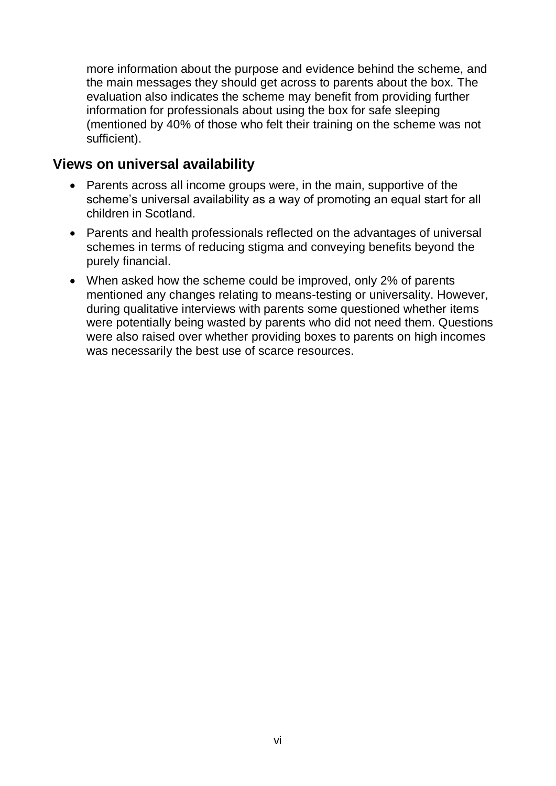more information about the purpose and evidence behind the scheme, and the main messages they should get across to parents about the box. The evaluation also indicates the scheme may benefit from providing further information for professionals about using the box for safe sleeping (mentioned by 40% of those who felt their training on the scheme was not sufficient).

#### <span id="page-9-0"></span>**Views on universal availability**

- Parents across all income groups were, in the main, supportive of the scheme's universal availability as a way of promoting an equal start for all children in Scotland.
- Parents and health professionals reflected on the advantages of universal schemes in terms of reducing stigma and conveying benefits beyond the purely financial.
- When asked how the scheme could be improved, only 2% of parents mentioned any changes relating to means-testing or universality. However, during qualitative interviews with parents some questioned whether items were potentially being wasted by parents who did not need them. Questions were also raised over whether providing boxes to parents on high incomes was necessarily the best use of scarce resources.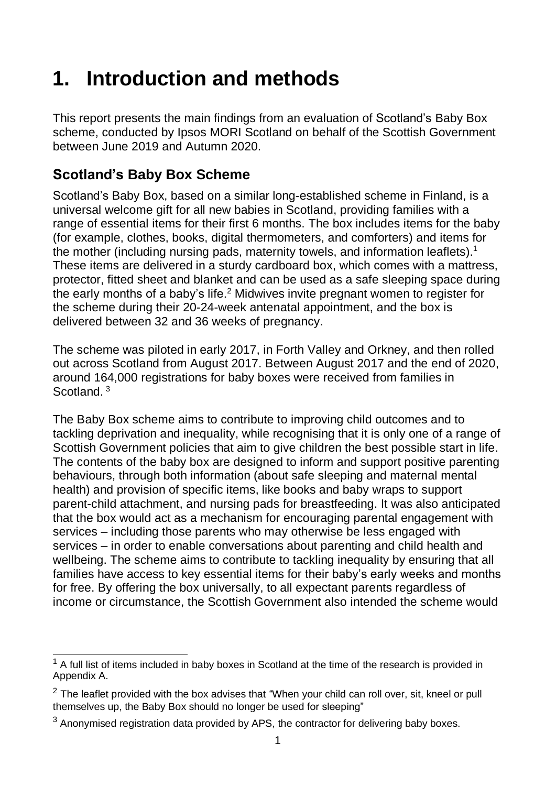# <span id="page-10-0"></span>**1. Introduction and methods**

This report presents the main findings from an evaluation of Scotland's Baby Box scheme, conducted by Ipsos MORI Scotland on behalf of the Scottish Government between June 2019 and Autumn 2020.

## <span id="page-10-1"></span>**Scotland's Baby Box Scheme**

Scotland's Baby Box, based on a similar long-established scheme in Finland, is a universal welcome gift for all new babies in Scotland, providing families with a range of essential items for their first 6 months. The box includes items for the baby (for example, clothes, books, digital thermometers, and comforters) and items for the mother (including nursing pads, maternity towels, and information leaflets).<sup>1</sup> These items are delivered in a sturdy cardboard box, which comes with a mattress, protector, fitted sheet and blanket and can be used as a safe sleeping space during the early months of a baby's life.<sup>2</sup> Midwives invite pregnant women to register for the scheme during their 20-24-week antenatal appointment, and the box is delivered between 32 and 36 weeks of pregnancy.

The scheme was piloted in early 2017, in Forth Valley and Orkney, and then rolled out across Scotland from August 2017. Between August 2017 and the end of 2020, around 164,000 registrations for baby boxes were received from families in Scotland.<sup>3</sup>

The Baby Box scheme aims to contribute to improving child outcomes and to tackling deprivation and inequality, while recognising that it is only one of a range of Scottish Government policies that aim to give children the best possible start in life. The contents of the baby box are designed to inform and support positive parenting behaviours, through both information (about safe sleeping and maternal mental health) and provision of specific items, like books and baby wraps to support parent-child attachment, and nursing pads for breastfeeding. It was also anticipated that the box would act as a mechanism for encouraging parental engagement with services – including those parents who may otherwise be less engaged with services – in order to enable conversations about parenting and child health and wellbeing. The scheme aims to contribute to tackling inequality by ensuring that all families have access to key essential items for their baby's early weeks and months for free. By offering the box universally, to all expectant parents regardless of income or circumstance, the Scottish Government also intended the scheme would

 $\overline{a}$  $1$  A full list of items included in baby boxes in Scotland at the time of the research is provided in Appendix A.

 $2$  The leaflet provided with the box advises that "When your child can roll over, sit, kneel or pull themselves up, the Baby Box should no longer be used for sleeping"

<sup>&</sup>lt;sup>3</sup> Anonymised registration data provided by APS, the contractor for delivering baby boxes.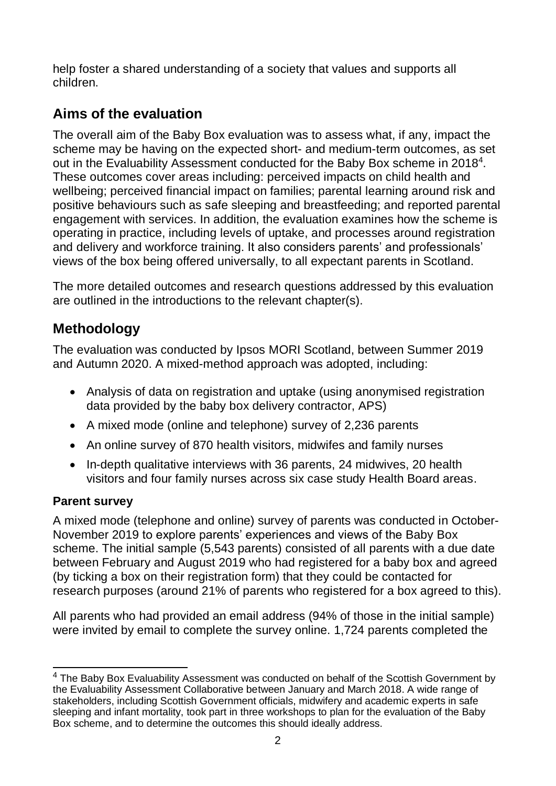help foster a shared understanding of a society that values and supports all children.

# <span id="page-11-0"></span>**Aims of the evaluation**

The overall aim of the Baby Box evaluation was to assess what, if any, impact the scheme may be having on the expected short- and medium-term outcomes, as set out in the Evaluability Assessment conducted for the Baby Box scheme in 2018<sup>4</sup>. These outcomes cover areas including: perceived impacts on child health and wellbeing; perceived financial impact on families; parental learning around risk and positive behaviours such as safe sleeping and breastfeeding; and reported parental engagement with services. In addition, the evaluation examines how the scheme is operating in practice, including levels of uptake, and processes around registration and delivery and workforce training. It also considers parents' and professionals' views of the box being offered universally, to all expectant parents in Scotland.

The more detailed outcomes and research questions addressed by this evaluation are outlined in the introductions to the relevant chapter(s).

# <span id="page-11-1"></span>**Methodology**

The evaluation was conducted by Ipsos MORI Scotland, between Summer 2019 and Autumn 2020. A mixed-method approach was adopted, including:

- Analysis of data on registration and uptake (using anonymised registration data provided by the baby box delivery contractor, APS)
- A mixed mode (online and telephone) survey of 2,236 parents
- An online survey of 870 health visitors, midwifes and family nurses
- In-depth qualitative interviews with 36 parents, 24 midwives, 20 health visitors and four family nurses across six case study Health Board areas.

### <span id="page-11-2"></span>**Parent survey**

A mixed mode (telephone and online) survey of parents was conducted in October-November 2019 to explore parents' experiences and views of the Baby Box scheme. The initial sample (5,543 parents) consisted of all parents with a due date between February and August 2019 who had registered for a baby box and agreed (by ticking a box on their registration form) that they could be contacted for research purposes (around 21% of parents who registered for a box agreed to this).

All parents who had provided an email address (94% of those in the initial sample) were invited by email to complete the survey online. 1,724 parents completed the

 $\overline{a}$  $4$  The Baby Box Evaluability Assessment was conducted on behalf of the Scottish Government by the Evaluability Assessment Collaborative between January and March 2018. A wide range of stakeholders, including Scottish Government officials, midwifery and academic experts in safe sleeping and infant mortality, took part in three workshops to plan for the evaluation of the Baby Box scheme, and to determine the outcomes this should ideally address.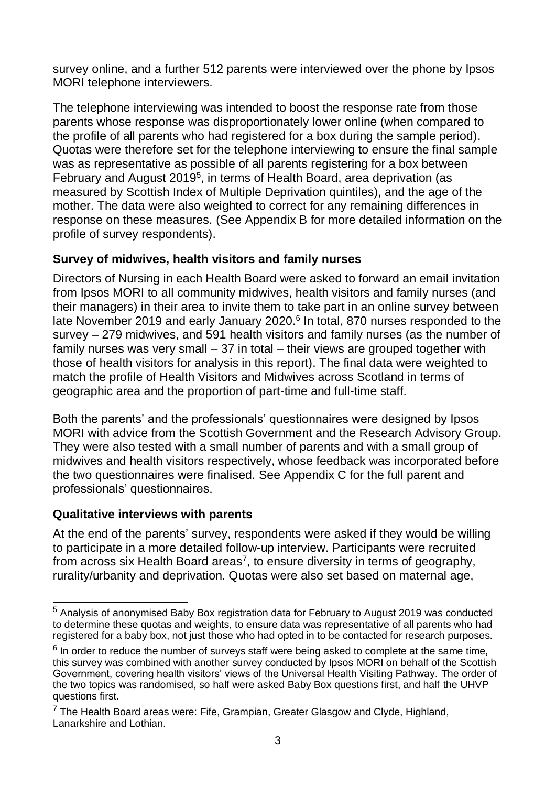survey online, and a further 512 parents were interviewed over the phone by Ipsos MORI telephone interviewers.

The telephone interviewing was intended to boost the response rate from those parents whose response was disproportionately lower online (when compared to the profile of all parents who had registered for a box during the sample period). Quotas were therefore set for the telephone interviewing to ensure the final sample was as representative as possible of all parents registering for a box between February and August 2019<sup>5</sup>, in terms of Health Board, area deprivation (as measured by Scottish Index of Multiple Deprivation quintiles), and the age of the mother. The data were also weighted to correct for any remaining differences in response on these measures. (See Appendix B for more detailed information on the profile of survey respondents).

#### <span id="page-12-0"></span>**Survey of midwives, health visitors and family nurses**

Directors of Nursing in each Health Board were asked to forward an email invitation from Ipsos MORI to all community midwives, health visitors and family nurses (and their managers) in their area to invite them to take part in an online survey between late November 2019 and early January 2020.<sup>6</sup> In total, 870 nurses responded to the survey – 279 midwives, and 591 health visitors and family nurses (as the number of family nurses was very small – 37 in total – their views are grouped together with those of health visitors for analysis in this report). The final data were weighted to match the profile of Health Visitors and Midwives across Scotland in terms of geographic area and the proportion of part-time and full-time staff.

Both the parents' and the professionals' questionnaires were designed by Ipsos MORI with advice from the Scottish Government and the Research Advisory Group. They were also tested with a small number of parents and with a small group of midwives and health visitors respectively, whose feedback was incorporated before the two questionnaires were finalised. See Appendix C for the full parent and professionals' questionnaires.

#### <span id="page-12-1"></span>**Qualitative interviews with parents**

At the end of the parents' survey, respondents were asked if they would be willing to participate in a more detailed follow-up interview. Participants were recruited from across six Health Board areas<sup>7</sup>, to ensure diversity in terms of geography, rurality/urbanity and deprivation. Quotas were also set based on maternal age,

 $\overline{a}$  $5$  Analysis of anonymised Baby Box registration data for February to August 2019 was conducted to determine these quotas and weights, to ensure data was representative of all parents who had registered for a baby box, not just those who had opted in to be contacted for research purposes.

 $<sup>6</sup>$  In order to reduce the number of surveys staff were being asked to complete at the same time,</sup> this survey was combined with another survey conducted by Ipsos MORI on behalf of the Scottish Government, covering health visitors' views of the Universal Health Visiting Pathway. The order of the two topics was randomised, so half were asked Baby Box questions first, and half the UHVP questions first.

 $7$  The Health Board areas were: Fife, Grampian, Greater Glasgow and Clyde, Highland, Lanarkshire and Lothian.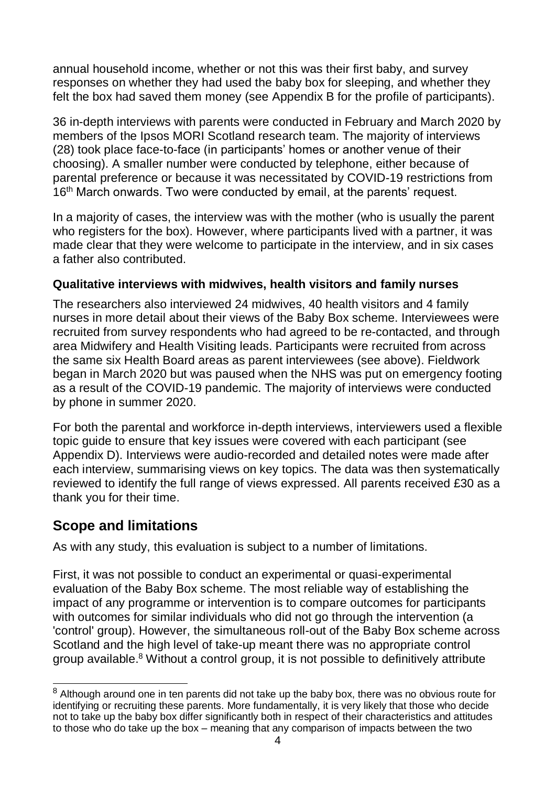annual household income, whether or not this was their first baby, and survey responses on whether they had used the baby box for sleeping, and whether they felt the box had saved them money (see Appendix B for the profile of participants).

36 in-depth interviews with parents were conducted in February and March 2020 by members of the Ipsos MORI Scotland research team. The majority of interviews (28) took place face-to-face (in participants' homes or another venue of their choosing). A smaller number were conducted by telephone, either because of parental preference or because it was necessitated by COVID-19 restrictions from 16<sup>th</sup> March onwards. Two were conducted by email, at the parents' request.

In a majority of cases, the interview was with the mother (who is usually the parent who registers for the box). However, where participants lived with a partner, it was made clear that they were welcome to participate in the interview, and in six cases a father also contributed.

#### <span id="page-13-0"></span>**Qualitative interviews with midwives, health visitors and family nurses**

The researchers also interviewed 24 midwives, 40 health visitors and 4 family nurses in more detail about their views of the Baby Box scheme. Interviewees were recruited from survey respondents who had agreed to be re-contacted, and through area Midwifery and Health Visiting leads. Participants were recruited from across the same six Health Board areas as parent interviewees (see above). Fieldwork began in March 2020 but was paused when the NHS was put on emergency footing as a result of the COVID-19 pandemic. The majority of interviews were conducted by phone in summer 2020.

For both the parental and workforce in-depth interviews, interviewers used a flexible topic guide to ensure that key issues were covered with each participant (see Appendix D). Interviews were audio-recorded and detailed notes were made after each interview, summarising views on key topics. The data was then systematically reviewed to identify the full range of views expressed. All parents received £30 as a thank you for their time.

### <span id="page-13-1"></span>**Scope and limitations**

As with any study, this evaluation is subject to a number of limitations.

First, it was not possible to conduct an experimental or quasi-experimental evaluation of the Baby Box scheme. The most reliable way of establishing the impact of any programme or intervention is to compare outcomes for participants with outcomes for similar individuals who did not go through the intervention (a 'control' group). However, the simultaneous roll-out of the Baby Box scheme across Scotland and the high level of take-up meant there was no appropriate control group available. <sup>8</sup> Without a control group, it is not possible to definitively attribute

 $\overline{a}$  $8$  Although around one in ten parents did not take up the baby box, there was no obvious route for identifying or recruiting these parents. More fundamentally, it is very likely that those who decide not to take up the baby box differ significantly both in respect of their characteristics and attitudes to those who do take up the box – meaning that any comparison of impacts between the two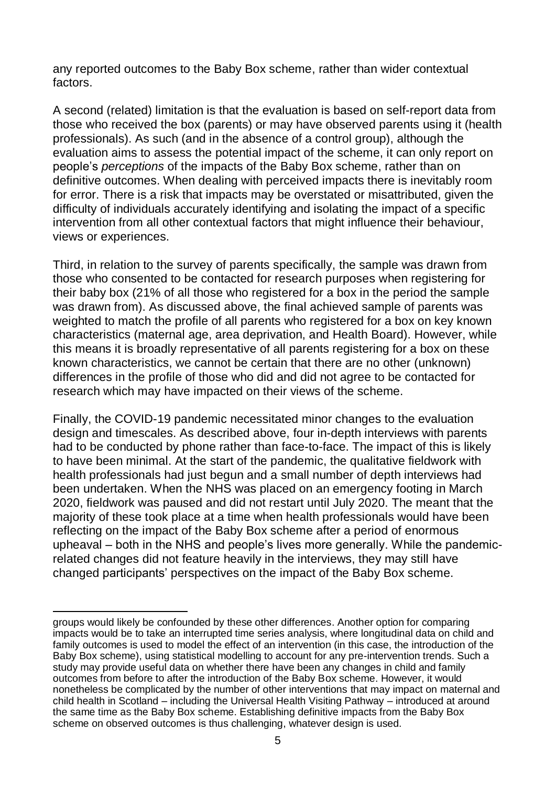any reported outcomes to the Baby Box scheme, rather than wider contextual factors.

A second (related) limitation is that the evaluation is based on self-report data from those who received the box (parents) or may have observed parents using it (health professionals). As such (and in the absence of a control group), although the evaluation aims to assess the potential impact of the scheme, it can only report on people's *perceptions* of the impacts of the Baby Box scheme, rather than on definitive outcomes. When dealing with perceived impacts there is inevitably room for error. There is a risk that impacts may be overstated or misattributed, given the difficulty of individuals accurately identifying and isolating the impact of a specific intervention from all other contextual factors that might influence their behaviour, views or experiences.

Third, in relation to the survey of parents specifically, the sample was drawn from those who consented to be contacted for research purposes when registering for their baby box (21% of all those who registered for a box in the period the sample was drawn from). As discussed above, the final achieved sample of parents was weighted to match the profile of all parents who registered for a box on key known characteristics (maternal age, area deprivation, and Health Board). However, while this means it is broadly representative of all parents registering for a box on these known characteristics, we cannot be certain that there are no other (unknown) differences in the profile of those who did and did not agree to be contacted for research which may have impacted on their views of the scheme.

Finally, the COVID-19 pandemic necessitated minor changes to the evaluation design and timescales. As described above, four in-depth interviews with parents had to be conducted by phone rather than face-to-face. The impact of this is likely to have been minimal. At the start of the pandemic, the qualitative fieldwork with health professionals had just begun and a small number of depth interviews had been undertaken. When the NHS was placed on an emergency footing in March 2020, fieldwork was paused and did not restart until July 2020. The meant that the majority of these took place at a time when health professionals would have been reflecting on the impact of the Baby Box scheme after a period of enormous upheaval – both in the NHS and people's lives more generally. While the pandemicrelated changes did not feature heavily in the interviews, they may still have changed participants' perspectives on the impact of the Baby Box scheme.

l groups would likely be confounded by these other differences. Another option for comparing impacts would be to take an interrupted time series analysis, where longitudinal data on child and family outcomes is used to model the effect of an intervention (in this case, the introduction of the Baby Box scheme), using statistical modelling to account for any pre-intervention trends. Such a study may provide useful data on whether there have been any changes in child and family outcomes from before to after the introduction of the Baby Box scheme. However, it would nonetheless be complicated by the number of other interventions that may impact on maternal and child health in Scotland – including the Universal Health Visiting Pathway – introduced at around the same time as the Baby Box scheme. Establishing definitive impacts from the Baby Box scheme on observed outcomes is thus challenging, whatever design is used.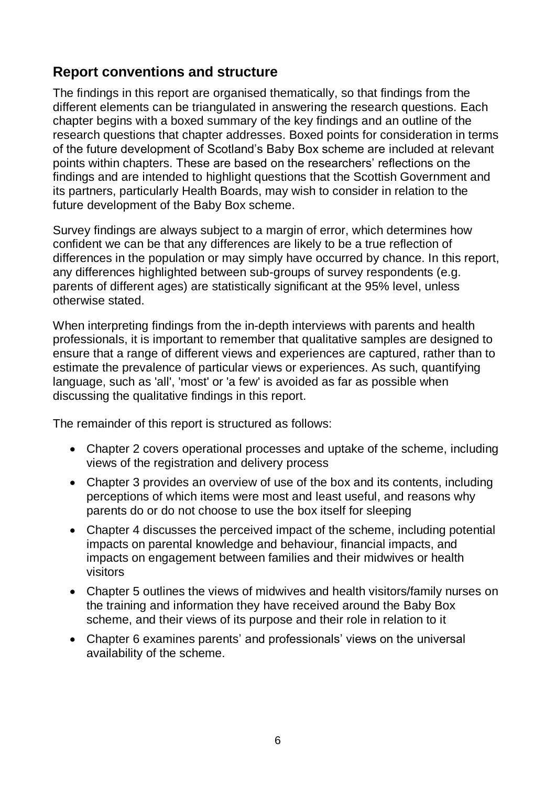### <span id="page-15-0"></span>**Report conventions and structure**

The findings in this report are organised thematically, so that findings from the different elements can be triangulated in answering the research questions. Each chapter begins with a boxed summary of the key findings and an outline of the research questions that chapter addresses. Boxed points for consideration in terms of the future development of Scotland's Baby Box scheme are included at relevant points within chapters. These are based on the researchers' reflections on the findings and are intended to highlight questions that the Scottish Government and its partners, particularly Health Boards, may wish to consider in relation to the future development of the Baby Box scheme.

Survey findings are always subject to a margin of error, which determines how confident we can be that any differences are likely to be a true reflection of differences in the population or may simply have occurred by chance. In this report, any differences highlighted between sub-groups of survey respondents (e.g. parents of different ages) are statistically significant at the 95% level, unless otherwise stated.

When interpreting findings from the in-depth interviews with parents and health professionals, it is important to remember that qualitative samples are designed to ensure that a range of different views and experiences are captured, rather than to estimate the prevalence of particular views or experiences. As such, quantifying language, such as 'all', 'most' or 'a few' is avoided as far as possible when discussing the qualitative findings in this report.

The remainder of this report is structured as follows:

- Chapter 2 covers operational processes and uptake of the scheme, including views of the registration and delivery process
- Chapter 3 provides an overview of use of the box and its contents, including perceptions of which items were most and least useful, and reasons why parents do or do not choose to use the box itself for sleeping
- Chapter 4 discusses the perceived impact of the scheme, including potential impacts on parental knowledge and behaviour, financial impacts, and impacts on engagement between families and their midwives or health visitors
- Chapter 5 outlines the views of midwives and health visitors/family nurses on the training and information they have received around the Baby Box scheme, and their views of its purpose and their role in relation to it
- Chapter 6 examines parents' and professionals' views on the universal availability of the scheme.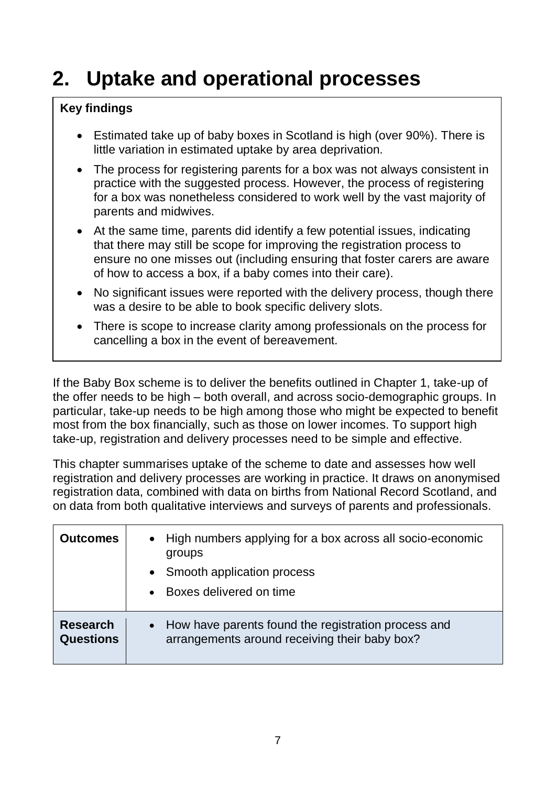# <span id="page-16-0"></span>**2. Uptake and operational processes**

#### **Key findings**

- Estimated take up of baby boxes in Scotland is high (over 90%). There is little variation in estimated uptake by area deprivation.
- The process for registering parents for a box was not always consistent in practice with the suggested process. However, the process of registering for a box was nonetheless considered to work well by the vast majority of parents and midwives.
- At the same time, parents did identify a few potential issues, indicating that there may still be scope for improving the registration process to ensure no one misses out (including ensuring that foster carers are aware of how to access a box, if a baby comes into their care).
- No significant issues were reported with the delivery process, though there was a desire to be able to book specific delivery slots.
- There is scope to increase clarity among professionals on the process for cancelling a box in the event of bereavement.

If the Baby Box scheme is to deliver the benefits outlined in Chapter 1, take-up of the offer needs to be high – both overall, and across socio-demographic groups. In particular, take-up needs to be high among those who might be expected to benefit most from the box financially, such as those on lower incomes. To support high take-up, registration and delivery processes need to be simple and effective.

This chapter summarises uptake of the scheme to date and assesses how well registration and delivery processes are working in practice. It draws on anonymised registration data, combined with data on births from National Record Scotland, and on data from both qualitative interviews and surveys of parents and professionals.

| <b>Outcomes</b>              | High numbers applying for a box across all socio-economic<br>$\bullet$<br>groups<br>Smooth application process<br>$\bullet$<br>Boxes delivered on time |
|------------------------------|--------------------------------------------------------------------------------------------------------------------------------------------------------|
| <b>Research</b><br>Questions | How have parents found the registration process and<br>$\bullet$<br>arrangements around receiving their baby box?                                      |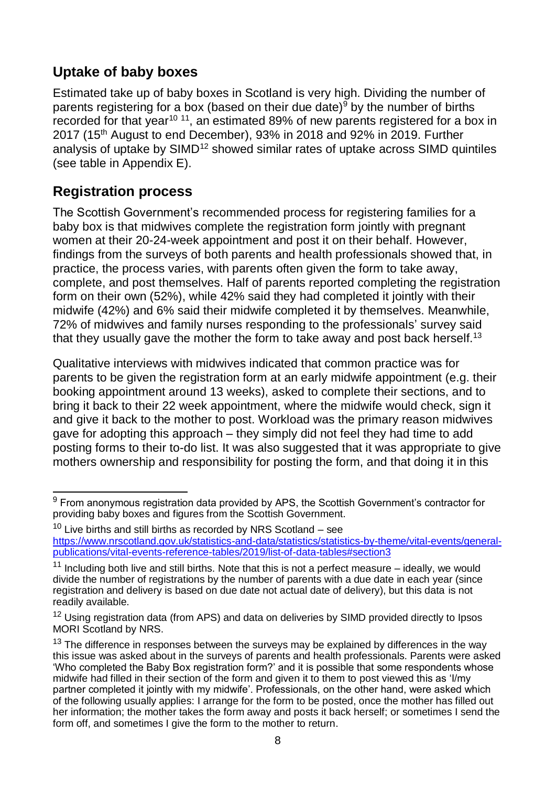## <span id="page-17-0"></span>**Uptake of baby boxes**

Estimated take up of baby boxes in Scotland is very high. Dividing the number of parents registering for a box (based on their due date) $9$  by the number of births recorded for that year<sup>10 11</sup>, an estimated 89% of new parents registered for a box in 2017 (15th August to end December), 93% in 2018 and 92% in 2019. Further analysis of uptake by SIMD<sup>12</sup> showed similar rates of uptake across SIMD quintiles (see table in Appendix E).

## <span id="page-17-1"></span>**Registration process**

The Scottish Government's recommended process for registering families for a baby box is that midwives complete the registration form jointly with pregnant women at their 20-24-week appointment and post it on their behalf. However, findings from the surveys of both parents and health professionals showed that, in practice, the process varies, with parents often given the form to take away, complete, and post themselves. Half of parents reported completing the registration form on their own (52%), while 42% said they had completed it jointly with their midwife (42%) and 6% said their midwife completed it by themselves. Meanwhile, 72% of midwives and family nurses responding to the professionals' survey said that they usually gave the mother the form to take away and post back herself.<sup>13</sup>

Qualitative interviews with midwives indicated that common practice was for parents to be given the registration form at an early midwife appointment (e.g. their booking appointment around 13 weeks), asked to complete their sections, and to bring it back to their 22 week appointment, where the midwife would check, sign it and give it back to the mother to post. Workload was the primary reason midwives gave for adopting this approach – they simply did not feel they had time to add posting forms to their to-do list. It was also suggested that it was appropriate to give mothers ownership and responsibility for posting the form, and that doing it in this

 $\overline{a}$  $^9$  From anonymous registration data provided by APS, the Scottish Government's contractor for providing baby boxes and figures from the Scottish Government.

 $10$  Live births and still births as recorded by NRS Scotland – see [https://www.nrscotland.gov.uk/statistics-and-data/statistics/statistics-by-theme/vital-events/general](https://www.nrscotland.gov.uk/statistics-and-data/statistics/statistics-by-theme/vital-events/general-publications/vital-events-reference-tables/2019/list-of-data-tables#section3)[publications/vital-events-reference-tables/2019/list-of-data-tables#section3](https://www.nrscotland.gov.uk/statistics-and-data/statistics/statistics-by-theme/vital-events/general-publications/vital-events-reference-tables/2019/list-of-data-tables#section3)

 $11$  Including both live and still births. Note that this is not a perfect measure – ideally, we would divide the number of registrations by the number of parents with a due date in each year (since registration and delivery is based on due date not actual date of delivery), but this data is not readily available.

<sup>&</sup>lt;sup>12</sup> Using registration data (from APS) and data on deliveries by SIMD provided directly to Ipsos MORI Scotland by NRS.

 $13$  The difference in responses between the surveys may be explained by differences in the way this issue was asked about in the surveys of parents and health professionals. Parents were asked 'Who completed the Baby Box registration form?' and it is possible that some respondents whose midwife had filled in their section of the form and given it to them to post viewed this as 'I/my partner completed it jointly with my midwife'. Professionals, on the other hand, were asked which of the following usually applies: I arrange for the form to be posted, once the mother has filled out her information; the mother takes the form away and posts it back herself; or sometimes I send the form off, and sometimes I give the form to the mother to return.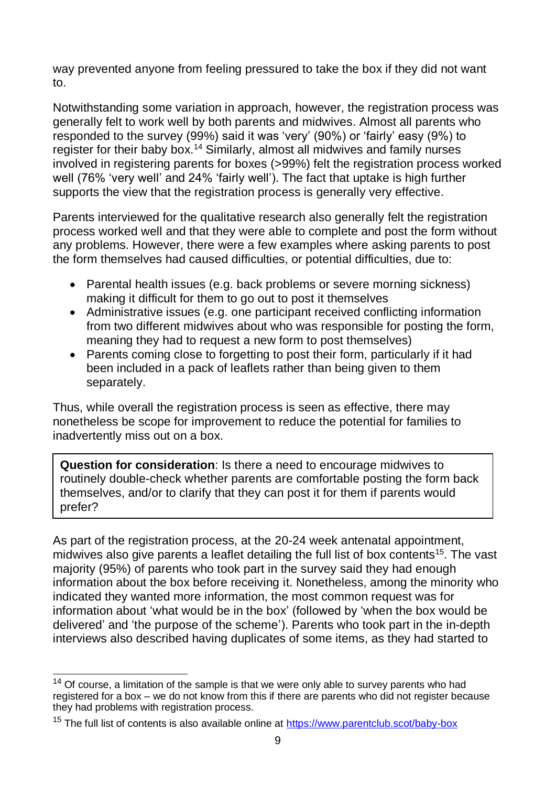way prevented anyone from feeling pressured to take the box if they did not want to.

Notwithstanding some variation in approach, however, the registration process was generally felt to work well by both parents and midwives. Almost all parents who responded to the survey (99%) said it was 'very' (90%) or 'fairly' easy (9%) to register for their baby box.<sup>14</sup> Similarly, almost all midwives and family nurses involved in registering parents for boxes (>99%) felt the registration process worked well (76% 'very well' and 24% 'fairly well'). The fact that uptake is high further supports the view that the registration process is generally very effective.

Parents interviewed for the qualitative research also generally felt the registration process worked well and that they were able to complete and post the form without any problems. However, there were a few examples where asking parents to post the form themselves had caused difficulties, or potential difficulties, due to:

- Parental health issues (e.g. back problems or severe morning sickness) making it difficult for them to go out to post it themselves
- Administrative issues (e.g. one participant received conflicting information from two different midwives about who was responsible for posting the form, meaning they had to request a new form to post themselves)
- Parents coming close to forgetting to post their form, particularly if it had been included in a pack of leaflets rather than being given to them separately.

Thus, while overall the registration process is seen as effective, there may nonetheless be scope for improvement to reduce the potential for families to inadvertently miss out on a box.

**Question for consideration**: Is there a need to encourage midwives to routinely double-check whether parents are comfortable posting the form back themselves, and/or to clarify that they can post it for them if parents would prefer?

As part of the registration process, at the 20-24 week antenatal appointment, midwives also give parents a leaflet detailing the full list of box contents<sup>15</sup>. The vast majority (95%) of parents who took part in the survey said they had enough information about the box before receiving it. Nonetheless, among the minority who indicated they wanted more information, the most common request was for information about 'what would be in the box' (followed by 'when the box would be delivered' and 'the purpose of the scheme'). Parents who took part in the in-depth interviews also described having duplicates of some items, as they had started to

 $\overline{\phantom{a}}$  $14$  Of course, a limitation of the sample is that we were only able to survey parents who had registered for a box – we do not know from this if there are parents who did not register because they had problems with registration process.

<sup>&</sup>lt;sup>15</sup> The full list of contents is also available online at<https://www.parentclub.scot/baby-box>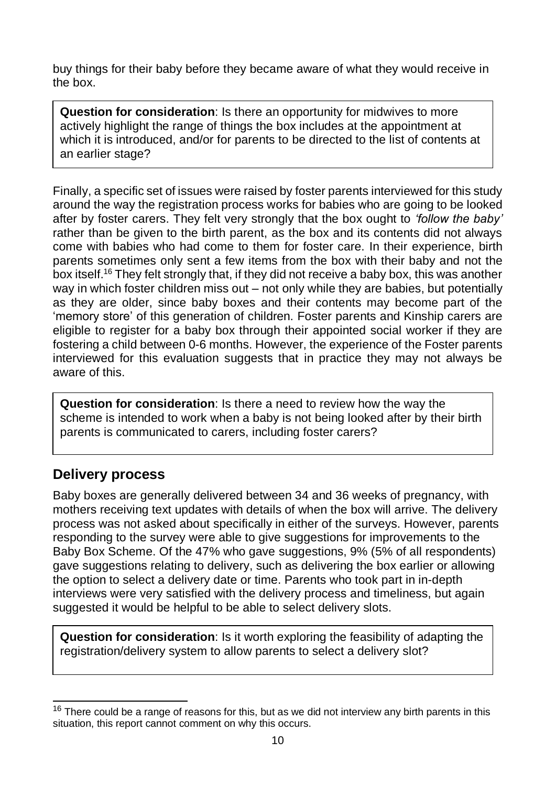buy things for their baby before they became aware of what they would receive in the box.

**Question for consideration**: Is there an opportunity for midwives to more actively highlight the range of things the box includes at the appointment at which it is introduced, and/or for parents to be directed to the list of contents at an earlier stage?

Finally, a specific set of issues were raised by foster parents interviewed for this study around the way the registration process works for babies who are going to be looked after by foster carers. They felt very strongly that the box ought to *'follow the baby'* rather than be given to the birth parent, as the box and its contents did not always come with babies who had come to them for foster care. In their experience, birth parents sometimes only sent a few items from the box with their baby and not the box itself.<sup>16</sup> They felt strongly that, if they did not receive a baby box, this was another way in which foster children miss out – not only while they are babies, but potentially as they are older, since baby boxes and their contents may become part of the 'memory store' of this generation of children. Foster parents and Kinship carers are eligible to register for a baby box through their appointed social worker if they are fostering a child between 0-6 months. However, the experience of the Foster parents interviewed for this evaluation suggests that in practice they may not always be aware of this.

**Question for consideration**: Is there a need to review how the way the scheme is intended to work when a baby is not being looked after by their birth parents is communicated to carers, including foster carers?

### <span id="page-19-0"></span>**Delivery process**

Baby boxes are generally delivered between 34 and 36 weeks of pregnancy, with mothers receiving text updates with details of when the box will arrive. The delivery process was not asked about specifically in either of the surveys. However, parents responding to the survey were able to give suggestions for improvements to the Baby Box Scheme. Of the 47% who gave suggestions, 9% (5% of all respondents) gave suggestions relating to delivery, such as delivering the box earlier or allowing the option to select a delivery date or time. Parents who took part in in-depth interviews were very satisfied with the delivery process and timeliness, but again suggested it would be helpful to be able to select delivery slots.

**Question for consideration**: Is it worth exploring the feasibility of adapting the registration/delivery system to allow parents to select a delivery slot?

 $\overline{a}$  $16$  There could be a range of reasons for this, but as we did not interview any birth parents in this situation, this report cannot comment on why this occurs.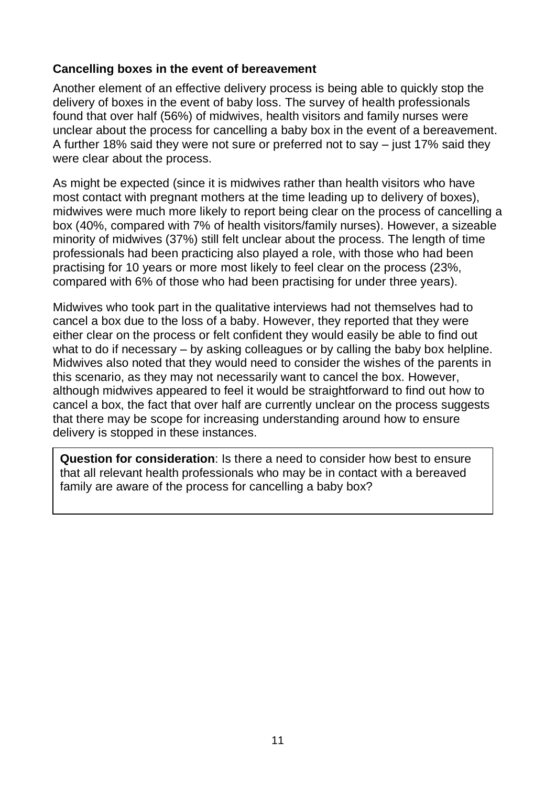#### <span id="page-20-0"></span>**Cancelling boxes in the event of bereavement**

Another element of an effective delivery process is being able to quickly stop the delivery of boxes in the event of baby loss. The survey of health professionals found that over half (56%) of midwives, health visitors and family nurses were unclear about the process for cancelling a baby box in the event of a bereavement. A further 18% said they were not sure or preferred not to say – just 17% said they were clear about the process.

As might be expected (since it is midwives rather than health visitors who have most contact with pregnant mothers at the time leading up to delivery of boxes), midwives were much more likely to report being clear on the process of cancelling a box (40%, compared with 7% of health visitors/family nurses). However, a sizeable minority of midwives (37%) still felt unclear about the process. The length of time professionals had been practicing also played a role, with those who had been practising for 10 years or more most likely to feel clear on the process (23%, compared with 6% of those who had been practising for under three years).

Midwives who took part in the qualitative interviews had not themselves had to cancel a box due to the loss of a baby. However, they reported that they were either clear on the process or felt confident they would easily be able to find out what to do if necessary – by asking colleagues or by calling the baby box helpline. Midwives also noted that they would need to consider the wishes of the parents in this scenario, as they may not necessarily want to cancel the box. However, although midwives appeared to feel it would be straightforward to find out how to cancel a box, the fact that over half are currently unclear on the process suggests that there may be scope for increasing understanding around how to ensure delivery is stopped in these instances.

**Question for consideration**: Is there a need to consider how best to ensure that all relevant health professionals who may be in contact with a bereaved family are aware of the process for cancelling a baby box?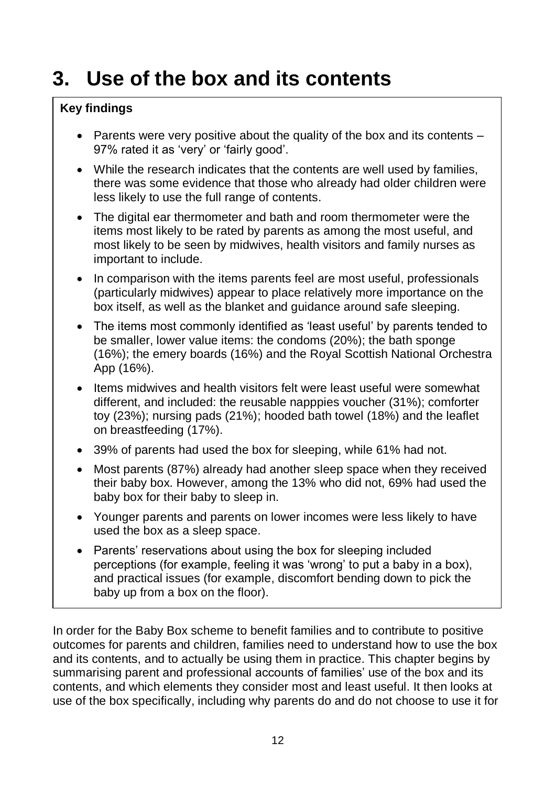# <span id="page-21-0"></span>**3. Use of the box and its contents**

#### **Key findings**

- Parents were very positive about the quality of the box and its contents 97% rated it as 'very' or 'fairly good'.
- While the research indicates that the contents are well used by families, there was some evidence that those who already had older children were less likely to use the full range of contents.
- The digital ear thermometer and bath and room thermometer were the items most likely to be rated by parents as among the most useful, and most likely to be seen by midwives, health visitors and family nurses as important to include.
- In comparison with the items parents feel are most useful, professionals (particularly midwives) appear to place relatively more importance on the box itself, as well as the blanket and guidance around safe sleeping.
- The items most commonly identified as 'least useful' by parents tended to be smaller, lower value items: the condoms (20%); the bath sponge (16%); the emery boards (16%) and the Royal Scottish National Orchestra App (16%).
- Items midwives and health visitors felt were least useful were somewhat different, and included: the reusable napppies voucher (31%); comforter toy (23%); nursing pads (21%); hooded bath towel (18%) and the leaflet on breastfeeding (17%).
- 39% of parents had used the box for sleeping, while 61% had not.
- Most parents (87%) already had another sleep space when they received their baby box. However, among the 13% who did not, 69% had used the baby box for their baby to sleep in.
- Younger parents and parents on lower incomes were less likely to have used the box as a sleep space.
- Parents' reservations about using the box for sleeping included perceptions (for example, feeling it was 'wrong' to put a baby in a box), and practical issues (for example, discomfort bending down to pick the baby up from a box on the floor).

In order for the Baby Box scheme to benefit families and to contribute to positive outcomes for parents and children, families need to understand how to use the box and its contents, and to actually be using them in practice. This chapter begins by summarising parent and professional accounts of families' use of the box and its contents, and which elements they consider most and least useful. It then looks at use of the box specifically, including why parents do and do not choose to use it for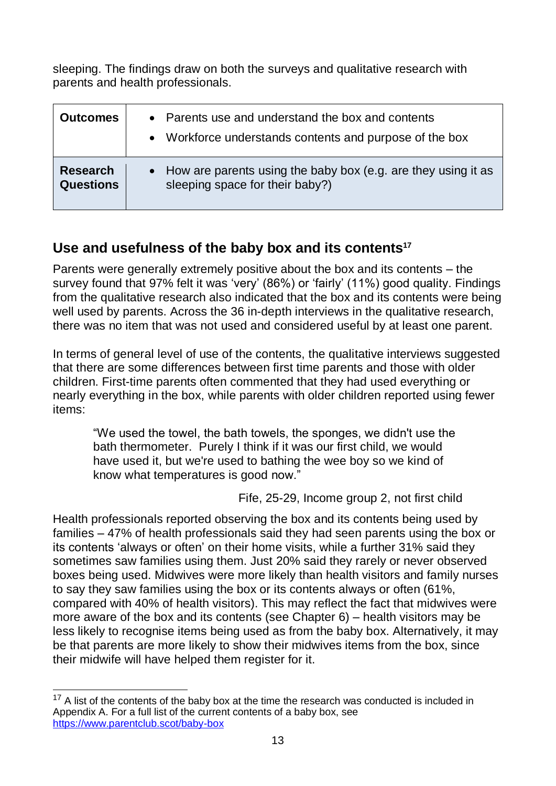sleeping. The findings draw on both the surveys and qualitative research with parents and health professionals.

| Outcomes         | • Parents use and understand the box and contents<br>• Workforce understands contents and purpose of the box |
|------------------|--------------------------------------------------------------------------------------------------------------|
| <b>Research</b>  | • How are parents using the baby box (e.g. are they using it as                                              |
| <b>Questions</b> | sleeping space for their baby?)                                                                              |

## <span id="page-22-0"></span>**Use and usefulness of the baby box and its contents<sup>17</sup>**

Parents were generally extremely positive about the box and its contents – the survey found that 97% felt it was 'very' (86%) or 'fairly' (11%) good quality. Findings from the qualitative research also indicated that the box and its contents were being well used by parents. Across the 36 in-depth interviews in the qualitative research, there was no item that was not used and considered useful by at least one parent.

In terms of general level of use of the contents, the qualitative interviews suggested that there are some differences between first time parents and those with older children. First-time parents often commented that they had used everything or nearly everything in the box, while parents with older children reported using fewer items:

"We used the towel, the bath towels, the sponges, we didn't use the bath thermometer. Purely I think if it was our first child, we would have used it, but we're used to bathing the wee boy so we kind of know what temperatures is good now."

Fife, 25-29, Income group 2, not first child

Health professionals reported observing the box and its contents being used by families – 47% of health professionals said they had seen parents using the box or its contents 'always or often' on their home visits, while a further 31% said they sometimes saw families using them. Just 20% said they rarely or never observed boxes being used. Midwives were more likely than health visitors and family nurses to say they saw families using the box or its contents always or often (61%, compared with 40% of health visitors). This may reflect the fact that midwives were more aware of the box and its contents (see Chapter 6) – health visitors may be less likely to recognise items being used as from the baby box. Alternatively, it may be that parents are more likely to show their midwives items from the box, since their midwife will have helped them register for it.

 $\overline{a}$  $17$  A list of the contents of the baby box at the time the research was conducted is included in Appendix A. For a full list of the current contents of a baby box, see <https://www.parentclub.scot/baby-box>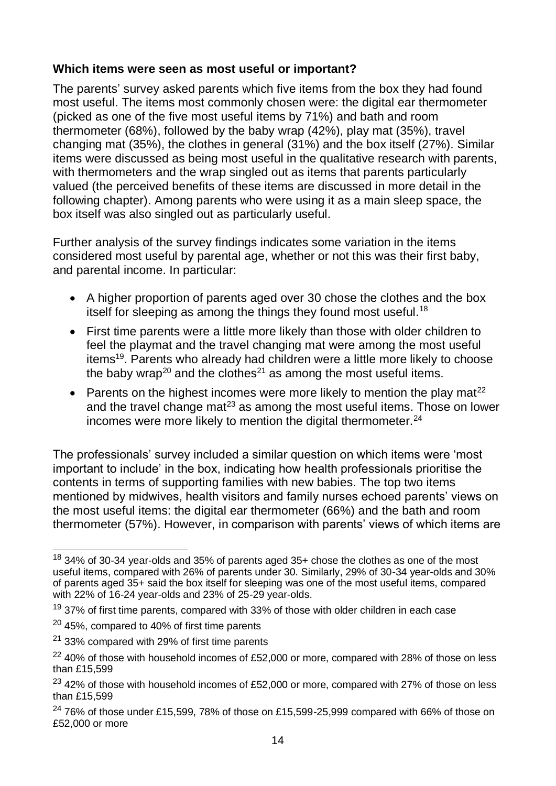#### <span id="page-23-0"></span>**Which items were seen as most useful or important?**

The parents' survey asked parents which five items from the box they had found most useful. The items most commonly chosen were: the digital ear thermometer (picked as one of the five most useful items by 71%) and bath and room thermometer (68%), followed by the baby wrap (42%), play mat (35%), travel changing mat (35%), the clothes in general (31%) and the box itself (27%). Similar items were discussed as being most useful in the qualitative research with parents, with thermometers and the wrap singled out as items that parents particularly valued (the perceived benefits of these items are discussed in more detail in the following chapter). Among parents who were using it as a main sleep space, the box itself was also singled out as particularly useful.

Further analysis of the survey findings indicates some variation in the items considered most useful by parental age, whether or not this was their first baby, and parental income. In particular:

- A higher proportion of parents aged over 30 chose the clothes and the box itself for sleeping as among the things they found most useful.<sup>18</sup>
- First time parents were a little more likely than those with older children to feel the playmat and the travel changing mat were among the most useful items<sup>19</sup>. Parents who already had children were a little more likely to choose the baby wrap<sup>20</sup> and the clothes<sup>21</sup> as among the most useful items.
- Parents on the highest incomes were more likely to mention the play mat<sup>22</sup> and the travel change mat<sup>23</sup> as among the most useful items. Those on lower incomes were more likely to mention the digital thermometer. $24$

The professionals' survey included a similar question on which items were 'most important to include' in the box, indicating how health professionals prioritise the contents in terms of supporting families with new babies. The top two items mentioned by midwives, health visitors and family nurses echoed parents' views on the most useful items: the digital ear thermometer (66%) and the bath and room thermometer (57%). However, in comparison with parents' views of which items are

 $\overline{\phantom{a}}$  $18$  34% of 30-34 year-olds and 35% of parents aged 35+ chose the clothes as one of the most useful items, compared with 26% of parents under 30. Similarly, 29% of 30-34 year-olds and 30% of parents aged 35+ said the box itself for sleeping was one of the most useful items, compared with 22% of 16-24 year-olds and 23% of 25-29 year-olds.

 $19$  37% of first time parents, compared with 33% of those with older children in each case

<sup>20</sup> 45%, compared to 40% of first time parents

<sup>21</sup> 33% compared with 29% of first time parents

 $22$  40% of those with household incomes of £52,000 or more, compared with 28% of those on less than £15,599

 $23$  42% of those with household incomes of £52,000 or more, compared with 27% of those on less than £15,599

 $24$  76% of those under £15,599, 78% of those on £15,599-25,999 compared with 66% of those on £52,000 or more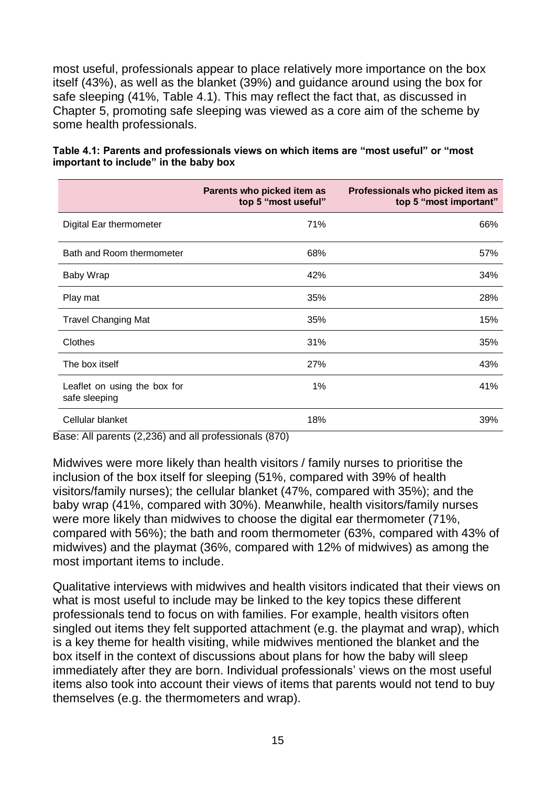most useful, professionals appear to place relatively more importance on the box itself (43%), as well as the blanket (39%) and guidance around using the box for safe sleeping (41%, Table 4.1). This may reflect the fact that, as discussed in Chapter 5, promoting safe sleeping was viewed as a core aim of the scheme by some health professionals.

|                                               | Parents who picked item as<br>top 5 "most useful" | Professionals who picked item as<br>top 5 "most important" |
|-----------------------------------------------|---------------------------------------------------|------------------------------------------------------------|
| Digital Ear thermometer                       | 71%                                               | 66%                                                        |
| Bath and Room thermometer                     | 68%                                               | 57%                                                        |
| Baby Wrap                                     | 42%                                               | 34%                                                        |
| Play mat                                      | 35%                                               | 28%                                                        |
| <b>Travel Changing Mat</b>                    | 35%                                               | 15%                                                        |
| Clothes                                       | 31%                                               | 35%                                                        |
| The box itself                                | 27%                                               | 43%                                                        |
| Leaflet on using the box for<br>safe sleeping | 1%                                                | 41%                                                        |
| Cellular blanket                              | 18%                                               | 39%                                                        |

**Table 4.1: Parents and professionals views on which items are "most useful" or "most important to include" in the baby box**

Base: All parents (2,236) and all professionals (870)

Midwives were more likely than health visitors / family nurses to prioritise the inclusion of the box itself for sleeping (51%, compared with 39% of health visitors/family nurses); the cellular blanket (47%, compared with 35%); and the baby wrap (41%, compared with 30%). Meanwhile, health visitors/family nurses were more likely than midwives to choose the digital ear thermometer (71%, compared with 56%); the bath and room thermometer (63%, compared with 43% of midwives) and the playmat (36%, compared with 12% of midwives) as among the most important items to include.

Qualitative interviews with midwives and health visitors indicated that their views on what is most useful to include may be linked to the key topics these different professionals tend to focus on with families. For example, health visitors often singled out items they felt supported attachment (e.g. the playmat and wrap), which is a key theme for health visiting, while midwives mentioned the blanket and the box itself in the context of discussions about plans for how the baby will sleep immediately after they are born. Individual professionals' views on the most useful items also took into account their views of items that parents would not tend to buy themselves (e.g. the thermometers and wrap).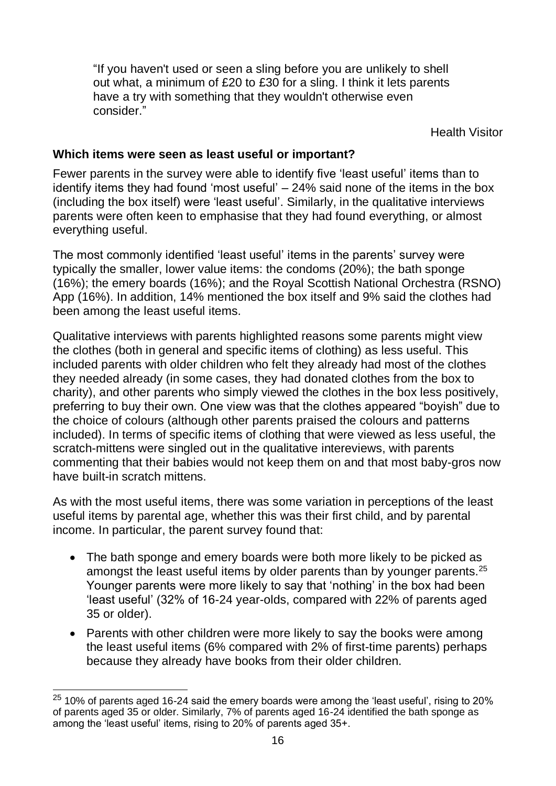"If you haven't used or seen a sling before you are unlikely to shell out what, a minimum of £20 to £30 for a sling. I think it lets parents have a try with something that they wouldn't otherwise even consider."

Health Visitor

#### <span id="page-25-0"></span>**Which items were seen as least useful or important?**

Fewer parents in the survey were able to identify five 'least useful' items than to identify items they had found 'most useful' – 24% said none of the items in the box (including the box itself) were 'least useful'. Similarly, in the qualitative interviews parents were often keen to emphasise that they had found everything, or almost everything useful.

The most commonly identified 'least useful' items in the parents' survey were typically the smaller, lower value items: the condoms (20%); the bath sponge (16%); the emery boards (16%); and the Royal Scottish National Orchestra (RSNO) App (16%). In addition, 14% mentioned the box itself and 9% said the clothes had been among the least useful items.

Qualitative interviews with parents highlighted reasons some parents might view the clothes (both in general and specific items of clothing) as less useful. This included parents with older children who felt they already had most of the clothes they needed already (in some cases, they had donated clothes from the box to charity), and other parents who simply viewed the clothes in the box less positively, preferring to buy their own. One view was that the clothes appeared "boyish" due to the choice of colours (although other parents praised the colours and patterns included). In terms of specific items of clothing that were viewed as less useful, the scratch-mittens were singled out in the qualitative intereviews, with parents commenting that their babies would not keep them on and that most baby-gros now have built-in scratch mittens.

As with the most useful items, there was some variation in perceptions of the least useful items by parental age, whether this was their first child, and by parental income. In particular, the parent survey found that:

- The bath sponge and emery boards were both more likely to be picked as amongst the least useful items by older parents than by younger parents.<sup>25</sup> Younger parents were more likely to say that 'nothing' in the box had been 'least useful' (32% of 16-24 year-olds, compared with 22% of parents aged 35 or older).
- Parents with other children were more likely to say the books were among the least useful items (6% compared with 2% of first-time parents) perhaps because they already have books from their older children.

 $\overline{a}$  $^{25}$  10% of parents aged 16-24 said the emery boards were among the 'least useful', rising to 20% of parents aged 35 or older. Similarly, 7% of parents aged 16-24 identified the bath sponge as among the 'least useful' items, rising to 20% of parents aged 35+.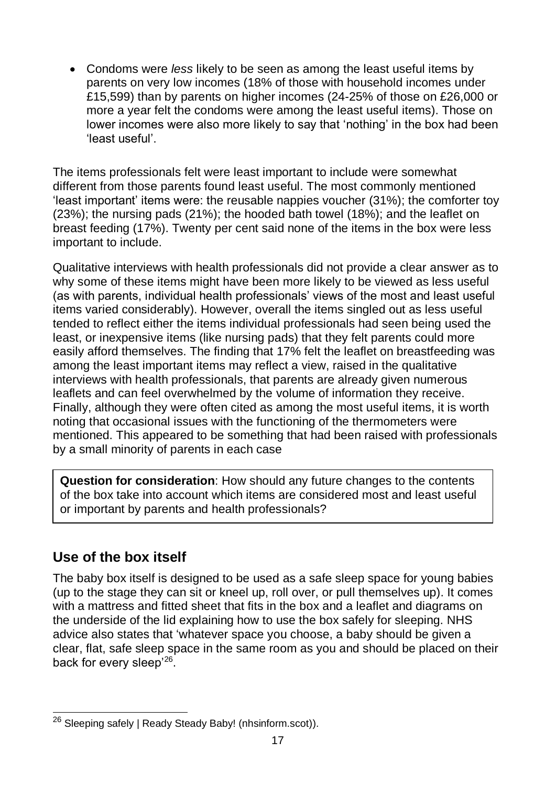• Condoms were *less* likely to be seen as among the least useful items by parents on very low incomes (18% of those with household incomes under £15,599) than by parents on higher incomes (24-25% of those on £26,000 or more a year felt the condoms were among the least useful items). Those on lower incomes were also more likely to say that 'nothing' in the box had been 'least useful'.

The items professionals felt were least important to include were somewhat different from those parents found least useful. The most commonly mentioned 'least important' items were: the reusable nappies voucher (31%); the comforter toy (23%); the nursing pads (21%); the hooded bath towel (18%); and the leaflet on breast feeding (17%). Twenty per cent said none of the items in the box were less important to include.

Qualitative interviews with health professionals did not provide a clear answer as to why some of these items might have been more likely to be viewed as less useful (as with parents, individual health professionals' views of the most and least useful items varied considerably). However, overall the items singled out as less useful tended to reflect either the items individual professionals had seen being used the least, or inexpensive items (like nursing pads) that they felt parents could more easily afford themselves. The finding that 17% felt the leaflet on breastfeeding was among the least important items may reflect a view, raised in the qualitative interviews with health professionals, that parents are already given numerous leaflets and can feel overwhelmed by the volume of information they receive. Finally, although they were often cited as among the most useful items, it is worth noting that occasional issues with the functioning of the thermometers were mentioned. This appeared to be something that had been raised with professionals by a small minority of parents in each case

**Question for consideration**: How should any future changes to the contents of the box take into account which items are considered most and least useful or important by parents and health professionals?

## <span id="page-26-0"></span>**Use of the box itself**

The baby box itself is designed to be used as a safe sleep space for young babies (up to the stage they can sit or kneel up, roll over, or pull themselves up). It comes with a mattress and fitted sheet that fits in the box and a leaflet and diagrams on the underside of the lid explaining how to use the box safely for sleeping. NHS advice also states that 'whatever space you choose, a baby should be given a clear, flat, safe sleep space in the same room as you and should be placed on their back for every sleep'<sup>26</sup>.

 $\overline{a}$ <sup>26</sup> [Sleeping safely | Ready Steady Baby! \(nhsinform.scot\)\)](https://www.nhsinform.scot/ready-steady-baby/early-parenthood/going-home/sleeping-safely).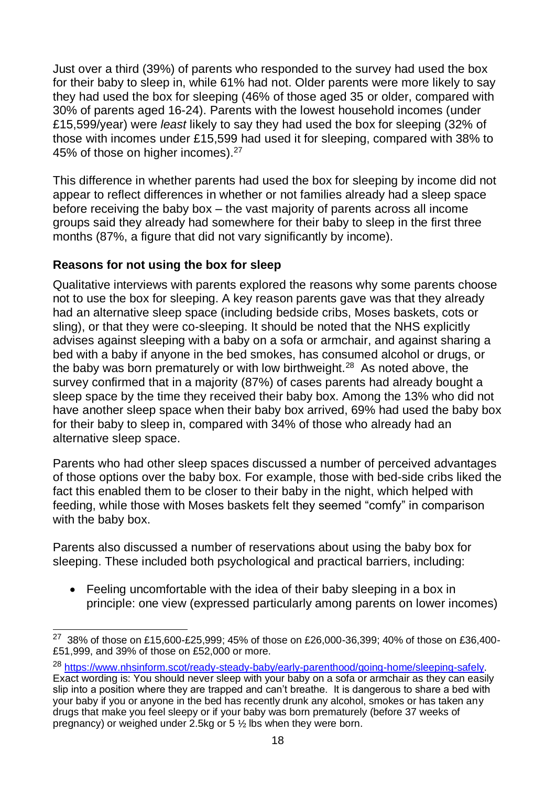Just over a third (39%) of parents who responded to the survey had used the box for their baby to sleep in, while 61% had not. Older parents were more likely to say they had used the box for sleeping (46% of those aged 35 or older, compared with 30% of parents aged 16-24). Parents with the lowest household incomes (under £15,599/year) were *least* likely to say they had used the box for sleeping (32% of those with incomes under £15,599 had used it for sleeping, compared with 38% to 45% of those on higher incomes).<sup>27</sup>

This difference in whether parents had used the box for sleeping by income did not appear to reflect differences in whether or not families already had a sleep space before receiving the baby box – the vast majority of parents across all income groups said they already had somewhere for their baby to sleep in the first three months (87%, a figure that did not vary significantly by income).

#### <span id="page-27-0"></span>**Reasons for not using the box for sleep**

Qualitative interviews with parents explored the reasons why some parents choose not to use the box for sleeping. A key reason parents gave was that they already had an alternative sleep space (including bedside cribs, Moses baskets, cots or sling), or that they were co-sleeping. It should be noted that the NHS explicitly advises against sleeping with a baby on a sofa or armchair, and against sharing a bed with a baby if anyone in the bed smokes, has consumed alcohol or drugs, or the baby was born prematurely or with low birthweight.<sup>28</sup> As noted above, the survey confirmed that in a majority (87%) of cases parents had already bought a sleep space by the time they received their baby box. Among the 13% who did not have another sleep space when their baby box arrived, 69% had used the baby box for their baby to sleep in, compared with 34% of those who already had an alternative sleep space.

Parents who had other sleep spaces discussed a number of perceived advantages of those options over the baby box. For example, those with bed-side cribs liked the fact this enabled them to be closer to their baby in the night, which helped with feeding, while those with Moses baskets felt they seemed "comfy" in comparison with the baby box.

Parents also discussed a number of reservations about using the baby box for sleeping. These included both psychological and practical barriers, including:

• Feeling uncomfortable with the idea of their baby sleeping in a box in principle: one view (expressed particularly among parents on lower incomes)

<sup>28</sup> [https://www.nhsinform.scot/ready-steady-baby/early-parenthood/going-home/sleeping-safely.](https://www.nhsinform.scot/ready-steady-baby/early-parenthood/going-home/sleeping-safely)

 27 38% of those on £15,600-£25,999; 45% of those on £26,000-36,399; 40% of those on £36,400- £51,999, and 39% of those on £52,000 or more.

Exact wording is: You should never sleep with your baby on a sofa or armchair as they can easily slip into a position where they are trapped and can't breathe. It is dangerous to share a bed with your baby if you or anyone in the bed has recently drunk any alcohol, smokes or has taken any drugs that make you feel sleepy or if your baby was born prematurely (before 37 weeks of pregnancy) or weighed under 2.5kg or 5 ½ lbs when they were born.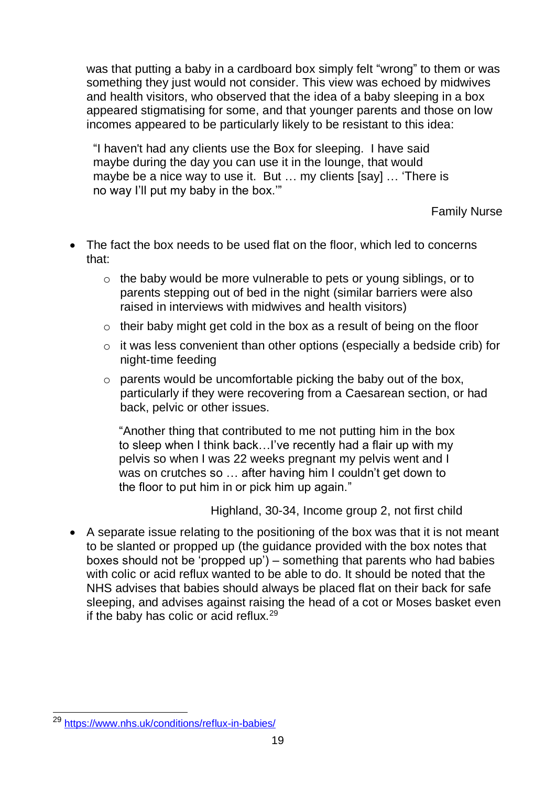was that putting a baby in a cardboard box simply felt "wrong" to them or was something they just would not consider. This view was echoed by midwives and health visitors, who observed that the idea of a baby sleeping in a box appeared stigmatising for some, and that younger parents and those on low incomes appeared to be particularly likely to be resistant to this idea:

"I haven't had any clients use the Box for sleeping. I have said maybe during the day you can use it in the lounge, that would maybe be a nice way to use it. But … my clients [say] … 'There is no way I'll put my baby in the box.'"

Family Nurse

- The fact the box needs to be used flat on the floor, which led to concerns that:
	- o the baby would be more vulnerable to pets or young siblings, or to parents stepping out of bed in the night (similar barriers were also raised in interviews with midwives and health visitors)
	- o their baby might get cold in the box as a result of being on the floor
	- o it was less convenient than other options (especially a bedside crib) for night-time feeding
	- $\circ$  parents would be uncomfortable picking the baby out of the box, particularly if they were recovering from a Caesarean section, or had back, pelvic or other issues.

"Another thing that contributed to me not putting him in the box to sleep when I think back…I've recently had a flair up with my pelvis so when I was 22 weeks pregnant my pelvis went and I was on crutches so … after having him I couldn't get down to the floor to put him in or pick him up again."

Highland, 30-34, Income group 2, not first child

• A separate issue relating to the positioning of the box was that it is not meant to be slanted or propped up (the guidance provided with the box notes that boxes should not be 'propped up') – something that parents who had babies with colic or acid reflux wanted to be able to do. It should be noted that the NHS advises that babies should always be placed flat on their back for safe sleeping, and advises against raising the head of a cot or Moses basket even if the baby has colic or acid reflux.<sup>29</sup>

 $\overline{a}$ <sup>29</sup> <https://www.nhs.uk/conditions/reflux-in-babies/>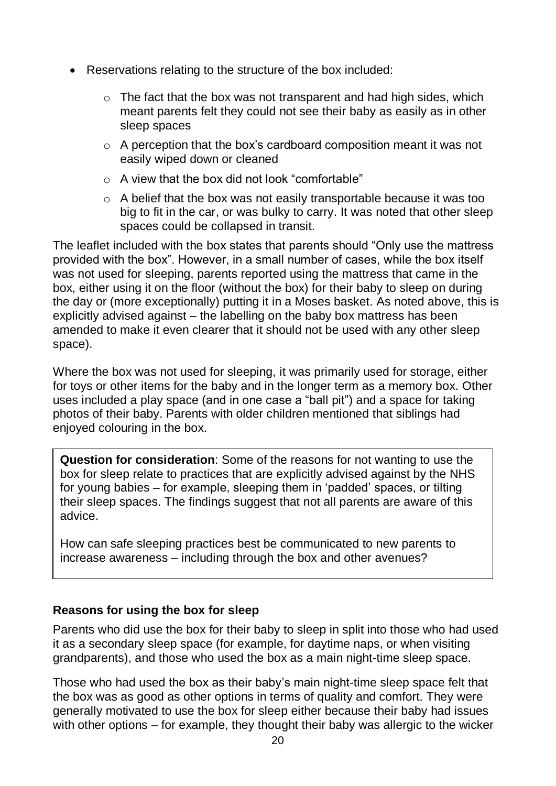- Reservations relating to the structure of the box included:
	- $\circ$  The fact that the box was not transparent and had high sides, which meant parents felt they could not see their baby as easily as in other sleep spaces
	- $\circ$  A perception that the box's cardboard composition meant it was not easily wiped down or cleaned
	- o A view that the box did not look "comfortable"
	- o A belief that the box was not easily transportable because it was too big to fit in the car, or was bulky to carry. It was noted that other sleep spaces could be collapsed in transit.

The leaflet included with the box states that parents should "Only use the mattress provided with the box". However, in a small number of cases, while the box itself was not used for sleeping, parents reported using the mattress that came in the box, either using it on the floor (without the box) for their baby to sleep on during the day or (more exceptionally) putting it in a Moses basket. As noted above, this is explicitly advised against – the labelling on the baby box mattress has been amended to make it even clearer that it should not be used with any other sleep space).

Where the box was not used for sleeping, it was primarily used for storage, either for toys or other items for the baby and in the longer term as a memory box. Other uses included a play space (and in one case a "ball pit") and a space for taking photos of their baby. Parents with older children mentioned that siblings had enjoyed colouring in the box.

**Question for consideration**: Some of the reasons for not wanting to use the box for sleep relate to practices that are explicitly advised against by the NHS for young babies – for example, sleeping them in 'padded' spaces, or tilting their sleep spaces. The findings suggest that not all parents are aware of this advice.

How can safe sleeping practices best be communicated to new parents to increase awareness – including through the box and other avenues?

#### <span id="page-29-0"></span>**Reasons for using the box for sleep**

Parents who did use the box for their baby to sleep in split into those who had used it as a secondary sleep space (for example, for daytime naps, or when visiting grandparents), and those who used the box as a main night-time sleep space.

Those who had used the box as their baby's main night-time sleep space felt that the box was as good as other options in terms of quality and comfort. They were generally motivated to use the box for sleep either because their baby had issues with other options – for example, they thought their baby was allergic to the wicker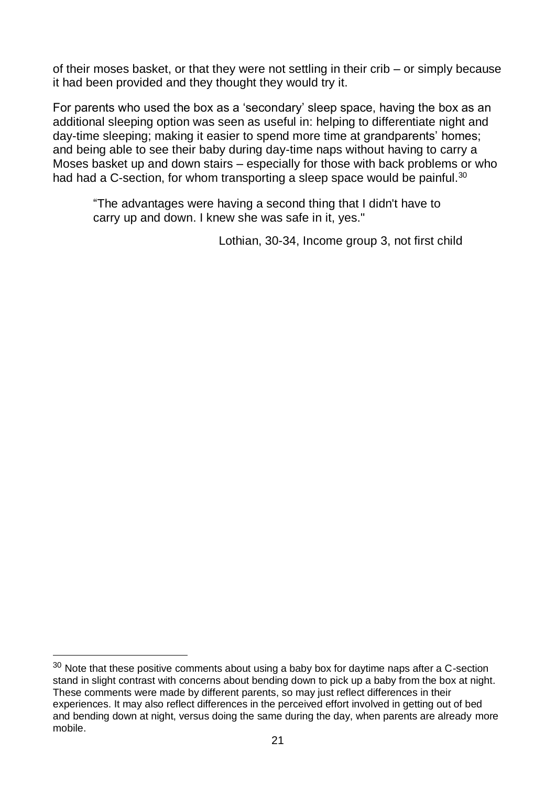of their moses basket, or that they were not settling in their crib – or simply because it had been provided and they thought they would try it.

For parents who used the box as a 'secondary' sleep space, having the box as an additional sleeping option was seen as useful in: helping to differentiate night and day-time sleeping; making it easier to spend more time at grandparents' homes; and being able to see their baby during day-time naps without having to carry a Moses basket up and down stairs – especially for those with back problems or who had had a C-section, for whom transporting a sleep space would be painful.<sup>30</sup>

"The advantages were having a second thing that I didn't have to carry up and down. I knew she was safe in it, yes."

Lothian, 30-34, Income group 3, not first child

l

 $30$  Note that these positive comments about using a baby box for daytime naps after a C-section stand in slight contrast with concerns about bending down to pick up a baby from the box at night. These comments were made by different parents, so may just reflect differences in their experiences. It may also reflect differences in the perceived effort involved in getting out of bed and bending down at night, versus doing the same during the day, when parents are already more mobile.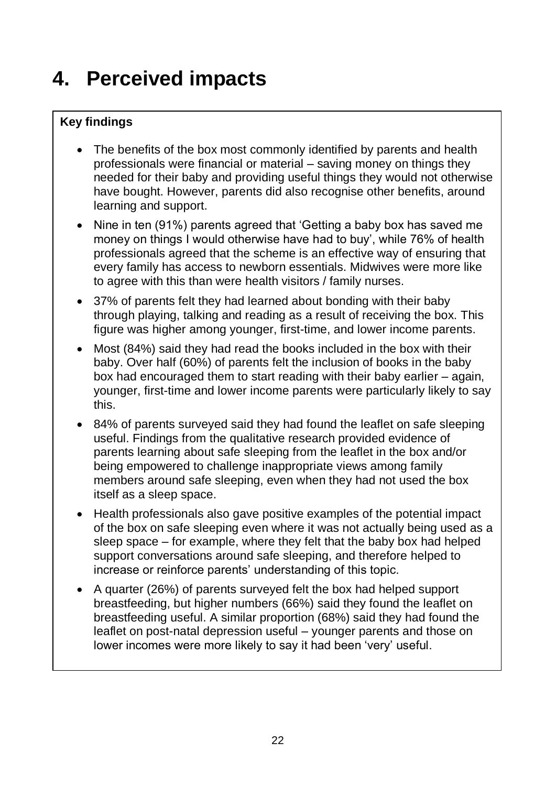# <span id="page-31-0"></span>**4. Perceived impacts**

### **Key findings**

- The benefits of the box most commonly identified by parents and health professionals were financial or material – saving money on things they needed for their baby and providing useful things they would not otherwise have bought. However, parents did also recognise other benefits, around learning and support.
- Nine in ten (91%) parents agreed that 'Getting a baby box has saved me money on things I would otherwise have had to buy', while 76% of health professionals agreed that the scheme is an effective way of ensuring that every family has access to newborn essentials. Midwives were more like to agree with this than were health visitors / family nurses.
- 37% of parents felt they had learned about bonding with their baby through playing, talking and reading as a result of receiving the box. This figure was higher among younger, first-time, and lower income parents.
- Most (84%) said they had read the books included in the box with their baby. Over half (60%) of parents felt the inclusion of books in the baby box had encouraged them to start reading with their baby earlier – again, younger, first-time and lower income parents were particularly likely to say this.
- 84% of parents surveyed said they had found the leaflet on safe sleeping useful. Findings from the qualitative research provided evidence of parents learning about safe sleeping from the leaflet in the box and/or being empowered to challenge inappropriate views among family members around safe sleeping, even when they had not used the box itself as a sleep space.
- Health professionals also gave positive examples of the potential impact of the box on safe sleeping even where it was not actually being used as a sleep space – for example, where they felt that the baby box had helped support conversations around safe sleeping, and therefore helped to increase or reinforce parents' understanding of this topic.
- A quarter (26%) of parents surveyed felt the box had helped support breastfeeding, but higher numbers (66%) said they found the leaflet on breastfeeding useful. A similar proportion (68%) said they had found the leaflet on post-natal depression useful – younger parents and those on lower incomes were more likely to say it had been 'very' useful.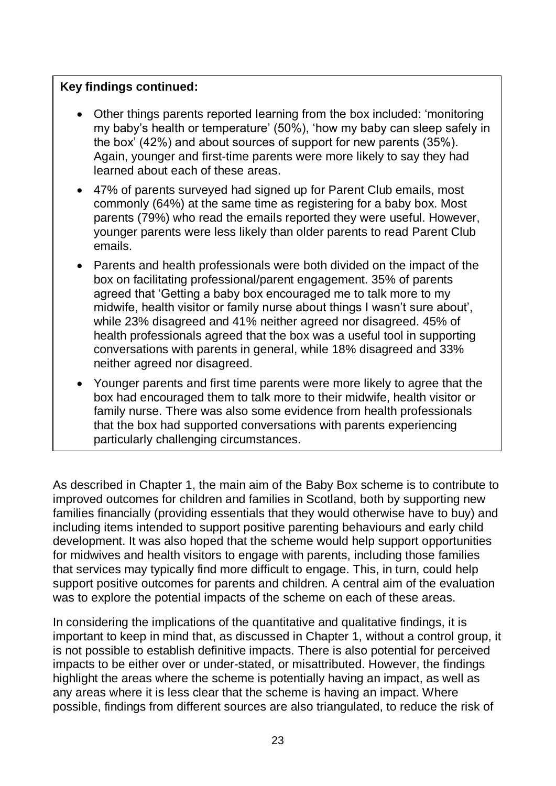#### **Key findings continued:**

- Other things parents reported learning from the box included: 'monitoring my baby's health or temperature' (50%), 'how my baby can sleep safely in the box' (42%) and about sources of support for new parents (35%). Again, younger and first-time parents were more likely to say they had learned about each of these areas.
- 47% of parents surveyed had signed up for Parent Club emails, most commonly (64%) at the same time as registering for a baby box. Most parents (79%) who read the emails reported they were useful. However, younger parents were less likely than older parents to read Parent Club emails.
- Parents and health professionals were both divided on the impact of the box on facilitating professional/parent engagement. 35% of parents agreed that 'Getting a baby box encouraged me to talk more to my midwife, health visitor or family nurse about things I wasn't sure about', while 23% disagreed and 41% neither agreed nor disagreed. 45% of health professionals agreed that the box was a useful tool in supporting conversations with parents in general, while 18% disagreed and 33% neither agreed nor disagreed.
- Younger parents and first time parents were more likely to agree that the box had encouraged them to talk more to their midwife, health visitor or family nurse. There was also some evidence from health professionals that the box had supported conversations with parents experiencing particularly challenging circumstances.

As described in Chapter 1, the main aim of the Baby Box scheme is to contribute to improved outcomes for children and families in Scotland, both by supporting new families financially (providing essentials that they would otherwise have to buy) and including items intended to support positive parenting behaviours and early child development. It was also hoped that the scheme would help support opportunities for midwives and health visitors to engage with parents, including those families that services may typically find more difficult to engage. This, in turn, could help support positive outcomes for parents and children. A central aim of the evaluation was to explore the potential impacts of the scheme on each of these areas.

In considering the implications of the quantitative and qualitative findings, it is important to keep in mind that, as discussed in Chapter 1, without a control group, it is not possible to establish definitive impacts. There is also potential for perceived impacts to be either over or under-stated, or misattributed. However, the findings highlight the areas where the scheme is potentially having an impact, as well as any areas where it is less clear that the scheme is having an impact. Where possible, findings from different sources are also triangulated, to reduce the risk of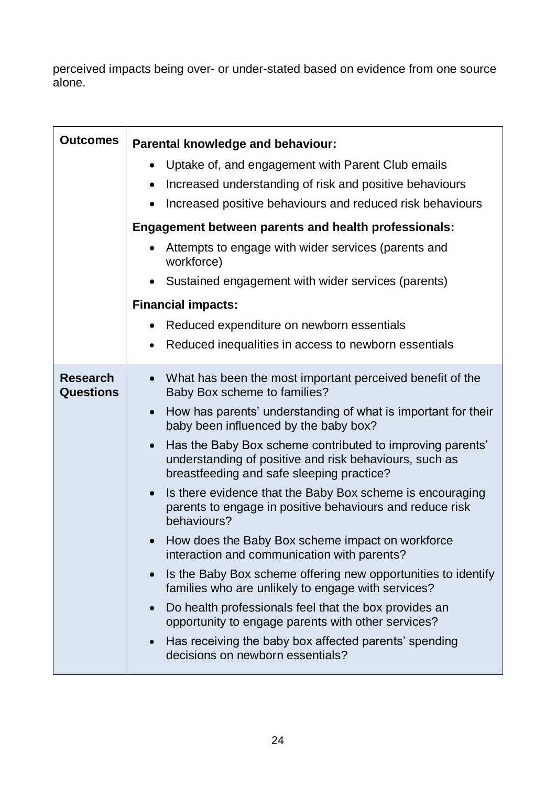perceived impacts being over- or under-stated based on evidence from one source alone.

<span id="page-33-2"></span><span id="page-33-1"></span><span id="page-33-0"></span>

| <b>Outcomes</b>                     | Parental knowledge and behaviour:                                                                                                                                             |  |  |  |
|-------------------------------------|-------------------------------------------------------------------------------------------------------------------------------------------------------------------------------|--|--|--|
|                                     | Uptake of, and engagement with Parent Club emails<br>$\bullet$                                                                                                                |  |  |  |
|                                     | Increased understanding of risk and positive behaviours<br>$\bullet$                                                                                                          |  |  |  |
|                                     | Increased positive behaviours and reduced risk behaviours<br>$\bullet$                                                                                                        |  |  |  |
|                                     | Engagement between parents and health professionals:                                                                                                                          |  |  |  |
|                                     | Attempts to engage with wider services (parents and<br>workforce)                                                                                                             |  |  |  |
|                                     | Sustained engagement with wider services (parents)<br>$\bullet$                                                                                                               |  |  |  |
|                                     | <b>Financial impacts:</b>                                                                                                                                                     |  |  |  |
|                                     | Reduced expenditure on newborn essentials<br>$\bullet$                                                                                                                        |  |  |  |
|                                     | Reduced inequalities in access to newborn essentials<br>٠                                                                                                                     |  |  |  |
| <b>Research</b><br><b>Questions</b> | What has been the most important perceived benefit of the<br>$\bullet$<br>Baby Box scheme to families?                                                                        |  |  |  |
|                                     | How has parents' understanding of what is important for their<br>$\bullet$<br>baby been influenced by the baby box?                                                           |  |  |  |
|                                     | Has the Baby Box scheme contributed to improving parents'<br>$\bullet$<br>understanding of positive and risk behaviours, such as<br>breastfeeding and safe sleeping practice? |  |  |  |
|                                     | Is there evidence that the Baby Box scheme is encouraging<br>$\bullet$<br>parents to engage in positive behaviours and reduce risk<br>behaviours?                             |  |  |  |
|                                     | How does the Baby Box scheme impact on workforce<br>$\bullet$<br>interaction and communication with parents?                                                                  |  |  |  |
|                                     | Is the Baby Box scheme offering new opportunities to identify<br>$\bullet$<br>families who are unlikely to engage with services?                                              |  |  |  |
|                                     | Do health professionals feel that the box provides an<br>$\bullet$<br>opportunity to engage parents with other services?                                                      |  |  |  |
|                                     | Has receiving the baby box affected parents' spending<br>$\bullet$<br>decisions on newborn essentials?                                                                        |  |  |  |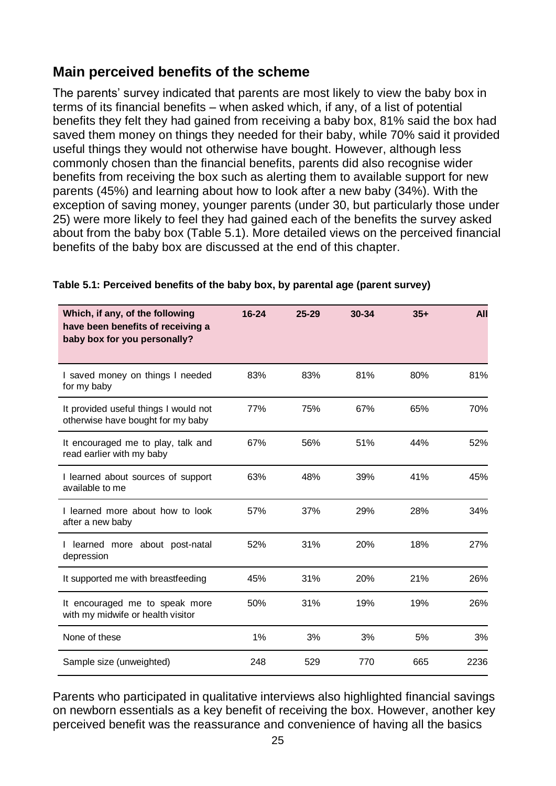### <span id="page-34-0"></span>**Main perceived benefits of the scheme**

The parents' survey indicated that parents are most likely to view the baby box in terms of its financial benefits – when asked which, if any, of a list of potential benefits they felt they had gained from receiving a baby box, 81% said the box had saved them money on things they needed for their baby, while 70% said it provided useful things they would not otherwise have bought. However, although less commonly chosen than the financial benefits, parents did also recognise wider benefits from receiving the box such as alerting them to available support for new parents (45%) and learning about how to look after a new baby (34%). With the exception of saving money, younger parents (under 30, but particularly those under 25) were more likely to feel they had gained each of the benefits the survey asked about from the baby box (Table 5.1). More detailed views on the perceived financial benefits of the baby box are discussed at the end of this chapter.

| Which, if any, of the following<br>have been benefits of receiving a<br>baby box for you personally? | 16-24 | $25 - 29$ | 30-34 | $35+$ | <b>All</b> |
|------------------------------------------------------------------------------------------------------|-------|-----------|-------|-------|------------|
| I saved money on things I needed<br>for my baby                                                      | 83%   | 83%       | 81%   | 80%   | 81%        |
| It provided useful things I would not<br>otherwise have bought for my baby                           | 77%   | 75%       | 67%   | 65%   | 70%        |
| It encouraged me to play, talk and<br>read earlier with my baby                                      | 67%   | 56%       | 51%   | 44%   | 52%        |
| I learned about sources of support<br>available to me                                                | 63%   | 48%       | 39%   | 41%   | 45%        |
| I learned more about how to look<br>after a new baby                                                 | 57%   | 37%       | 29%   | 28%   | 34%        |
| learned more about post-natal<br>depression                                                          | 52%   | 31%       | 20%   | 18%   | 27%        |
| It supported me with breastfeeding                                                                   | 45%   | 31%       | 20%   | 21%   | 26%        |
| It encouraged me to speak more<br>with my midwife or health visitor                                  | 50%   | 31%       | 19%   | 19%   | 26%        |
| None of these                                                                                        | 1%    | 3%        | 3%    | 5%    | 3%         |
| Sample size (unweighted)                                                                             | 248   | 529       | 770   | 665   | 2236       |

#### **Table 5.1: Perceived benefits of the baby box, by parental age (parent survey)**

Parents who participated in qualitative interviews also highlighted financial savings on newborn essentials as a key benefit of receiving the box. However, another key perceived benefit was the reassurance and convenience of having all the basics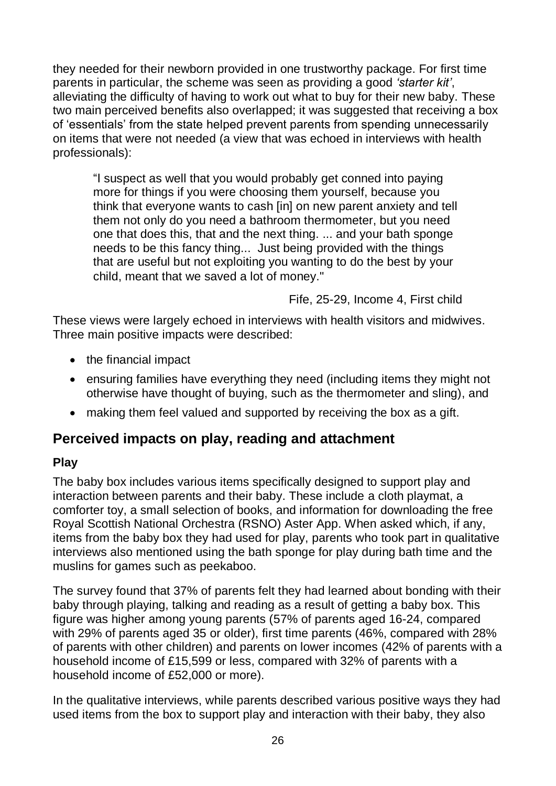they needed for their newborn provided in one trustworthy package. For first time parents in particular, the scheme was seen as providing a good *'starter kit'*, alleviating the difficulty of having to work out what to buy for their new baby. These two main perceived benefits also overlapped; it was suggested that receiving a box of 'essentials' from the state helped prevent parents from spending unnecessarily on items that were not needed (a view that was echoed in interviews with health professionals):

"I suspect as well that you would probably get conned into paying more for things if you were choosing them yourself, because you think that everyone wants to cash [in] on new parent anxiety and tell them not only do you need a bathroom thermometer, but you need one that does this, that and the next thing. ... and your bath sponge needs to be this fancy thing... Just being provided with the things that are useful but not exploiting you wanting to do the best by your child, meant that we saved a lot of money."

Fife, 25-29, Income 4, First child

These views were largely echoed in interviews with health visitors and midwives. Three main positive impacts were described:

- the financial impact
- ensuring families have everything they need (including items they might not otherwise have thought of buying, such as the thermometer and sling), and
- making them feel valued and supported by receiving the box as a gift.

### <span id="page-35-0"></span>**Perceived impacts on play, reading and attachment**

#### <span id="page-35-1"></span>**Play**

The baby box includes various items specifically designed to support play and interaction between parents and their baby. These include a cloth playmat, a comforter toy, a small selection of books, and information for downloading the free Royal Scottish National Orchestra (RSNO) Aster App. When asked which, if any, items from the baby box they had used for play, parents who took part in qualitative interviews also mentioned using the bath sponge for play during bath time and the muslins for games such as peekaboo.

The survey found that 37% of parents felt they had learned about bonding with their baby through playing, talking and reading as a result of getting a baby box. This figure was higher among young parents (57% of parents aged 16-24, compared with 29% of parents aged 35 or older), first time parents (46%, compared with 28% of parents with other children) and parents on lower incomes (42% of parents with a household income of £15,599 or less, compared with 32% of parents with a household income of £52,000 or more).

In the qualitative interviews, while parents described various positive ways they had used items from the box to support play and interaction with their baby, they also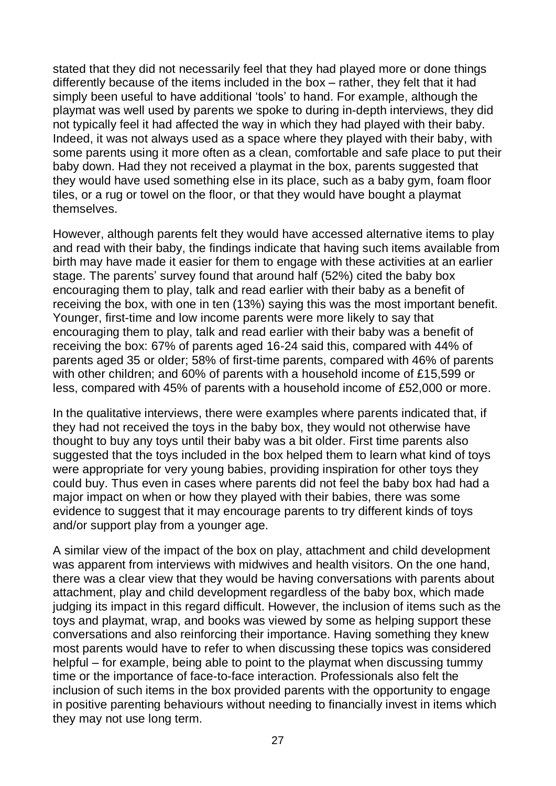stated that they did not necessarily feel that they had played more or done things differently because of the items included in the box – rather, they felt that it had simply been useful to have additional 'tools' to hand. For example, although the playmat was well used by parents we spoke to during in-depth interviews, they did not typically feel it had affected the way in which they had played with their baby. Indeed, it was not always used as a space where they played with their baby, with some parents using it more often as a clean, comfortable and safe place to put their baby down. Had they not received a playmat in the box, parents suggested that they would have used something else in its place, such as a baby gym, foam floor tiles, or a rug or towel on the floor, or that they would have bought a playmat themselves.

However, although parents felt they would have accessed alternative items to play and read with their baby, the findings indicate that having such items available from birth may have made it easier for them to engage with these activities at an earlier stage. The parents' survey found that around half (52%) cited the baby box encouraging them to play, talk and read earlier with their baby as a benefit of receiving the box, with one in ten (13%) saying this was the most important benefit. Younger, first-time and low income parents were more likely to say that encouraging them to play, talk and read earlier with their baby was a benefit of receiving the box: 67% of parents aged 16-24 said this, compared with 44% of parents aged 35 or older; 58% of first-time parents, compared with 46% of parents with other children; and 60% of parents with a household income of £15,599 or less, compared with 45% of parents with a household income of £52,000 or more.

In the qualitative interviews, there were examples where parents indicated that, if they had not received the toys in the baby box, they would not otherwise have thought to buy any toys until their baby was a bit older. First time parents also suggested that the toys included in the box helped them to learn what kind of toys were appropriate for very young babies, providing inspiration for other toys they could buy. Thus even in cases where parents did not feel the baby box had had a major impact on when or how they played with their babies, there was some evidence to suggest that it may encourage parents to try different kinds of toys and/or support play from a younger age.

A similar view of the impact of the box on play, attachment and child development was apparent from interviews with midwives and health visitors. On the one hand, there was a clear view that they would be having conversations with parents about attachment, play and child development regardless of the baby box, which made judging its impact in this regard difficult. However, the inclusion of items such as the toys and playmat, wrap, and books was viewed by some as helping support these conversations and also reinforcing their importance. Having something they knew most parents would have to refer to when discussing these topics was considered helpful – for example, being able to point to the playmat when discussing tummy time or the importance of face-to-face interaction. Professionals also felt the inclusion of such items in the box provided parents with the opportunity to engage in positive parenting behaviours without needing to financially invest in items which they may not use long term.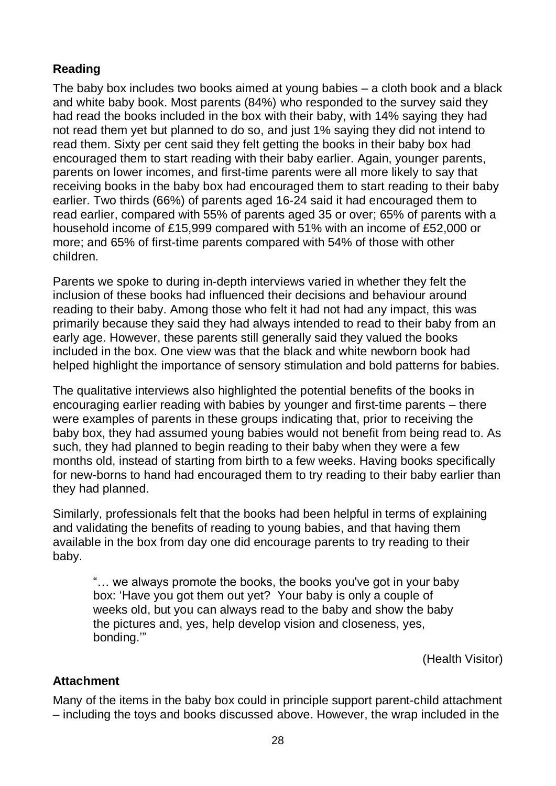### **Reading**

The baby box includes two books aimed at young babies – a cloth book and a black and white baby book. Most parents (84%) who responded to the survey said they had read the books included in the box with their baby, with 14% saying they had not read them yet but planned to do so, and just 1% saying they did not intend to read them. Sixty per cent said they felt getting the books in their baby box had encouraged them to start reading with their baby earlier. Again, younger parents, parents on lower incomes, and first-time parents were all more likely to say that receiving books in the baby box had encouraged them to start reading to their baby earlier. Two thirds (66%) of parents aged 16-24 said it had encouraged them to read earlier, compared with 55% of parents aged 35 or over; 65% of parents with a household income of £15,999 compared with 51% with an income of £52,000 or more; and 65% of first-time parents compared with 54% of those with other children.

Parents we spoke to during in-depth interviews varied in whether they felt the inclusion of these books had influenced their decisions and behaviour around reading to their baby. Among those who felt it had not had any impact, this was primarily because they said they had always intended to read to their baby from an early age. However, these parents still generally said they valued the books included in the box. One view was that the black and white newborn book had helped highlight the importance of sensory stimulation and bold patterns for babies.

The qualitative interviews also highlighted the potential benefits of the books in encouraging earlier reading with babies by younger and first-time parents – there were examples of parents in these groups indicating that, prior to receiving the baby box, they had assumed young babies would not benefit from being read to. As such, they had planned to begin reading to their baby when they were a few months old, instead of starting from birth to a few weeks. Having books specifically for new-borns to hand had encouraged them to try reading to their baby earlier than they had planned.

Similarly, professionals felt that the books had been helpful in terms of explaining and validating the benefits of reading to young babies, and that having them available in the box from day one did encourage parents to try reading to their baby.

"… we always promote the books, the books you've got in your baby box: 'Have you got them out yet? Your baby is only a couple of weeks old, but you can always read to the baby and show the baby the pictures and, yes, help develop vision and closeness, yes, bonding.'"

(Health Visitor)

#### **Attachment**

Many of the items in the baby box could in principle support parent-child attachment – including the toys and books discussed above. However, the wrap included in the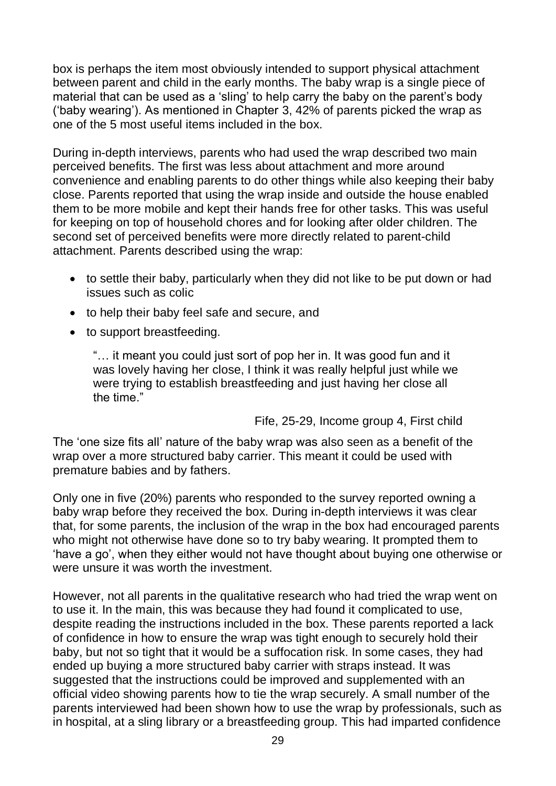box is perhaps the item most obviously intended to support physical attachment between parent and child in the early months. The baby wrap is a single piece of material that can be used as a 'sling' to help carry the baby on the parent's body ('baby wearing'). As mentioned in Chapter 3, 42% of parents picked the wrap as one of the 5 most useful items included in the box.

During in-depth interviews, parents who had used the wrap described two main perceived benefits. The first was less about attachment and more around convenience and enabling parents to do other things while also keeping their baby close. Parents reported that using the wrap inside and outside the house enabled them to be more mobile and kept their hands free for other tasks. This was useful for keeping on top of household chores and for looking after older children. The second set of perceived benefits were more directly related to parent-child attachment. Parents described using the wrap:

- to settle their baby, particularly when they did not like to be put down or had issues such as colic
- to help their baby feel safe and secure, and
- to support breastfeeding.

"… it meant you could just sort of pop her in. It was good fun and it was lovely having her close, I think it was really helpful just while we were trying to establish breastfeeding and just having her close all the time."

Fife, 25-29, Income group 4, First child

The 'one size fits all' nature of the baby wrap was also seen as a benefit of the wrap over a more structured baby carrier. This meant it could be used with premature babies and by fathers.

Only one in five (20%) parents who responded to the survey reported owning a baby wrap before they received the box. During in-depth interviews it was clear that, for some parents, the inclusion of the wrap in the box had encouraged parents who might not otherwise have done so to try baby wearing. It prompted them to 'have a go', when they either would not have thought about buying one otherwise or were unsure it was worth the investment.

However, not all parents in the qualitative research who had tried the wrap went on to use it. In the main, this was because they had found it complicated to use, despite reading the instructions included in the box. These parents reported a lack of confidence in how to ensure the wrap was tight enough to securely hold their baby, but not so tight that it would be a suffocation risk. In some cases, they had ended up buying a more structured baby carrier with straps instead. It was suggested that the instructions could be improved and supplemented with an official video showing parents how to tie the wrap securely. A small number of the parents interviewed had been shown how to use the wrap by professionals, such as in hospital, at a sling library or a breastfeeding group. This had imparted confidence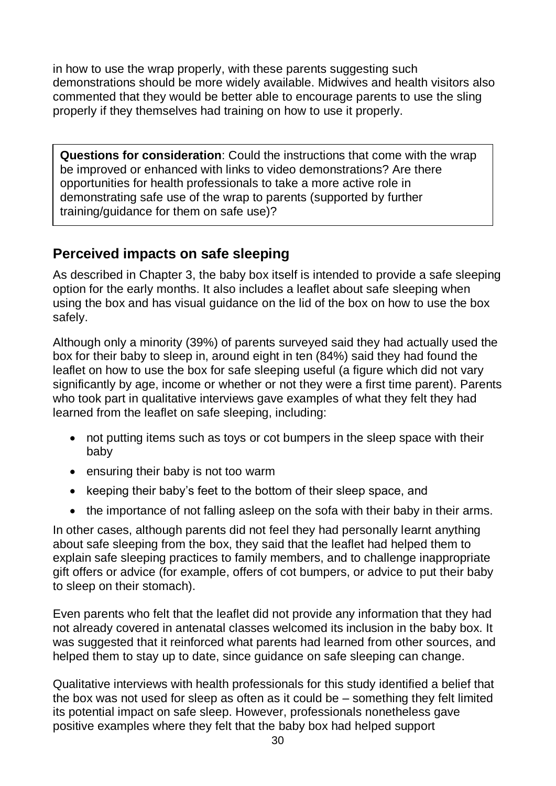in how to use the wrap properly, with these parents suggesting such demonstrations should be more widely available. Midwives and health visitors also commented that they would be better able to encourage parents to use the sling properly if they themselves had training on how to use it properly.

**Questions for consideration**: Could the instructions that come with the wrap be improved or enhanced with links to video demonstrations? Are there opportunities for health professionals to take a more active role in demonstrating safe use of the wrap to parents (supported by further training/guidance for them on safe use)?

## **Perceived impacts on safe sleeping**

As described in Chapter 3, the baby box itself is intended to provide a safe sleeping option for the early months. It also includes a leaflet about safe sleeping when using the box and has visual guidance on the lid of the box on how to use the box safely.

Although only a minority (39%) of parents surveyed said they had actually used the box for their baby to sleep in, around eight in ten (84%) said they had found the leaflet on how to use the box for safe sleeping useful (a figure which did not vary significantly by age, income or whether or not they were a first time parent). Parents who took part in qualitative interviews gave examples of what they felt they had learned from the leaflet on safe sleeping, including:

- not putting items such as toys or cot bumpers in the sleep space with their baby
- ensuring their baby is not too warm
- keeping their baby's feet to the bottom of their sleep space, and
- the importance of not falling asleep on the sofa with their baby in their arms.

In other cases, although parents did not feel they had personally learnt anything about safe sleeping from the box, they said that the leaflet had helped them to explain safe sleeping practices to family members, and to challenge inappropriate gift offers or advice (for example, offers of cot bumpers, or advice to put their baby to sleep on their stomach).

Even parents who felt that the leaflet did not provide any information that they had not already covered in antenatal classes welcomed its inclusion in the baby box. It was suggested that it reinforced what parents had learned from other sources, and helped them to stay up to date, since guidance on safe sleeping can change.

Qualitative interviews with health professionals for this study identified a belief that the box was not used for sleep as often as it could be – something they felt limited its potential impact on safe sleep. However, professionals nonetheless gave positive examples where they felt that the baby box had helped support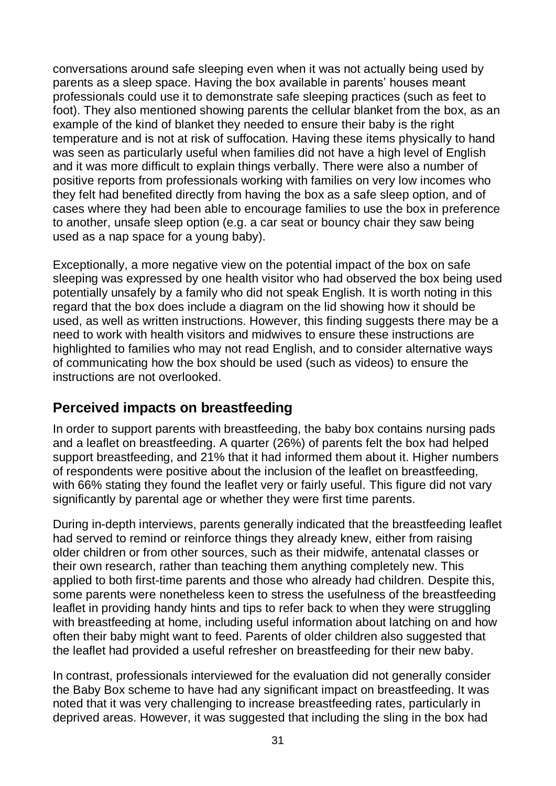conversations around safe sleeping even when it was not actually being used by parents as a sleep space. Having the box available in parents' houses meant professionals could use it to demonstrate safe sleeping practices (such as feet to foot). They also mentioned showing parents the cellular blanket from the box, as an example of the kind of blanket they needed to ensure their baby is the right temperature and is not at risk of suffocation. Having these items physically to hand was seen as particularly useful when families did not have a high level of English and it was more difficult to explain things verbally. There were also a number of positive reports from professionals working with families on very low incomes who they felt had benefited directly from having the box as a safe sleep option, and of cases where they had been able to encourage families to use the box in preference to another, unsafe sleep option (e.g. a car seat or bouncy chair they saw being used as a nap space for a young baby).

Exceptionally, a more negative view on the potential impact of the box on safe sleeping was expressed by one health visitor who had observed the box being used potentially unsafely by a family who did not speak English. It is worth noting in this regard that the box does include a diagram on the lid showing how it should be used, as well as written instructions. However, this finding suggests there may be a need to work with health visitors and midwives to ensure these instructions are highlighted to families who may not read English, and to consider alternative ways of communicating how the box should be used (such as videos) to ensure the instructions are not overlooked.

## **Perceived impacts on breastfeeding**

In order to support parents with breastfeeding, the baby box contains nursing pads and a leaflet on breastfeeding. A quarter (26%) of parents felt the box had helped support breastfeeding, and 21% that it had informed them about it. Higher numbers of respondents were positive about the inclusion of the leaflet on breastfeeding, with 66% stating they found the leaflet very or fairly useful. This figure did not vary significantly by parental age or whether they were first time parents.

During in-depth interviews, parents generally indicated that the breastfeeding leaflet had served to remind or reinforce things they already knew, either from raising older children or from other sources, such as their midwife, antenatal classes or their own research, rather than teaching them anything completely new. This applied to both first-time parents and those who already had children. Despite this, some parents were nonetheless keen to stress the usefulness of the breastfeeding leaflet in providing handy hints and tips to refer back to when they were struggling with breastfeeding at home, including useful information about latching on and how often their baby might want to feed. Parents of older children also suggested that the leaflet had provided a useful refresher on breastfeeding for their new baby.

In contrast, professionals interviewed for the evaluation did not generally consider the Baby Box scheme to have had any significant impact on breastfeeding. It was noted that it was very challenging to increase breastfeeding rates, particularly in deprived areas. However, it was suggested that including the sling in the box had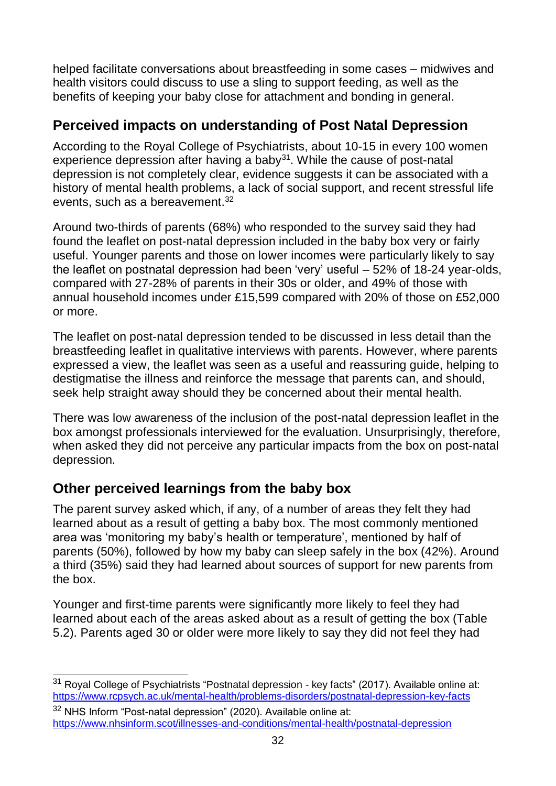helped facilitate conversations about breastfeeding in some cases – midwives and health visitors could discuss to use a sling to support feeding, as well as the benefits of keeping your baby close for attachment and bonding in general.

## **Perceived impacts on understanding of Post Natal Depression**

According to the Royal College of Psychiatrists, about 10-15 in every 100 women experience depression after having a baby<sup>31</sup>. While the cause of post-natal depression is not completely clear, evidence suggests it can be associated with a history of mental health problems, a lack of social support, and recent stressful life events, such as a bereavement.<sup>32</sup>

Around two-thirds of parents (68%) who responded to the survey said they had found the leaflet on post-natal depression included in the baby box very or fairly useful. Younger parents and those on lower incomes were particularly likely to say the leaflet on postnatal depression had been 'very' useful – 52% of 18-24 year-olds, compared with 27-28% of parents in their 30s or older, and 49% of those with annual household incomes under £15,599 compared with 20% of those on £52,000 or more.

The leaflet on post-natal depression tended to be discussed in less detail than the breastfeeding leaflet in qualitative interviews with parents. However, where parents expressed a view, the leaflet was seen as a useful and reassuring guide, helping to destigmatise the illness and reinforce the message that parents can, and should, seek help straight away should they be concerned about their mental health.

There was low awareness of the inclusion of the post-natal depression leaflet in the box amongst professionals interviewed for the evaluation. Unsurprisingly, therefore, when asked they did not perceive any particular impacts from the box on post-natal depression.

## **Other perceived learnings from the baby box**

The parent survey asked which, if any, of a number of areas they felt they had learned about as a result of getting a baby box. The most commonly mentioned area was 'monitoring my baby's health or temperature', mentioned by half of parents (50%), followed by how my baby can sleep safely in the box (42%). Around a third (35%) said they had learned about sources of support for new parents from the box.

Younger and first-time parents were significantly more likely to feel they had learned about each of the areas asked about as a result of getting the box (Table 5.2). Parents aged 30 or older were more likely to say they did not feel they had

 $\overline{\phantom{a}}$ <sup>31</sup> Royal College of Psychiatrists "Postnatal depression - key facts" (2017). Available online at: <https://www.rcpsych.ac.uk/mental-health/problems-disorders/postnatal-depression-key-facts>

 $32$  NHS Inform "Post-natal depression" (2020). Available online at: <https://www.nhsinform.scot/illnesses-and-conditions/mental-health/postnatal-depression>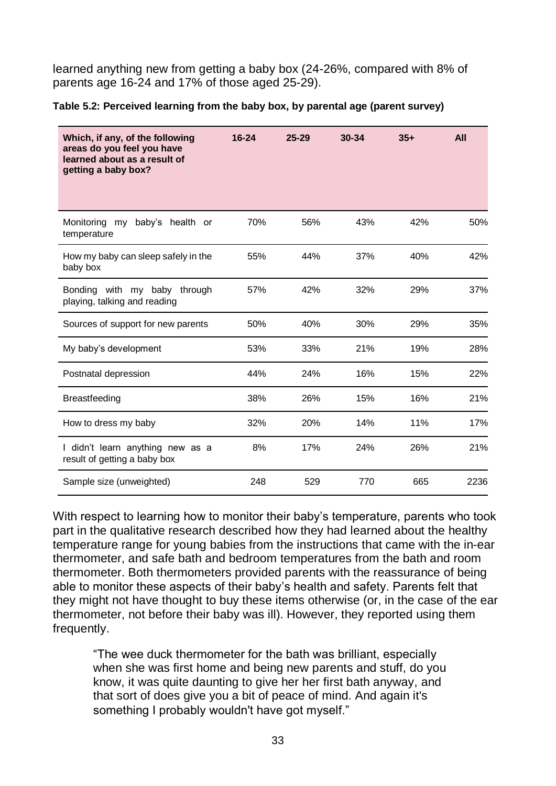learned anything new from getting a baby box (24-26%, compared with 8% of parents age 16-24 and 17% of those aged 25-29).

**Table 5.2: Perceived learning from the baby box, by parental age (parent survey)**

| Which, if any, of the following<br>areas do you feel you have<br>learned about as a result of<br>getting a baby box? | $16 - 24$ | $25 - 29$ | 30-34 | $35+$ | <b>All</b> |
|----------------------------------------------------------------------------------------------------------------------|-----------|-----------|-------|-------|------------|
| baby's health or<br>Monitoring my<br>temperature                                                                     | 70%       | 56%       | 43%   | 42%   | 50%        |
| How my baby can sleep safely in the<br>baby box                                                                      | 55%       | 44%       | 37%   | 40%   | 42%        |
| Bonding with my baby through<br>playing, talking and reading                                                         | 57%       | 42%       | 32%   | 29%   | 37%        |
| Sources of support for new parents                                                                                   | 50%       | 40%       | 30%   | 29%   | 35%        |
| My baby's development                                                                                                | 53%       | 33%       | 21%   | 19%   | 28%        |
| Postnatal depression                                                                                                 | 44%       | 24%       | 16%   | 15%   | 22%        |
| Breastfeeding                                                                                                        | 38%       | 26%       | 15%   | 16%   | 21%        |
| How to dress my baby                                                                                                 | 32%       | 20%       | 14%   | 11%   | 17%        |
| I didn't learn anything new as a<br>result of getting a baby box                                                     | 8%        | 17%       | 24%   | 26%   | 21%        |
| Sample size (unweighted)                                                                                             | 248       | 529       | 770   | 665   | 2236       |

With respect to learning how to monitor their baby's temperature, parents who took part in the qualitative research described how they had learned about the healthy temperature range for young babies from the instructions that came with the in-ear thermometer, and safe bath and bedroom temperatures from the bath and room thermometer. Both thermometers provided parents with the reassurance of being able to monitor these aspects of their baby's health and safety. Parents felt that they might not have thought to buy these items otherwise (or, in the case of the ear thermometer, not before their baby was ill). However, they reported using them frequently.

"The wee duck thermometer for the bath was brilliant, especially when she was first home and being new parents and stuff, do you know, it was quite daunting to give her her first bath anyway, and that sort of does give you a bit of peace of mind. And again it's something I probably wouldn't have got myself."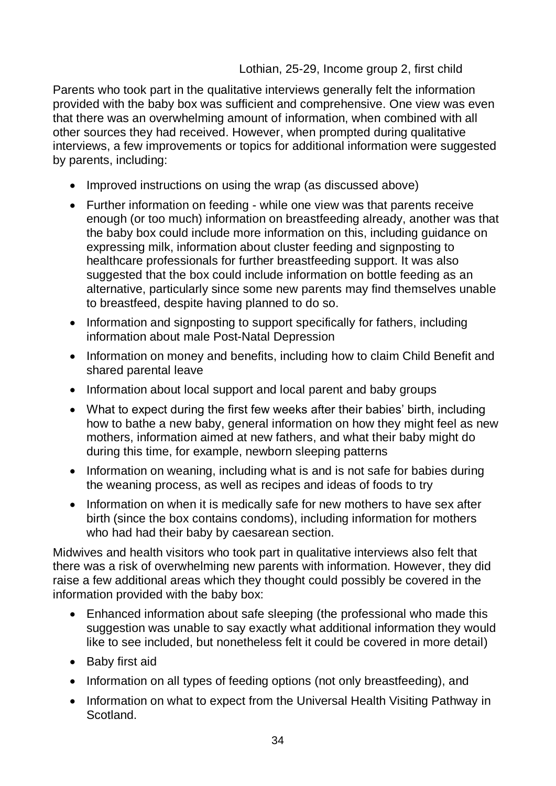#### Lothian, 25-29, Income group 2, first child

Parents who took part in the qualitative interviews generally felt the information provided with the baby box was sufficient and comprehensive. One view was even that there was an overwhelming amount of information, when combined with all other sources they had received. However, when prompted during qualitative interviews, a few improvements or topics for additional information were suggested by parents, including:

- Improved instructions on using the wrap (as discussed above)
- Further information on feeding while one view was that parents receive enough (or too much) information on breastfeeding already, another was that the baby box could include more information on this, including guidance on expressing milk, information about cluster feeding and signposting to healthcare professionals for further breastfeeding support. It was also suggested that the box could include information on bottle feeding as an alternative, particularly since some new parents may find themselves unable to breastfeed, despite having planned to do so.
- Information and signposting to support specifically for fathers, including information about male Post-Natal Depression
- Information on money and benefits, including how to claim Child Benefit and shared parental leave
- Information about local support and local parent and baby groups
- What to expect during the first few weeks after their babies' birth, including how to bathe a new baby, general information on how they might feel as new mothers, information aimed at new fathers, and what their baby might do during this time, for example, newborn sleeping patterns
- Information on weaning, including what is and is not safe for babies during the weaning process, as well as recipes and ideas of foods to try
- Information on when it is medically safe for new mothers to have sex after birth (since the box contains condoms), including information for mothers who had had their baby by caesarean section.

Midwives and health visitors who took part in qualitative interviews also felt that there was a risk of overwhelming new parents with information. However, they did raise a few additional areas which they thought could possibly be covered in the information provided with the baby box:

- Enhanced information about safe sleeping (the professional who made this suggestion was unable to say exactly what additional information they would like to see included, but nonetheless felt it could be covered in more detail)
- Baby first aid
- Information on all types of feeding options (not only breastfeeding), and
- Information on what to expect from the Universal Health Visiting Pathway in **Scotland**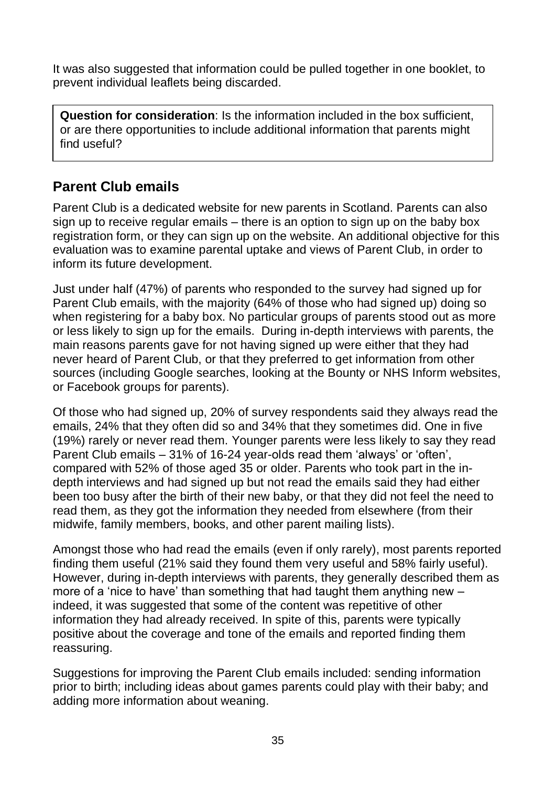It was also suggested that information could be pulled together in one booklet, to prevent individual leaflets being discarded.

**Question for consideration**: Is the information included in the box sufficient, or are there opportunities to include additional information that parents might find useful?

## **Parent Club emails**

Parent Club is a dedicated website for new parents in Scotland. Parents can also sign up to receive regular emails – there is an option to sign up on the baby box registration form, or they can sign up on the website. An additional objective for this evaluation was to examine parental uptake and views of Parent Club, in order to inform its future development.

Just under half (47%) of parents who responded to the survey had signed up for Parent Club emails, with the majority (64% of those who had signed up) doing so when registering for a baby box. No particular groups of parents stood out as more or less likely to sign up for the emails. During in-depth interviews with parents, the main reasons parents gave for not having signed up were either that they had never heard of Parent Club, or that they preferred to get information from other sources (including Google searches, looking at the Bounty or NHS Inform websites, or Facebook groups for parents).

Of those who had signed up, 20% of survey respondents said they always read the emails, 24% that they often did so and 34% that they sometimes did. One in five (19%) rarely or never read them. Younger parents were less likely to say they read Parent Club emails – 31% of 16-24 year-olds read them 'always' or 'often', compared with 52% of those aged 35 or older. Parents who took part in the indepth interviews and had signed up but not read the emails said they had either been too busy after the birth of their new baby, or that they did not feel the need to read them, as they got the information they needed from elsewhere (from their midwife, family members, books, and other parent mailing lists).

Amongst those who had read the emails (even if only rarely), most parents reported finding them useful (21% said they found them very useful and 58% fairly useful). However, during in-depth interviews with parents, they generally described them as more of a 'nice to have' than something that had taught them anything new – indeed, it was suggested that some of the content was repetitive of other information they had already received. In spite of this, parents were typically positive about the coverage and tone of the emails and reported finding them reassuring.

Suggestions for improving the Parent Club emails included: sending information prior to birth; including ideas about games parents could play with their baby; and adding more information about weaning.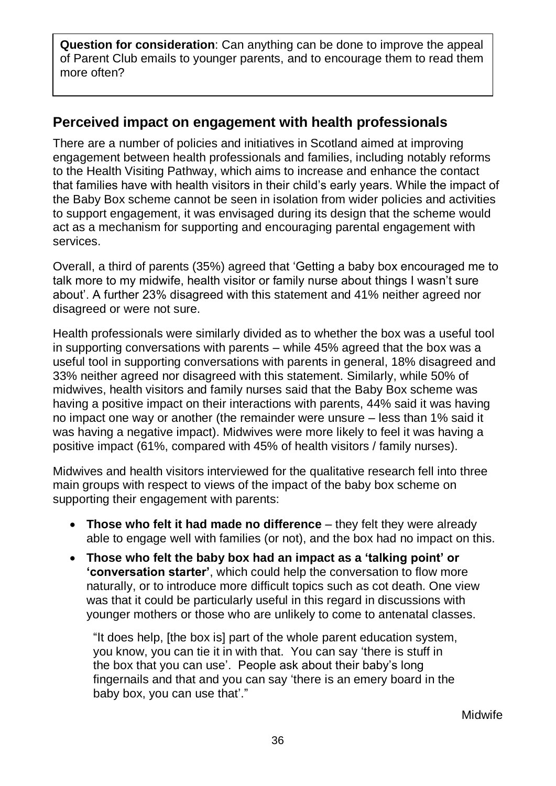**Question for consideration**: Can anything can be done to improve the appeal of Parent Club emails to younger parents, and to encourage them to read them more often?

## **Perceived impact on engagement with health professionals**

There are a number of policies and initiatives in Scotland aimed at improving engagement between health professionals and families, including notably reforms to the Health Visiting Pathway, which aims to increase and enhance the contact that families have with health visitors in their child's early years. While the impact of the Baby Box scheme cannot be seen in isolation from wider policies and activities to support engagement, it was envisaged during its design that the scheme would act as a mechanism for supporting and encouraging parental engagement with services.

Overall, a third of parents (35%) agreed that 'Getting a baby box encouraged me to talk more to my midwife, health visitor or family nurse about things I wasn't sure about'. A further 23% disagreed with this statement and 41% neither agreed nor disagreed or were not sure.

Health professionals were similarly divided as to whether the box was a useful tool in supporting conversations with parents – while 45% agreed that the box was a useful tool in supporting conversations with parents in general, 18% disagreed and 33% neither agreed nor disagreed with this statement. Similarly, while 50% of midwives, health visitors and family nurses said that the Baby Box scheme was having a positive impact on their interactions with parents, 44% said it was having no impact one way or another (the remainder were unsure – less than 1% said it was having a negative impact). Midwives were more likely to feel it was having a positive impact (61%, compared with 45% of health visitors / family nurses).

Midwives and health visitors interviewed for the qualitative research fell into three main groups with respect to views of the impact of the baby box scheme on supporting their engagement with parents:

- **Those who felt it had made no difference** they felt they were already able to engage well with families (or not), and the box had no impact on this.
- **Those who felt the baby box had an impact as a 'talking point' or 'conversation starter'**, which could help the conversation to flow more naturally, or to introduce more difficult topics such as cot death. One view was that it could be particularly useful in this regard in discussions with younger mothers or those who are unlikely to come to antenatal classes.

"It does help, [the box is] part of the whole parent education system, you know, you can tie it in with that. You can say 'there is stuff in the box that you can use'. People ask about their baby's long fingernails and that and you can say 'there is an emery board in the baby box, you can use that'."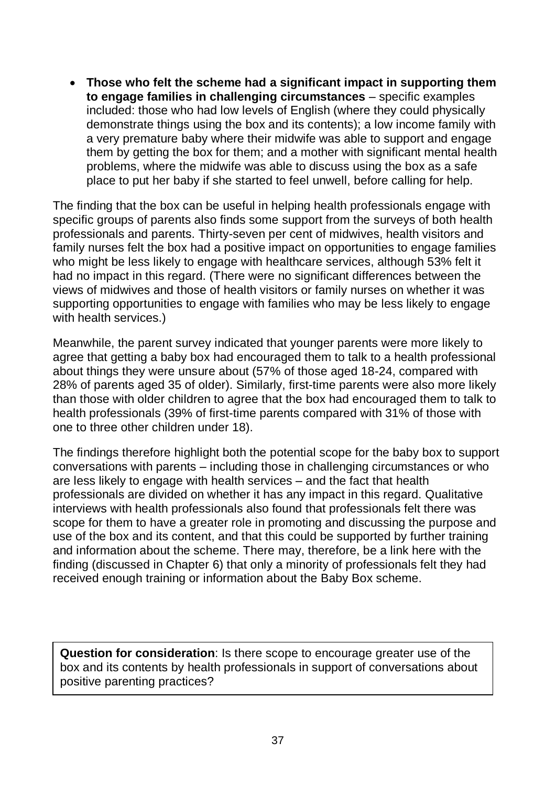• **Those who felt the scheme had a significant impact in supporting them to engage families in challenging circumstances** – specific examples included: those who had low levels of English (where they could physically demonstrate things using the box and its contents); a low income family with a very premature baby where their midwife was able to support and engage them by getting the box for them; and a mother with significant mental health problems, where the midwife was able to discuss using the box as a safe place to put her baby if she started to feel unwell, before calling for help.

The finding that the box can be useful in helping health professionals engage with specific groups of parents also finds some support from the surveys of both health professionals and parents. Thirty-seven per cent of midwives, health visitors and family nurses felt the box had a positive impact on opportunities to engage families who might be less likely to engage with healthcare services, although 53% felt it had no impact in this regard. (There were no significant differences between the views of midwives and those of health visitors or family nurses on whether it was supporting opportunities to engage with families who may be less likely to engage with health services.)

Meanwhile, the parent survey indicated that younger parents were more likely to agree that getting a baby box had encouraged them to talk to a health professional about things they were unsure about (57% of those aged 18-24, compared with 28% of parents aged 35 of older). Similarly, first-time parents were also more likely than those with older children to agree that the box had encouraged them to talk to health professionals (39% of first-time parents compared with 31% of those with one to three other children under 18).

The findings therefore highlight both the potential scope for the baby box to support conversations with parents – including those in challenging circumstances or who are less likely to engage with health services – and the fact that health professionals are divided on whether it has any impact in this regard. Qualitative interviews with health professionals also found that professionals felt there was scope for them to have a greater role in promoting and discussing the purpose and use of the box and its content, and that this could be supported by further training and information about the scheme. There may, therefore, be a link here with the finding (discussed in Chapter 6) that only a minority of professionals felt they had received enough training or information about the Baby Box scheme.

**Question for consideration**: Is there scope to encourage greater use of the box and its contents by health professionals in support of conversations about positive parenting practices?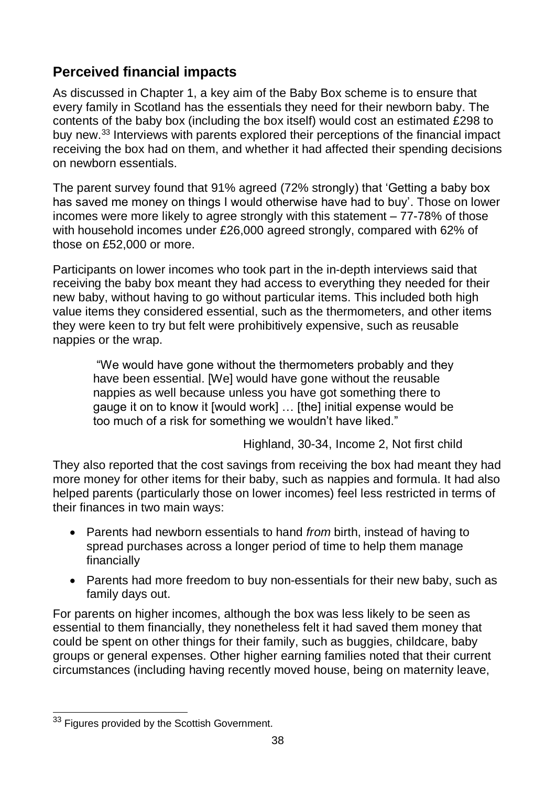## **Perceived financial impacts**

As discussed in Chapter 1, a key aim of the Baby Box scheme is to ensure that every family in Scotland has the essentials they need for their newborn baby. The contents of the baby box (including the box itself) would cost an estimated £298 to buy new.<sup>33</sup> Interviews with parents explored their perceptions of the financial impact receiving the box had on them, and whether it had affected their spending decisions on newborn essentials.

The parent survey found that 91% agreed (72% strongly) that 'Getting a baby box has saved me money on things I would otherwise have had to buy'. Those on lower incomes were more likely to agree strongly with this statement – 77-78% of those with household incomes under £26,000 agreed strongly, compared with 62% of those on £52,000 or more.

Participants on lower incomes who took part in the in-depth interviews said that receiving the baby box meant they had access to everything they needed for their new baby, without having to go without particular items. This included both high value items they considered essential, such as the thermometers, and other items they were keen to try but felt were prohibitively expensive, such as reusable nappies or the wrap.

"We would have gone without the thermometers probably and they have been essential. [We] would have gone without the reusable nappies as well because unless you have got something there to gauge it on to know it [would work] … [the] initial expense would be too much of a risk for something we wouldn't have liked."

Highland, 30-34, Income 2, Not first child

They also reported that the cost savings from receiving the box had meant they had more money for other items for their baby, such as nappies and formula. It had also helped parents (particularly those on lower incomes) feel less restricted in terms of their finances in two main ways:

- Parents had newborn essentials to hand *from* birth, instead of having to spread purchases across a longer period of time to help them manage financially
- Parents had more freedom to buy non-essentials for their new baby, such as family days out.

For parents on higher incomes, although the box was less likely to be seen as essential to them financially, they nonetheless felt it had saved them money that could be spent on other things for their family, such as buggies, childcare, baby groups or general expenses. Other higher earning families noted that their current circumstances (including having recently moved house, being on maternity leave,

 $\overline{a}$ <sup>33</sup> Figures provided by the Scottish Government.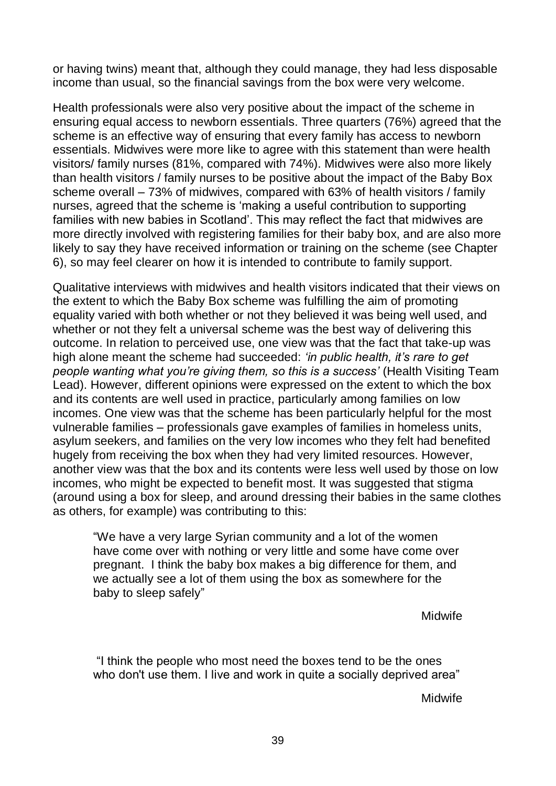or having twins) meant that, although they could manage, they had less disposable income than usual, so the financial savings from the box were very welcome.

Health professionals were also very positive about the impact of the scheme in ensuring equal access to newborn essentials. Three quarters (76%) agreed that the scheme is an effective way of ensuring that every family has access to newborn essentials. Midwives were more like to agree with this statement than were health visitors/ family nurses (81%, compared with 74%). Midwives were also more likely than health visitors / family nurses to be positive about the impact of the Baby Box scheme overall – 73% of midwives, compared with 63% of health visitors / family nurses, agreed that the scheme is 'making a useful contribution to supporting families with new babies in Scotland'. This may reflect the fact that midwives are more directly involved with registering families for their baby box, and are also more likely to say they have received information or training on the scheme (see Chapter 6), so may feel clearer on how it is intended to contribute to family support.

Qualitative interviews with midwives and health visitors indicated that their views on the extent to which the Baby Box scheme was fulfilling the aim of promoting equality varied with both whether or not they believed it was being well used, and whether or not they felt a universal scheme was the best way of delivering this outcome. In relation to perceived use, one view was that the fact that take-up was high alone meant the scheme had succeeded: *'in public health, it's rare to get people wanting what you're giving them, so this is a success'* (Health Visiting Team Lead). However, different opinions were expressed on the extent to which the box and its contents are well used in practice, particularly among families on low incomes. One view was that the scheme has been particularly helpful for the most vulnerable families – professionals gave examples of families in homeless units, asylum seekers, and families on the very low incomes who they felt had benefited hugely from receiving the box when they had very limited resources. However, another view was that the box and its contents were less well used by those on low incomes, who might be expected to benefit most. It was suggested that stigma (around using a box for sleep, and around dressing their babies in the same clothes as others, for example) was contributing to this:

"We have a very large Syrian community and a lot of the women have come over with nothing or very little and some have come over pregnant. I think the baby box makes a big difference for them, and we actually see a lot of them using the box as somewhere for the baby to sleep safely"

Midwife

"I think the people who most need the boxes tend to be the ones who don't use them. I live and work in quite a socially deprived area"

Midwife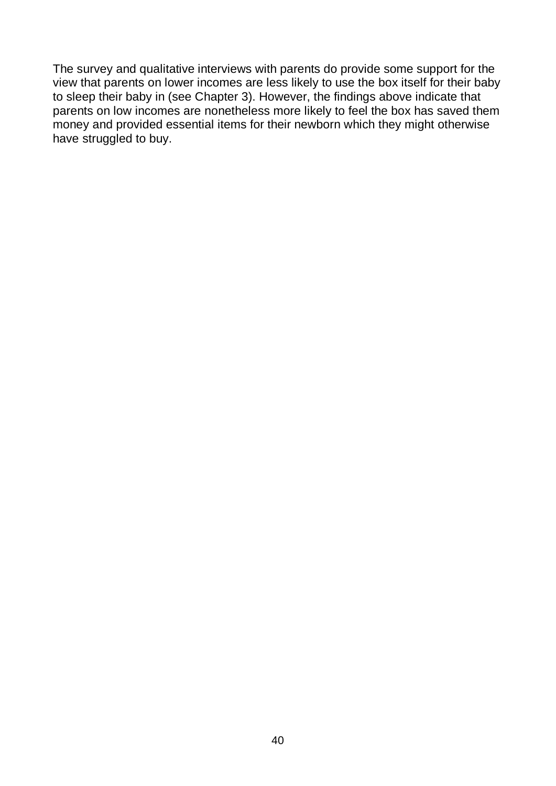The survey and qualitative interviews with parents do provide some support for the view that parents on lower incomes are less likely to use the box itself for their baby to sleep their baby in (see Chapter 3). However, the findings above indicate that parents on low incomes are nonetheless more likely to feel the box has saved them money and provided essential items for their newborn which they might otherwise have struggled to buy.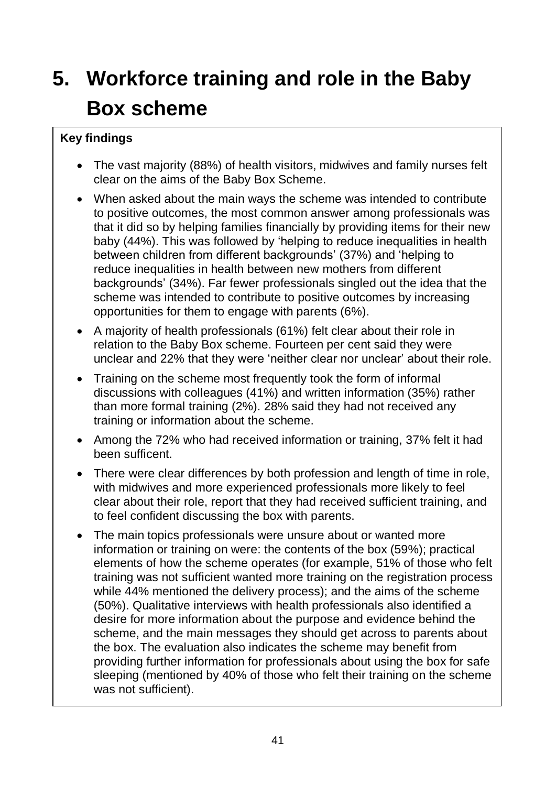# **5. Workforce training and role in the Baby Box scheme**

#### **Key findings**

- The vast majority (88%) of health visitors, midwives and family nurses felt clear on the aims of the Baby Box Scheme.
- When asked about the main ways the scheme was intended to contribute to positive outcomes, the most common answer among professionals was that it did so by helping families financially by providing items for their new baby (44%). This was followed by 'helping to reduce inequalities in health between children from different backgrounds' (37%) and 'helping to reduce inequalities in health between new mothers from different backgrounds' (34%). Far fewer professionals singled out the idea that the scheme was intended to contribute to positive outcomes by increasing opportunities for them to engage with parents (6%).
- A majority of health professionals (61%) felt clear about their role in relation to the Baby Box scheme. Fourteen per cent said they were unclear and 22% that they were 'neither clear nor unclear' about their role.
- Training on the scheme most frequently took the form of informal discussions with colleagues (41%) and written information (35%) rather than more formal training (2%). 28% said they had not received any training or information about the scheme.
- Among the 72% who had received information or training, 37% felt it had been sufficent.
- There were clear differences by both profession and length of time in role, with midwives and more experienced professionals more likely to feel clear about their role, report that they had received sufficient training, and to feel confident discussing the box with parents.
- The main topics professionals were unsure about or wanted more information or training on were: the contents of the box (59%); practical elements of how the scheme operates (for example, 51% of those who felt training was not sufficient wanted more training on the registration process while 44% mentioned the delivery process); and the aims of the scheme (50%). Qualitative interviews with health professionals also identified a desire for more information about the purpose and evidence behind the scheme, and the main messages they should get across to parents about the box. The evaluation also indicates the scheme may benefit from providing further information for professionals about using the box for safe sleeping (mentioned by 40% of those who felt their training on the scheme was not sufficient).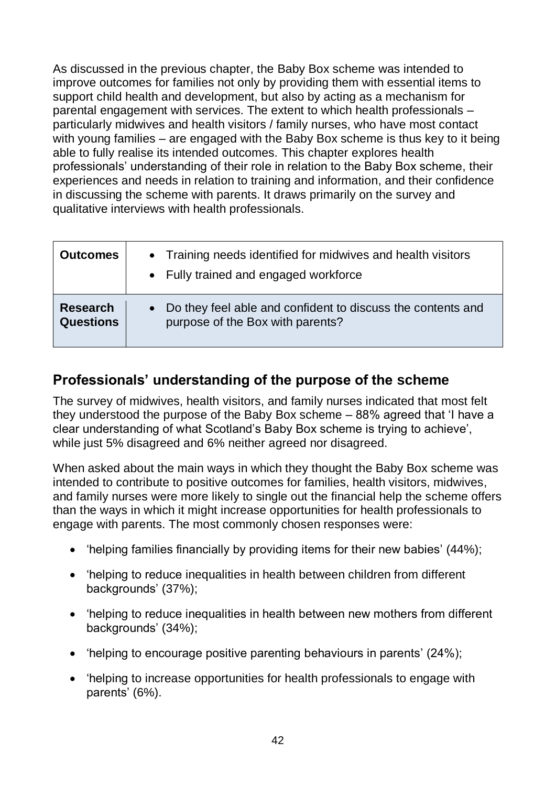As discussed in the previous chapter, the Baby Box scheme was intended to improve outcomes for families not only by providing them with essential items to support child health and development, but also by acting as a mechanism for parental engagement with services. The extent to which health professionals – particularly midwives and health visitors / family nurses, who have most contact with young families – are engaged with the Baby Box scheme is thus key to it being able to fully realise its intended outcomes. This chapter explores health professionals' understanding of their role in relation to the Baby Box scheme, their experiences and needs in relation to training and information, and their confidence in discussing the scheme with parents. It draws primarily on the survey and qualitative interviews with health professionals.

| Outcomes                            | • Training needs identified for midwives and health visitors<br>• Fully trained and engaged workforce        |
|-------------------------------------|--------------------------------------------------------------------------------------------------------------|
| <b>Research</b><br><b>Questions</b> | Do they feel able and confident to discuss the contents and<br>$\bullet$<br>purpose of the Box with parents? |

## **Professionals' understanding of the purpose of the scheme**

The survey of midwives, health visitors, and family nurses indicated that most felt they understood the purpose of the Baby Box scheme – 88% agreed that 'I have a clear understanding of what Scotland's Baby Box scheme is trying to achieve', while just 5% disagreed and 6% neither agreed nor disagreed.

When asked about the main ways in which they thought the Baby Box scheme was intended to contribute to positive outcomes for families, health visitors, midwives, and family nurses were more likely to single out the financial help the scheme offers than the ways in which it might increase opportunities for health professionals to engage with parents. The most commonly chosen responses were:

- 'helping families financially by providing items for their new babies' (44%);
- 'helping to reduce inequalities in health between children from different backgrounds' (37%);
- 'helping to reduce inequalities in health between new mothers from different backgrounds' (34%);
- 'helping to encourage positive parenting behaviours in parents' (24%);
- 'helping to increase opportunities for health professionals to engage with parents' (6%).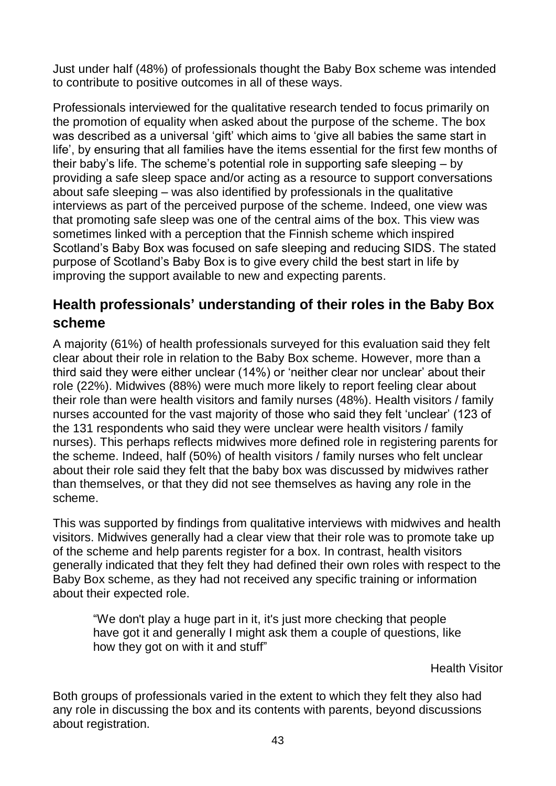Just under half (48%) of professionals thought the Baby Box scheme was intended to contribute to positive outcomes in all of these ways.

Professionals interviewed for the qualitative research tended to focus primarily on the promotion of equality when asked about the purpose of the scheme. The box was described as a universal 'gift' which aims to 'give all babies the same start in life', by ensuring that all families have the items essential for the first few months of their baby's life. The scheme's potential role in supporting safe sleeping – by providing a safe sleep space and/or acting as a resource to support conversations about safe sleeping – was also identified by professionals in the qualitative interviews as part of the perceived purpose of the scheme. Indeed, one view was that promoting safe sleep was one of the central aims of the box. This view was sometimes linked with a perception that the Finnish scheme which inspired Scotland's Baby Box was focused on safe sleeping and reducing SIDS. The stated purpose of Scotland's Baby Box is to give every child the best start in life by improving the support available to new and expecting parents.

## **Health professionals' understanding of their roles in the Baby Box scheme**

A majority (61%) of health professionals surveyed for this evaluation said they felt clear about their role in relation to the Baby Box scheme. However, more than a third said they were either unclear (14%) or 'neither clear nor unclear' about their role (22%). Midwives (88%) were much more likely to report feeling clear about their role than were health visitors and family nurses (48%). Health visitors / family nurses accounted for the vast majority of those who said they felt 'unclear' (123 of the 131 respondents who said they were unclear were health visitors / family nurses). This perhaps reflects midwives more defined role in registering parents for the scheme. Indeed, half (50%) of health visitors / family nurses who felt unclear about their role said they felt that the baby box was discussed by midwives rather than themselves, or that they did not see themselves as having any role in the scheme.

This was supported by findings from qualitative interviews with midwives and health visitors. Midwives generally had a clear view that their role was to promote take up of the scheme and help parents register for a box. In contrast, health visitors generally indicated that they felt they had defined their own roles with respect to the Baby Box scheme, as they had not received any specific training or information about their expected role.

"We don't play a huge part in it, it's just more checking that people have got it and generally I might ask them a couple of questions, like how they got on with it and stuff"

Health Visitor

Both groups of professionals varied in the extent to which they felt they also had any role in discussing the box and its contents with parents, beyond discussions about registration.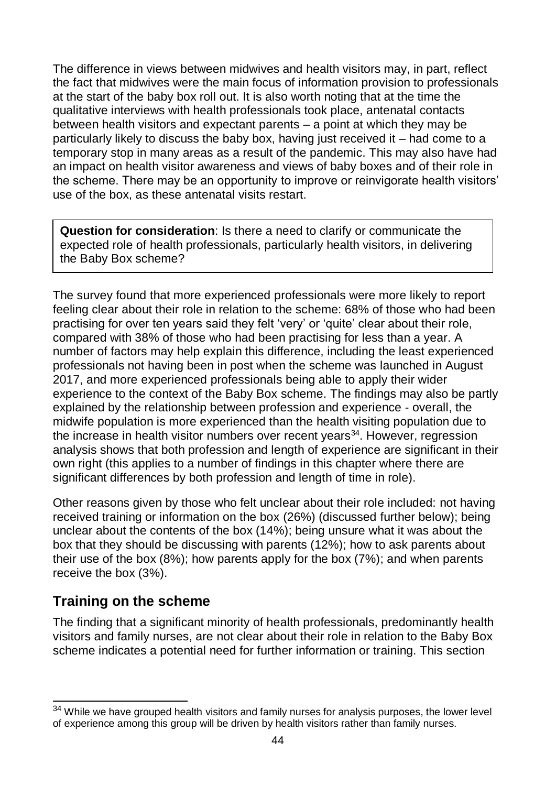The difference in views between midwives and health visitors may, in part, reflect the fact that midwives were the main focus of information provision to professionals at the start of the baby box roll out. It is also worth noting that at the time the qualitative interviews with health professionals took place, antenatal contacts between health visitors and expectant parents – a point at which they may be particularly likely to discuss the baby box, having just received it – had come to a temporary stop in many areas as a result of the pandemic. This may also have had an impact on health visitor awareness and views of baby boxes and of their role in the scheme. There may be an opportunity to improve or reinvigorate health visitors' use of the box, as these antenatal visits restart.

**Question for consideration**: Is there a need to clarify or communicate the expected role of health professionals, particularly health visitors, in delivering the Baby Box scheme?

The survey found that more experienced professionals were more likely to report feeling clear about their role in relation to the scheme: 68% of those who had been practising for over ten years said they felt 'very' or 'quite' clear about their role, compared with 38% of those who had been practising for less than a year. A number of factors may help explain this difference, including the least experienced professionals not having been in post when the scheme was launched in August 2017, and more experienced professionals being able to apply their wider experience to the context of the Baby Box scheme. The findings may also be partly explained by the relationship between profession and experience - overall, the midwife population is more experienced than the health visiting population due to the increase in health visitor numbers over recent years<sup>34</sup>. However, regression analysis shows that both profession and length of experience are significant in their own right (this applies to a number of findings in this chapter where there are significant differences by both profession and length of time in role).

Other reasons given by those who felt unclear about their role included: not having received training or information on the box (26%) (discussed further below); being unclear about the contents of the box (14%); being unsure what it was about the box that they should be discussing with parents (12%); how to ask parents about their use of the box (8%); how parents apply for the box (7%); and when parents receive the box (3%).

## **Training on the scheme**

The finding that a significant minority of health professionals, predominantly health visitors and family nurses, are not clear about their role in relation to the Baby Box scheme indicates a potential need for further information or training. This section

 $\overline{a}$  $34$  While we have grouped health visitors and family nurses for analysis purposes, the lower level of experience among this group will be driven by health visitors rather than family nurses.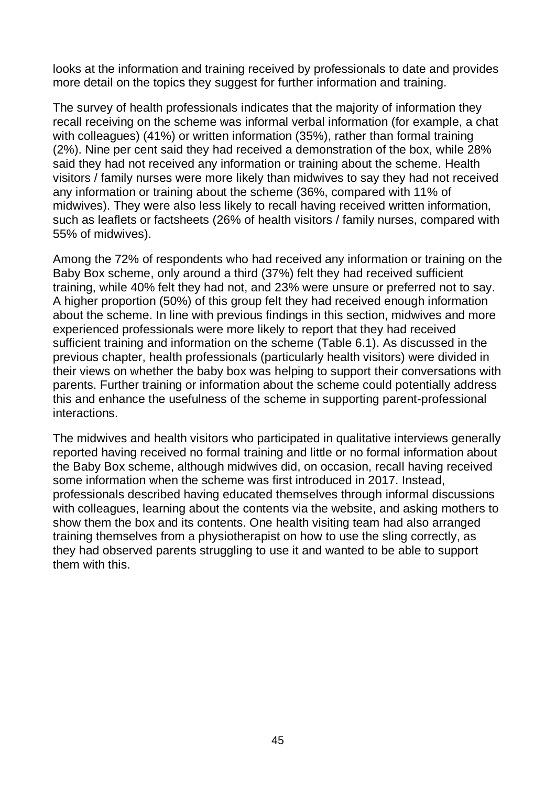looks at the information and training received by professionals to date and provides more detail on the topics they suggest for further information and training.

The survey of health professionals indicates that the majority of information they recall receiving on the scheme was informal verbal information (for example, a chat with colleagues) (41%) or written information (35%), rather than formal training (2%). Nine per cent said they had received a demonstration of the box, while 28% said they had not received any information or training about the scheme. Health visitors / family nurses were more likely than midwives to say they had not received any information or training about the scheme (36%, compared with 11% of midwives). They were also less likely to recall having received written information, such as leaflets or factsheets (26% of health visitors / family nurses, compared with 55% of midwives).

Among the 72% of respondents who had received any information or training on the Baby Box scheme, only around a third (37%) felt they had received sufficient training, while 40% felt they had not, and 23% were unsure or preferred not to say. A higher proportion (50%) of this group felt they had received enough information about the scheme. In line with previous findings in this section, midwives and more experienced professionals were more likely to report that they had received sufficient training and information on the scheme (Table 6.1). As discussed in the previous chapter, health professionals (particularly health visitors) were divided in their views on whether the baby box was helping to support their conversations with parents. Further training or information about the scheme could potentially address this and enhance the usefulness of the scheme in supporting parent-professional interactions.

The midwives and health visitors who participated in qualitative interviews generally reported having received no formal training and little or no formal information about the Baby Box scheme, although midwives did, on occasion, recall having received some information when the scheme was first introduced in 2017. Instead, professionals described having educated themselves through informal discussions with colleagues, learning about the contents via the website, and asking mothers to show them the box and its contents. One health visiting team had also arranged training themselves from a physiotherapist on how to use the sling correctly, as they had observed parents struggling to use it and wanted to be able to support them with this.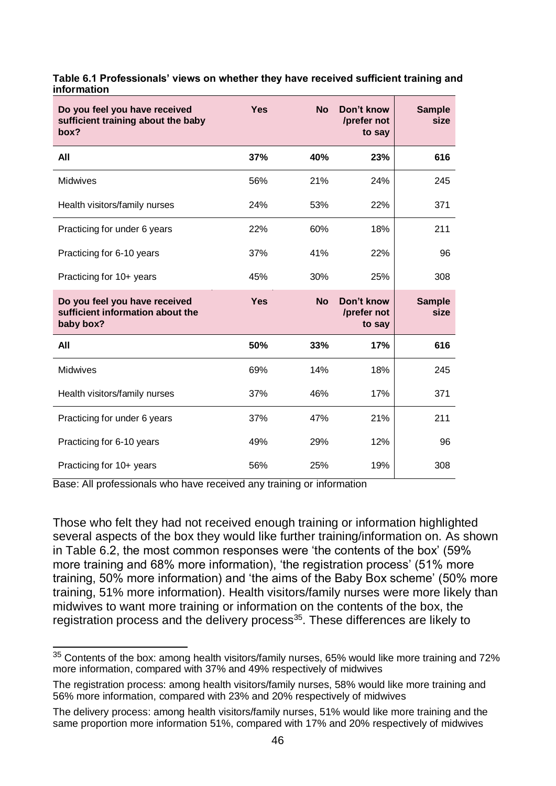| Do you feel you have received<br>sufficient training about the baby<br>box?    | <b>Yes</b> | <b>No</b> | Don't know<br>/prefer not<br>to say | <b>Sample</b><br>size |
|--------------------------------------------------------------------------------|------------|-----------|-------------------------------------|-----------------------|
| All                                                                            | 37%        | 40%       | 23%                                 | 616                   |
| Midwives                                                                       | 56%        | 21%       | 24%                                 | 245                   |
| Health visitors/family nurses                                                  | 24%        | 53%       | 22%                                 | 371                   |
| Practicing for under 6 years                                                   | 22%        | 60%       | 18%                                 | 211                   |
| Practicing for 6-10 years                                                      | 37%        | 41%       | 22%                                 | 96                    |
| Practicing for 10+ years                                                       | 45%        | 30%       | 25%                                 | 308                   |
|                                                                                |            |           |                                     |                       |
| Do you feel you have received<br>sufficient information about the<br>baby box? | <b>Yes</b> | <b>No</b> | Don't know<br>/prefer not<br>to say | <b>Sample</b><br>size |
| All                                                                            | 50%        | 33%       | 17%                                 | 616                   |
| Midwives                                                                       | 69%        | 14%       | 18%                                 | 245                   |
| Health visitors/family nurses                                                  | 37%        | 46%       | 17%                                 | 371                   |
| Practicing for under 6 years                                                   | 37%        | 47%       | 21%                                 | 211                   |
| Practicing for 6-10 years                                                      | 49%        | 29%       | 12%                                 | 96                    |

#### **Table 6.1 Professionals' views on whether they have received sufficient training and information**

Base: All professionals who have received any training or information

Those who felt they had not received enough training or information highlighted several aspects of the box they would like further training/information on. As shown in Table 6.2, the most common responses were 'the contents of the box' (59% more training and 68% more information), 'the registration process' (51% more training, 50% more information) and 'the aims of the Baby Box scheme' (50% more training, 51% more information). Health visitors/family nurses were more likely than midwives to want more training or information on the contents of the box, the registration process and the delivery process<sup>35</sup>. These differences are likely to

 $\overline{a}$  $35$  Contents of the box: among health visitors/family nurses, 65% would like more training and 72% more information, compared with 37% and 49% respectively of midwives

The registration process: among health visitors/family nurses, 58% would like more training and 56% more information, compared with 23% and 20% respectively of midwives

The delivery process: among health visitors/family nurses, 51% would like more training and the same proportion more information 51%, compared with 17% and 20% respectively of midwives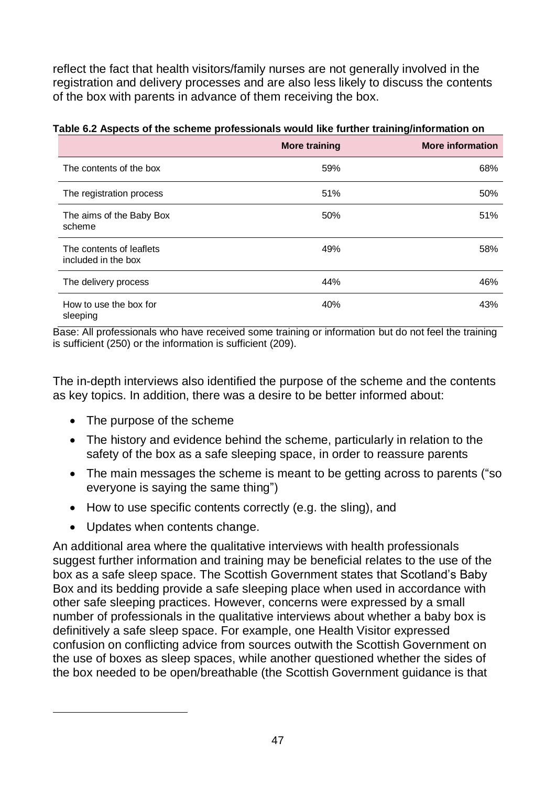reflect the fact that health visitors/family nurses are not generally involved in the registration and delivery processes and are also less likely to discuss the contents of the box with parents in advance of them receiving the box.

|                                                 | <b>More training</b> | <b>More information</b> |
|-------------------------------------------------|----------------------|-------------------------|
| The contents of the box                         | 59%                  | 68%                     |
| The registration process                        | 51%                  | 50%                     |
| The aims of the Baby Box<br>scheme              | 50%                  | 51%                     |
| The contents of leaflets<br>included in the box | 49%                  | 58%                     |
| The delivery process                            | 44%                  | 46%                     |
| How to use the box for<br>sleeping              | 40%                  | 43%                     |

#### **Table 6.2 Aspects of the scheme professionals would like further training/information on**

Base: All professionals who have received some training or information but do not feel the training is sufficient (250) or the information is sufficient (209).

The in-depth interviews also identified the purpose of the scheme and the contents as key topics. In addition, there was a desire to be better informed about:

- The purpose of the scheme
- The history and evidence behind the scheme, particularly in relation to the safety of the box as a safe sleeping space, in order to reassure parents
- The main messages the scheme is meant to be getting across to parents ("so everyone is saying the same thing")
- How to use specific contents correctly (e.g. the sling), and
- Updates when contents change.

An additional area where the qualitative interviews with health professionals suggest further information and training may be beneficial relates to the use of the box as a safe sleep space. The Scottish Government states that Scotland's Baby Box and its bedding provide a safe sleeping place when used in accordance with other safe sleeping practices. However, concerns were expressed by a small number of professionals in the qualitative interviews about whether a baby box is definitively a safe sleep space. For example, one Health Visitor expressed confusion on conflicting advice from sources outwith the Scottish Government on the use of boxes as sleep spaces, while another questioned whether the sides of the box needed to be open/breathable (the Scottish Government guidance is that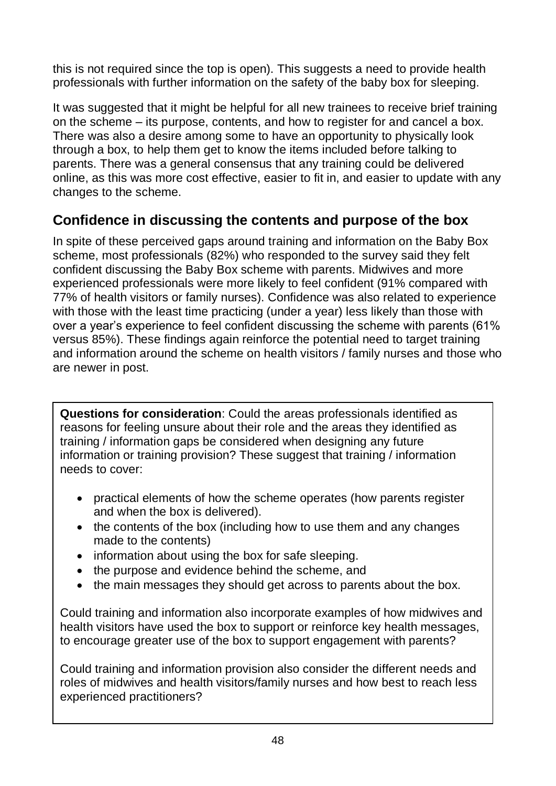this is not required since the top is open). This suggests a need to provide health professionals with further information on the safety of the baby box for sleeping.

It was suggested that it might be helpful for all new trainees to receive brief training on the scheme – its purpose, contents, and how to register for and cancel a box. There was also a desire among some to have an opportunity to physically look through a box, to help them get to know the items included before talking to parents. There was a general consensus that any training could be delivered online, as this was more cost effective, easier to fit in, and easier to update with any changes to the scheme.

## **Confidence in discussing the contents and purpose of the box**

In spite of these perceived gaps around training and information on the Baby Box scheme, most professionals (82%) who responded to the survey said they felt confident discussing the Baby Box scheme with parents. Midwives and more experienced professionals were more likely to feel confident (91% compared with 77% of health visitors or family nurses). Confidence was also related to experience with those with the least time practicing (under a year) less likely than those with over a year's experience to feel confident discussing the scheme with parents (61% versus 85%). These findings again reinforce the potential need to target training and information around the scheme on health visitors / family nurses and those who are newer in post.

**Questions for consideration**: Could the areas professionals identified as reasons for feeling unsure about their role and the areas they identified as training / information gaps be considered when designing any future information or training provision? These suggest that training / information needs to cover:

- practical elements of how the scheme operates (how parents register and when the box is delivered).
- the contents of the box (including how to use them and any changes made to the contents)
- information about using the box for safe sleeping.
- the purpose and evidence behind the scheme, and
- the main messages they should get across to parents about the box.

Could training and information also incorporate examples of how midwives and health visitors have used the box to support or reinforce key health messages, to encourage greater use of the box to support engagement with parents?

Could training and information provision also consider the different needs and roles of midwives and health visitors/family nurses and how best to reach less experienced practitioners?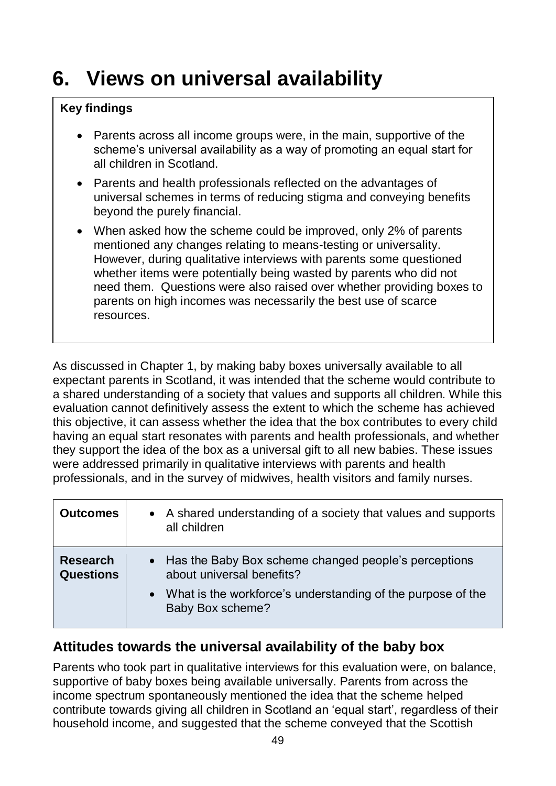## **6. Views on universal availability**

### **Key findings**

- Parents across all income groups were, in the main, supportive of the scheme's universal availability as a way of promoting an equal start for all children in Scotland.
- Parents and health professionals reflected on the advantages of universal schemes in terms of reducing stigma and conveying benefits beyond the purely financial.
- When asked how the scheme could be improved, only 2% of parents mentioned any changes relating to means-testing or universality. However, during qualitative interviews with parents some questioned whether items were potentially being wasted by parents who did not need them. Questions were also raised over whether providing boxes to parents on high incomes was necessarily the best use of scarce resources.

As discussed in Chapter 1, by making baby boxes universally available to all expectant parents in Scotland, it was intended that the scheme would contribute to a shared understanding of a society that values and supports all children. While this evaluation cannot definitively assess the extent to which the scheme has achieved this objective, it can assess whether the idea that the box contributes to every child having an equal start resonates with parents and health professionals, and whether they support the idea of the box as a universal gift to all new babies. These issues were addressed primarily in qualitative interviews with parents and health professionals, and in the survey of midwives, health visitors and family nurses.

| <b>Outcomes</b>                     | A shared understanding of a society that values and supports<br>$\bullet$<br>all children                                                                                           |
|-------------------------------------|-------------------------------------------------------------------------------------------------------------------------------------------------------------------------------------|
| <b>Research</b><br><b>Questions</b> | • Has the Baby Box scheme changed people's perceptions<br>about universal benefits?<br>What is the workforce's understanding of the purpose of the<br>$\bullet$<br>Baby Box scheme? |

## **Attitudes towards the universal availability of the baby box**

Parents who took part in qualitative interviews for this evaluation were, on balance, supportive of baby boxes being available universally. Parents from across the income spectrum spontaneously mentioned the idea that the scheme helped contribute towards giving all children in Scotland an 'equal start', regardless of their household income, and suggested that the scheme conveyed that the Scottish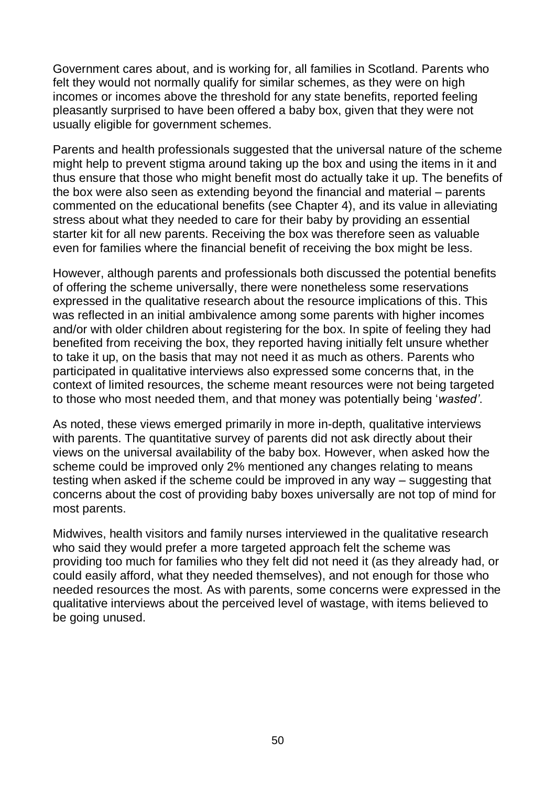Government cares about, and is working for, all families in Scotland. Parents who felt they would not normally qualify for similar schemes, as they were on high incomes or incomes above the threshold for any state benefits, reported feeling pleasantly surprised to have been offered a baby box, given that they were not usually eligible for government schemes.

Parents and health professionals suggested that the universal nature of the scheme might help to prevent stigma around taking up the box and using the items in it and thus ensure that those who might benefit most do actually take it up. The benefits of the box were also seen as extending beyond the financial and material – parents commented on the educational benefits (see Chapter 4), and its value in alleviating stress about what they needed to care for their baby by providing an essential starter kit for all new parents. Receiving the box was therefore seen as valuable even for families where the financial benefit of receiving the box might be less.

However, although parents and professionals both discussed the potential benefits of offering the scheme universally, there were nonetheless some reservations expressed in the qualitative research about the resource implications of this. This was reflected in an initial ambivalence among some parents with higher incomes and/or with older children about registering for the box. In spite of feeling they had benefited from receiving the box, they reported having initially felt unsure whether to take it up, on the basis that may not need it as much as others. Parents who participated in qualitative interviews also expressed some concerns that, in the context of limited resources, the scheme meant resources were not being targeted to those who most needed them, and that money was potentially being '*wasted'*.

As noted, these views emerged primarily in more in-depth, qualitative interviews with parents. The quantitative survey of parents did not ask directly about their views on the universal availability of the baby box. However, when asked how the scheme could be improved only 2% mentioned any changes relating to means testing when asked if the scheme could be improved in any way – suggesting that concerns about the cost of providing baby boxes universally are not top of mind for most parents.

Midwives, health visitors and family nurses interviewed in the qualitative research who said they would prefer a more targeted approach felt the scheme was providing too much for families who they felt did not need it (as they already had, or could easily afford, what they needed themselves), and not enough for those who needed resources the most. As with parents, some concerns were expressed in the qualitative interviews about the perceived level of wastage, with items believed to be going unused.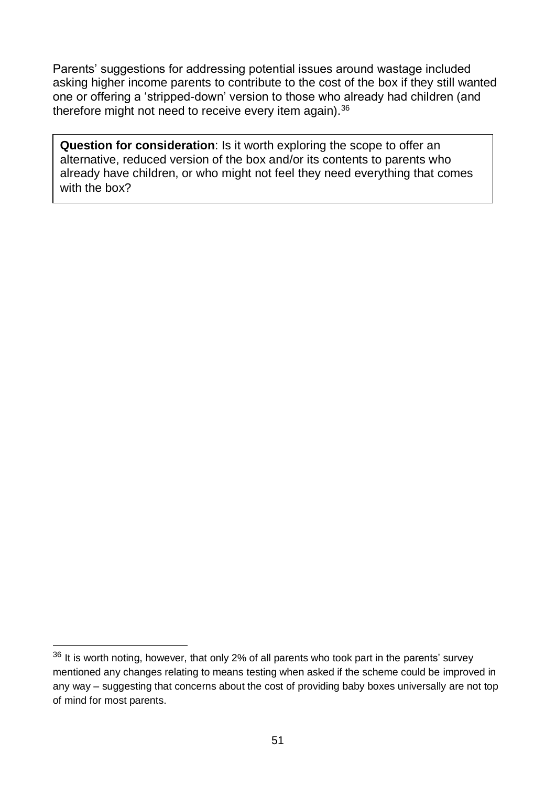Parents' suggestions for addressing potential issues around wastage included asking higher income parents to contribute to the cost of the box if they still wanted one or offering a 'stripped-down' version to those who already had children (and therefore might not need to receive every item again).<sup>36</sup>

**Question for consideration**: Is it worth exploring the scope to offer an alternative, reduced version of the box and/or its contents to parents who already have children, or who might not feel they need everything that comes with the box?

 $\overline{a}$ 

 $36$  It is worth noting, however, that only 2% of all parents who took part in the parents' survey mentioned any changes relating to means testing when asked if the scheme could be improved in any way – suggesting that concerns about the cost of providing baby boxes universally are not top of mind for most parents.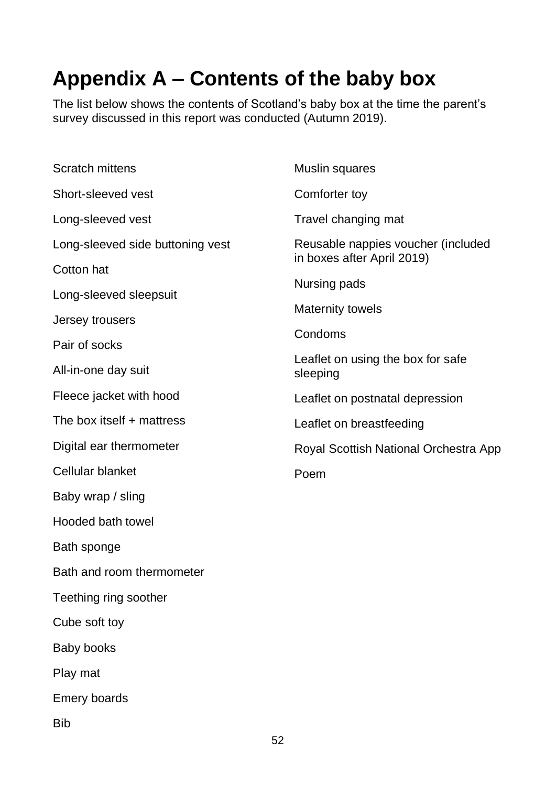## **Appendix A – Contents of the baby box**

The list below shows the contents of Scotland's baby box at the time the parent's survey discussed in this report was conducted (Autumn 2019).

| <b>Scratch mittens</b>           | Muslin squares                                |  |  |
|----------------------------------|-----------------------------------------------|--|--|
| Short-sleeved vest               | Comforter toy                                 |  |  |
| Long-sleeved vest                | Travel changing mat                           |  |  |
| Long-sleeved side buttoning vest | Reusable nappies voucher (included            |  |  |
| Cotton hat                       | in boxes after April 2019)                    |  |  |
| Long-sleeved sleepsuit           | Nursing pads                                  |  |  |
| Jersey trousers                  | <b>Maternity towels</b>                       |  |  |
| Pair of socks                    | Condoms                                       |  |  |
| All-in-one day suit              | Leaflet on using the box for safe<br>sleeping |  |  |
| Fleece jacket with hood          | Leaflet on postnatal depression               |  |  |
| The box itself + mattress        | Leaflet on breastfeeding                      |  |  |
| Digital ear thermometer          | Royal Scottish National Orchestra App         |  |  |
| Cellular blanket                 | Poem                                          |  |  |
| Baby wrap / sling                |                                               |  |  |
| Hooded bath towel                |                                               |  |  |
| Bath sponge                      |                                               |  |  |
| Bath and room thermometer        |                                               |  |  |
| Teething ring soother            |                                               |  |  |
| Cube soft toy                    |                                               |  |  |
| <b>Baby books</b>                |                                               |  |  |
| Play mat                         |                                               |  |  |
| <b>Emery boards</b>              |                                               |  |  |
| <b>Bib</b>                       |                                               |  |  |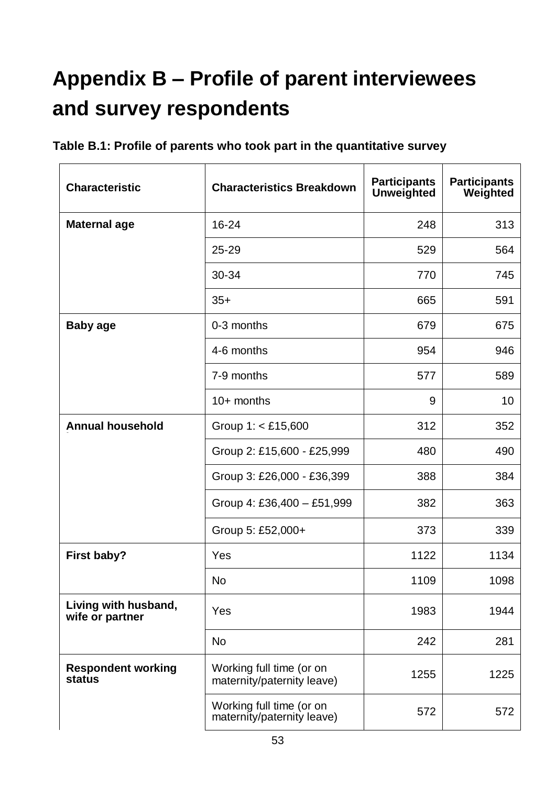# **Appendix B – Profile of parent interviewees and survey respondents**

| <b>Characteristic</b>                   | <b>Characteristics Breakdown</b>                       | <b>Participants</b><br><b>Unweighted</b> | <b>Participants</b><br>Weighted |
|-----------------------------------------|--------------------------------------------------------|------------------------------------------|---------------------------------|
| <b>Maternal age</b>                     | $16 - 24$                                              | 248                                      | 313                             |
|                                         | 25-29                                                  | 529                                      | 564                             |
|                                         | 30-34                                                  | 770                                      | 745                             |
|                                         | $35+$                                                  | 665                                      | 591                             |
| <b>Baby age</b>                         | 0-3 months                                             | 679                                      | 675                             |
|                                         | 4-6 months                                             | 954                                      | 946                             |
|                                         | 7-9 months                                             | 577                                      | 589                             |
|                                         | $10+$ months                                           | 9                                        | 10                              |
| <b>Annual household</b>                 | Group $1: < £15,600$                                   | 312                                      | 352                             |
|                                         | Group 2: £15,600 - £25,999                             | 480                                      | 490                             |
|                                         | Group 3: £26,000 - £36,399                             | 388                                      | 384                             |
|                                         | Group 4: £36,400 - £51,999                             | 382                                      | 363                             |
|                                         | Group 5: £52,000+                                      | 373                                      | 339                             |
| First baby?                             | Yes                                                    | 1122                                     | 1134                            |
|                                         | No                                                     | 1109                                     | 1098                            |
| Living with husband,<br>wife or partner | Yes                                                    | 1983                                     | 1944                            |
|                                         | <b>No</b>                                              | 242                                      | 281                             |
| <b>Respondent working</b><br>status     | Working full time (or on<br>maternity/paternity leave) | 1255                                     | 1225                            |
|                                         | Working full time (or on<br>maternity/paternity leave) | 572                                      | 572                             |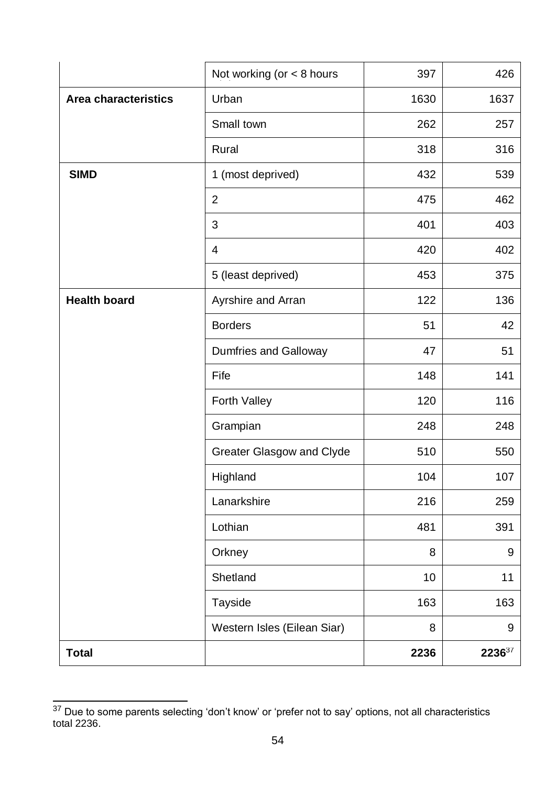| <b>Total</b>                |                                  | 2236 | 223637 |
|-----------------------------|----------------------------------|------|--------|
|                             | Western Isles (Eilean Siar)      | 8    | 9      |
|                             | <b>Tayside</b>                   | 163  | 163    |
|                             | Shetland                         | 10   | 11     |
|                             | Orkney                           | 8    | 9      |
|                             | Lothian                          | 481  | 391    |
|                             | Lanarkshire                      | 216  | 259    |
|                             | Highland                         | 104  | 107    |
|                             | <b>Greater Glasgow and Clyde</b> | 510  | 550    |
|                             | Grampian                         | 248  | 248    |
|                             | <b>Forth Valley</b>              | 120  | 116    |
|                             | Fife                             | 148  | 141    |
|                             | <b>Dumfries and Galloway</b>     | 47   | 51     |
|                             | <b>Borders</b>                   | 51   | 42     |
| <b>Health board</b>         | Ayrshire and Arran               | 122  | 136    |
|                             | 5 (least deprived)               | 453  | 375    |
|                             | $\overline{4}$                   | 420  | 402    |
|                             | 3                                | 401  | 403    |
|                             | $\overline{2}$                   | 475  | 462    |
| <b>SIMD</b>                 | 1 (most deprived)                | 432  | 539    |
|                             | Rural                            | 318  | 316    |
|                             | Small town                       | 262  | 257    |
| <b>Area characteristics</b> | Urban                            | 1630 | 1637   |
|                             | Not working (or $<$ 8 hours      | 397  | 426    |

 $\overline{a}$  $37$  Due to some parents selecting 'don't know' or 'prefer not to say' options, not all characteristics total 2236.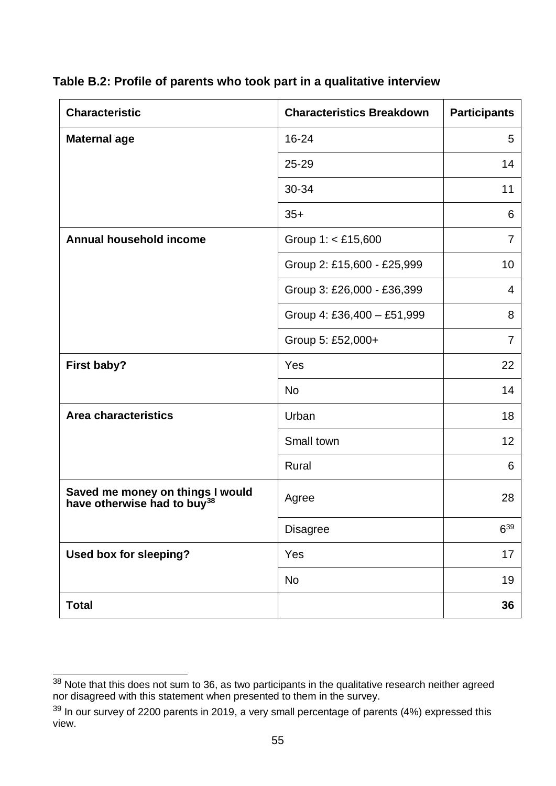**Table B.2: Profile of parents who took part in a qualitative interview**

| <b>Characteristic</b>                                                       | <b>Characteristics Breakdown</b> | <b>Participants</b> |
|-----------------------------------------------------------------------------|----------------------------------|---------------------|
| <b>Maternal age</b>                                                         | 16-24                            | 5                   |
|                                                                             | $25 - 29$                        | 14                  |
|                                                                             | 30-34                            | 11                  |
|                                                                             | $35+$                            | 6                   |
| <b>Annual household income</b>                                              | Group $1: < £15,600$             | $\overline{7}$      |
|                                                                             | Group 2: £15,600 - £25,999       | 10                  |
|                                                                             | Group 3: £26,000 - £36,399       | $\overline{4}$      |
|                                                                             | Group 4: £36,400 - £51,999       | 8                   |
|                                                                             | Group 5: £52,000+                | $\overline{7}$      |
| First baby?                                                                 | Yes                              | 22                  |
|                                                                             | <b>No</b>                        | 14                  |
| <b>Area characteristics</b>                                                 | Urban                            | 18                  |
|                                                                             | Small town                       | 12                  |
|                                                                             | Rural                            | 6                   |
| Saved me money on things I would<br>have otherwise had to buy <sup>38</sup> | Agree                            | 28                  |
|                                                                             | <b>Disagree</b>                  | $6^{39}$            |
| Used box for sleeping?                                                      | Yes                              | 17                  |
|                                                                             | <b>No</b>                        | 19                  |
| <b>Total</b>                                                                |                                  | 36                  |

 $\overline{a}$  $38$  Note that this does not sum to 36, as two participants in the qualitative research neither agreed nor disagreed with this statement when presented to them in the survey.

 $39$  In our survey of 2200 parents in 2019, a very small percentage of parents (4%) expressed this view.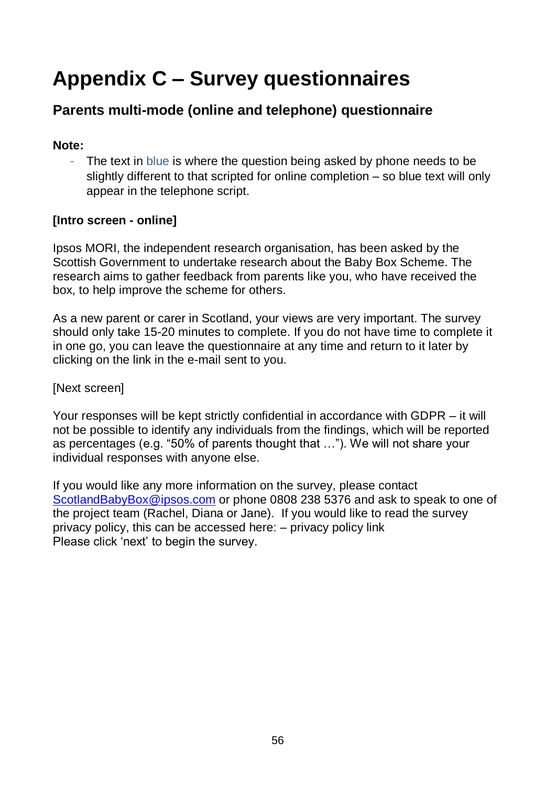## **Appendix C – Survey questionnaires**

## **Parents multi-mode (online and telephone) questionnaire**

#### **Note:**

- The text in blue is where the question being asked by phone needs to be slightly different to that scripted for online completion – so blue text will only appear in the telephone script.

### **[Intro screen - online]**

Ipsos MORI, the independent research organisation, has been asked by the Scottish Government to undertake research about the Baby Box Scheme. The research aims to gather feedback from parents like you, who have received the box, to help improve the scheme for others.

As a new parent or carer in Scotland, your views are very important. The survey should only take 15-20 minutes to complete. If you do not have time to complete it in one go, you can leave the questionnaire at any time and return to it later by clicking on the link in the e-mail sent to you.

#### [Next screen]

Your responses will be kept strictly confidential in accordance with GDPR – it will not be possible to identify any individuals from the findings, which will be reported as percentages (e.g. "50% of parents thought that …"). We will not share your individual responses with anyone else.

If you would like any more information on the survey, please contact [ScotlandBabyBox@ipsos.com](mailto:ScotlandBabyBox@ipsos.com) or phone 0808 238 5376 and ask to speak to one of the project team (Rachel, Diana or Jane). If you would like to read the survey privacy policy, this can be accessed here: – privacy policy link Please click 'next' to begin the survey.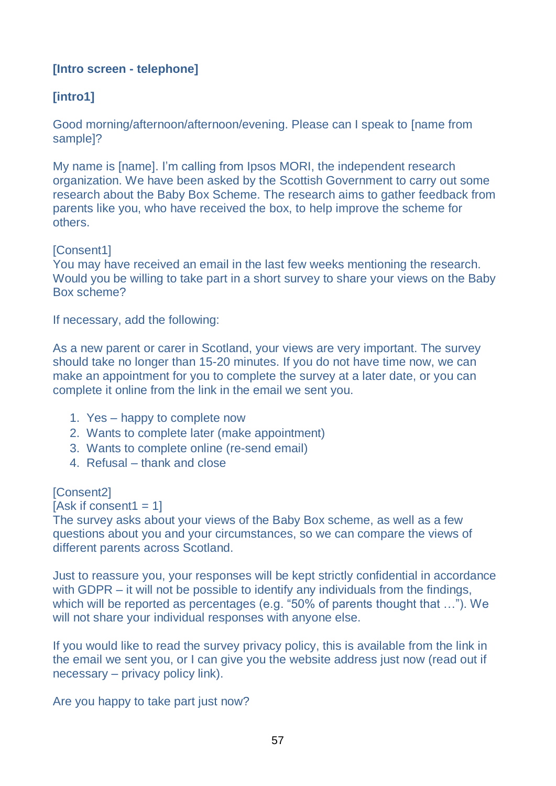#### **[Intro screen - telephone]**

### **[intro1]**

Good morning/afternoon/afternoon/evening. Please can I speak to [name from sample]?

My name is [name]. I'm calling from Ipsos MORI, the independent research organization. We have been asked by the Scottish Government to carry out some research about the Baby Box Scheme. The research aims to gather feedback from parents like you, who have received the box, to help improve the scheme for others.

[Consent1]

You may have received an email in the last few weeks mentioning the research. Would you be willing to take part in a short survey to share your views on the Baby Box scheme?

If necessary, add the following:

As a new parent or carer in Scotland, your views are very important. The survey should take no longer than 15-20 minutes. If you do not have time now, we can make an appointment for you to complete the survey at a later date, or you can complete it online from the link in the email we sent you.

- 1. Yes happy to complete now
- 2. Wants to complete later (make appointment)
- 3. Wants to complete online (re-send email)
- 4. Refusal thank and close

[Consent2]

 $[Ask if consent1 = 1]$ 

The survey asks about your views of the Baby Box scheme, as well as a few questions about you and your circumstances, so we can compare the views of different parents across Scotland.

Just to reassure you, your responses will be kept strictly confidential in accordance with GDPR – it will not be possible to identify any individuals from the findings, which will be reported as percentages (e.g. "50% of parents thought that …"). We will not share your individual responses with anyone else.

If you would like to read the survey privacy policy, this is available from the link in the email we sent you, or I can give you the website address just now (read out if necessary – privacy policy link).

Are you happy to take part just now?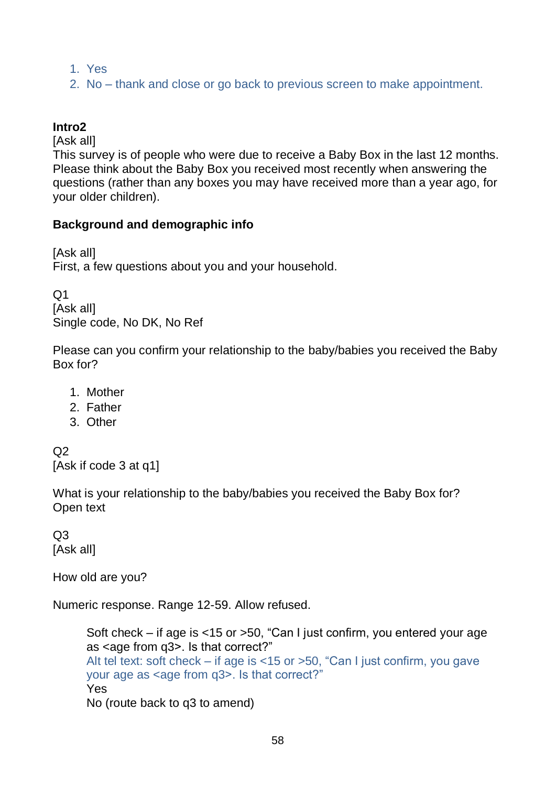- 1. Yes
- 2. No thank and close or go back to previous screen to make appointment.

### **Intro2**

[Ask all]

This survey is of people who were due to receive a Baby Box in the last 12 months. Please think about the Baby Box you received most recently when answering the questions (rather than any boxes you may have received more than a year ago, for your older children).

#### **Background and demographic info**

[Ask all] First, a few questions about you and your household.

 $Q<sub>1</sub>$ [Ask all] Single code, No DK, No Ref

Please can you confirm your relationship to the baby/babies you received the Baby Box for?

- 1. Mother
- 2. Father
- 3. Other

 $O<sub>2</sub>$ [Ask if code 3 at q1]

What is your relationship to the baby/babies you received the Baby Box for? Open text

 $O<sub>3</sub>$ [Ask all]

How old are you?

Numeric response. Range 12-59. Allow refused.

Soft check – if age is <15 or >50, "Can I just confirm, you entered your age as <age from q3>. Is that correct?" Alt tel text: soft check – if age is <15 or >50, "Can I just confirm, you gave your age as <age from g3>. Is that correct?" Yes No (route back to q3 to amend)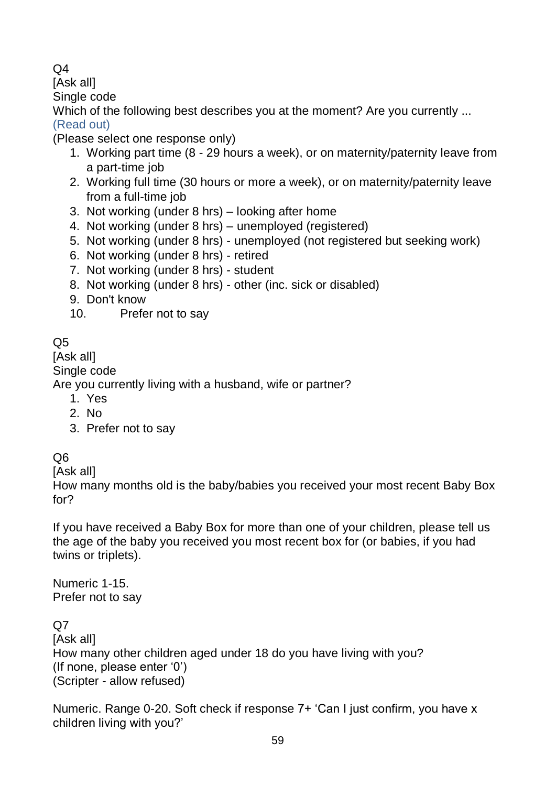### $\Omega$ 4

[Ask all]

Single code

Which of the following best describes you at the moment? Are you currently ...

(Read out) (Please select one response only)

- 1. Working part time (8 29 hours a week), or on maternity/paternity leave from a part-time job
- 2. Working full time (30 hours or more a week), or on maternity/paternity leave from a full-time job
- 3. Not working (under 8 hrs) looking after home
- 4. Not working (under 8 hrs) unemployed (registered)
- 5. Not working (under 8 hrs) unemployed (not registered but seeking work)
- 6. Not working (under 8 hrs) retired
- 7. Not working (under 8 hrs) student
- 8. Not working (under 8 hrs) other (inc. sick or disabled)
- 9. Don't know
- 10. Prefer not to say

 $Q<sub>5</sub>$ 

[Ask all]

Single code

Are you currently living with a husband, wife or partner?

- 1. Yes
- 2. No
- 3. Prefer not to say

Q6

[Ask all]

How many months old is the baby/babies you received your most recent Baby Box for?

If you have received a Baby Box for more than one of your children, please tell us the age of the baby you received you most recent box for (or babies, if you had twins or triplets).

Numeric 1-15. Prefer not to say

Q7

[Ask all] How many other children aged under 18 do you have living with you? (If none, please enter '0') (Scripter - allow refused)

Numeric. Range 0-20. Soft check if response 7+ 'Can I just confirm, you have x children living with you?'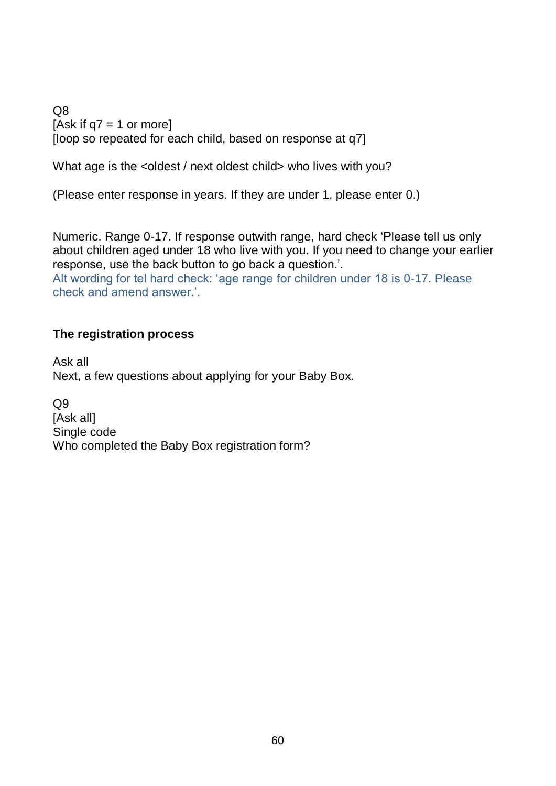Q8 [Ask if  $q7 = 1$  or more] [loop so repeated for each child, based on response at q7]

What age is the <oldest / next oldest child> who lives with you?

(Please enter response in years. If they are under 1, please enter 0.)

Numeric. Range 0-17. If response outwith range, hard check 'Please tell us only about children aged under 18 who live with you. If you need to change your earlier response, use the back button to go back a question.'.

Alt wording for tel hard check: 'age range for children under 18 is 0-17. Please check and amend answer.'.

#### **The registration process**

Ask all Next, a few questions about applying for your Baby Box.

Q9 [Ask all] Single code Who completed the Baby Box registration form?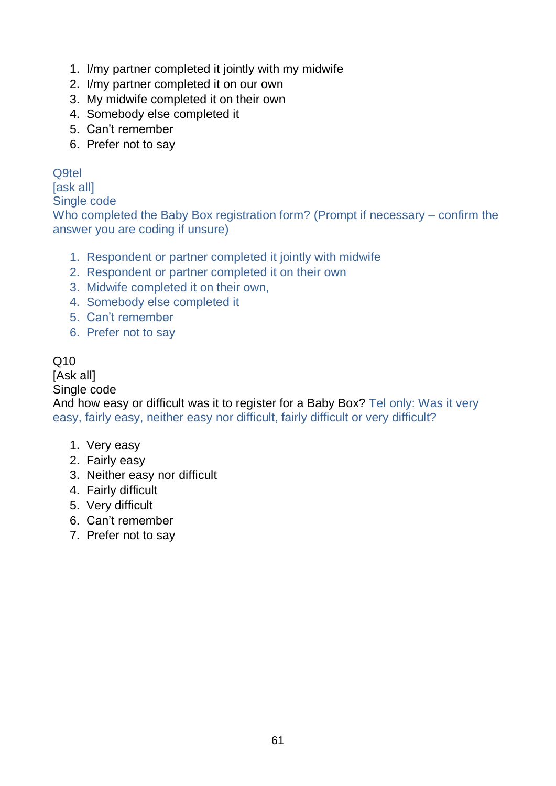- 1. I/my partner completed it jointly with my midwife
- 2. I/my partner completed it on our own
- 3. My midwife completed it on their own
- 4. Somebody else completed it
- 5. Can't remember
- 6. Prefer not to say

#### Q9tel

[ask all]

Single code

Who completed the Baby Box registration form? (Prompt if necessary – confirm the answer you are coding if unsure)

- 1. Respondent or partner completed it jointly with midwife
- 2. Respondent or partner completed it on their own
- 3. Midwife completed it on their own,
- 4. Somebody else completed it
- 5. Can't remember
- 6. Prefer not to say

#### Q10

[Ask all]

Single code

And how easy or difficult was it to register for a Baby Box? Tel only: Was it very easy, fairly easy, neither easy nor difficult, fairly difficult or very difficult?

- 1. Very easy
- 2. Fairly easy
- 3. Neither easy nor difficult
- 4. Fairly difficult
- 5. Very difficult
- 6. Can't remember
- 7. Prefer not to say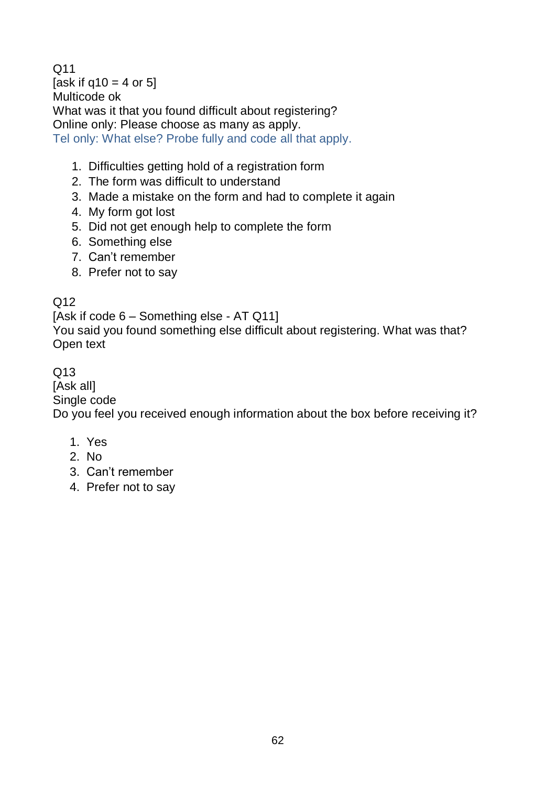$O<sub>11</sub>$ [ask if  $q10 = 4$  or 5] Multicode ok What was it that you found difficult about registering? Online only: Please choose as many as apply. Tel only: What else? Probe fully and code all that apply.

- 1. Difficulties getting hold of a registration form
- 2. The form was difficult to understand
- 3. Made a mistake on the form and had to complete it again
- 4. My form got lost
- 5. Did not get enough help to complete the form
- 6. Something else
- 7. Can't remember
- 8. Prefer not to say

#### Q12

[Ask if code 6 – Something else - AT Q11]

You said you found something else difficult about registering. What was that? Open text

#### Q13

[Ask all]

Single code

Do you feel you received enough information about the box before receiving it?

- 1. Yes
- 2. No
- 3. Can't remember
- 4. Prefer not to say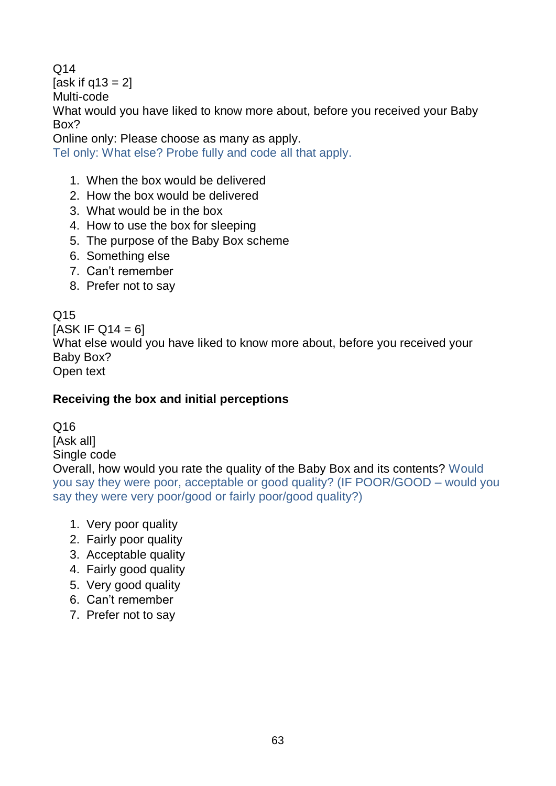$O<sub>14</sub>$ [ask if  $q13 = 2$ ] Multi-code What would you have liked to know more about, before you received your Baby Box? Online only: Please choose as many as apply.

Tel only: What else? Probe fully and code all that apply.

- 1. When the box would be delivered
- 2. How the box would be delivered
- 3. What would be in the box
- 4. How to use the box for sleeping
- 5. The purpose of the Baby Box scheme
- 6. Something else
- 7. Can't remember
- 8. Prefer not to say

## $O<sub>15</sub>$

 $[ASK IF Q14 = 6]$ What else would you have liked to know more about, before you received your Baby Box? Open text

## **Receiving the box and initial perceptions**

Q16 [Ask all] Single code

Overall, how would you rate the quality of the Baby Box and its contents? Would you say they were poor, acceptable or good quality? (IF POOR/GOOD – would you say they were very poor/good or fairly poor/good quality?)

- 1. Very poor quality
- 2. Fairly poor quality
- 3. Acceptable quality
- 4. Fairly good quality
- 5. Very good quality
- 6. Can't remember
- 7. Prefer not to say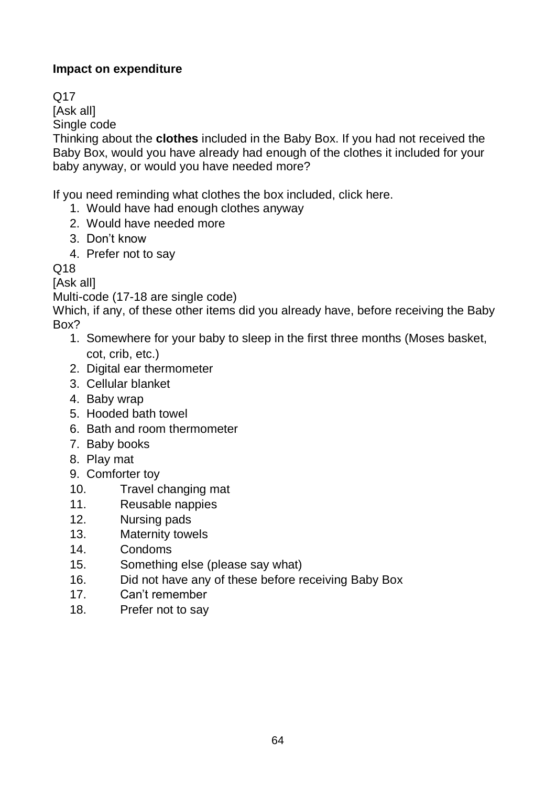## **Impact on expenditure**

Q17

[Ask all]

Single code

Thinking about the **clothes** included in the Baby Box. If you had not received the Baby Box, would you have already had enough of the clothes it included for your baby anyway, or would you have needed more?

If you need reminding what clothes the box included, click here.

1. Would have had enough clothes anyway

- 2. Would have needed more
- 3. Don't know
- 4. Prefer not to say

Q18

[Ask all]

Multi-code (17-18 are single code)

Which, if any, of these other items did you already have, before receiving the Baby Box?

- 1. Somewhere for your baby to sleep in the first three months (Moses basket, cot, crib, etc.)
- 2. Digital ear thermometer
- 3. Cellular blanket
- 4. Baby wrap
- 5. Hooded bath towel
- 6. Bath and room thermometer
- 7. Baby books
- 8. Play mat
- 9. Comforter toy
- 10. Travel changing mat
- 11. Reusable nappies
- 12. Nursing pads
- 13. Maternity towels
- 14. Condoms
- 15. Something else (please say what)
- 16. Did not have any of these before receiving Baby Box
- 17. Can't remember
- 18. Prefer not to say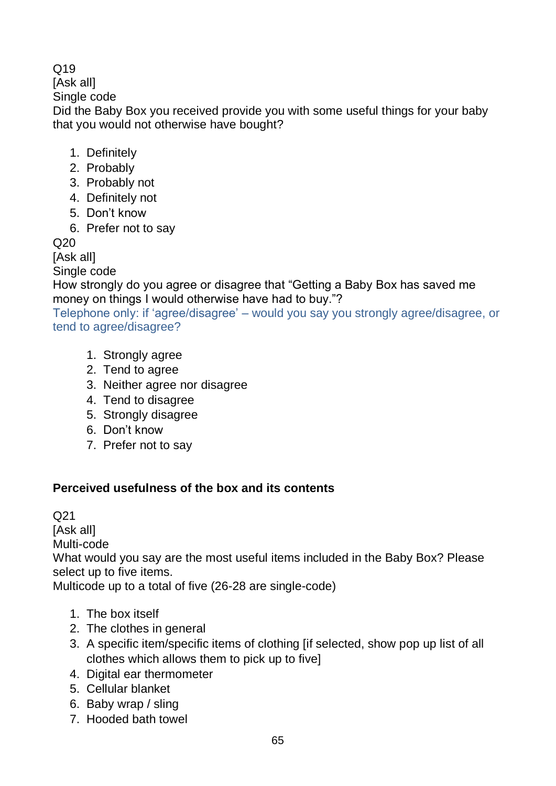# $O<sub>19</sub>$

[Ask all]

Single code

Did the Baby Box you received provide you with some useful things for your baby that you would not otherwise have bought?

- 1. Definitely
- 2. Probably
- 3. Probably not
- 4. Definitely not
- 5. Don't know
- 6. Prefer not to say

Q20

[Ask all]

Single code

How strongly do you agree or disagree that "Getting a Baby Box has saved me money on things I would otherwise have had to buy."?

Telephone only: if 'agree/disagree' – would you say you strongly agree/disagree, or tend to agree/disagree?

- 1. Strongly agree
- 2. Tend to agree
- 3. Neither agree nor disagree
- 4. Tend to disagree
- 5. Strongly disagree
- 6. Don't know
- 7. Prefer not to say

# **Perceived usefulness of the box and its contents**

Q21 [Ask all] Multi-code What would you say are the most useful items included in the Baby Box? Please select up to five items. Multicode up to a total of five (26-28 are single-code)

- 1. The box itself
- 2. The clothes in general
- 3. A specific item/specific items of clothing [if selected, show pop up list of all clothes which allows them to pick up to five]
- 4. Digital ear thermometer
- 5. Cellular blanket
- 6. Baby wrap / sling
- 7. Hooded bath towel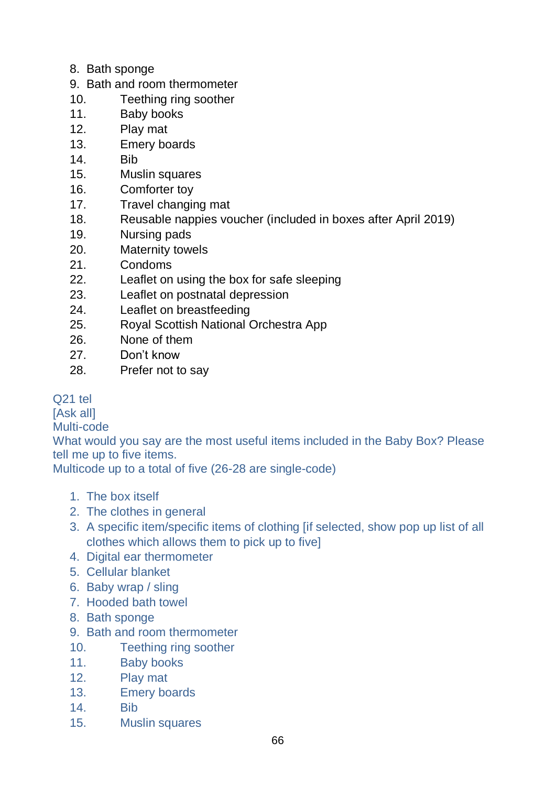- 8. Bath sponge
- 9. Bath and room thermometer
- 10. Teething ring soother
- 11. Baby books
- 12. Play mat
- 13. Emery boards
- 14. Bib
- 15. Muslin squares
- 16. Comforter toy
- 17. Travel changing mat
- 18. Reusable nappies voucher (included in boxes after April 2019)
- 19. Nursing pads
- 20. Maternity towels
- 21. Condoms
- 22. Leaflet on using the box for safe sleeping
- 23. Leaflet on postnatal depression
- 24. Leaflet on breastfeeding
- 25. Royal Scottish National Orchestra App
- 26. None of them
- 27. Don't know
- 28. Prefer not to say

Q21 tel

[Ask all]

Multi-code

What would you say are the most useful items included in the Baby Box? Please tell me up to five items.

Multicode up to a total of five (26-28 are single-code)

- 1. The box itself
- 2. The clothes in general
- 3. A specific item/specific items of clothing [if selected, show pop up list of all clothes which allows them to pick up to five]
- 4. Digital ear thermometer
- 5. Cellular blanket
- 6. Baby wrap / sling
- 7. Hooded bath towel
- 8. Bath sponge
- 9. Bath and room thermometer
- 10. Teething ring soother
- 11. Baby books
- 12. Play mat
- 13. Emery boards
- 14. Bib
- 15. Muslin squares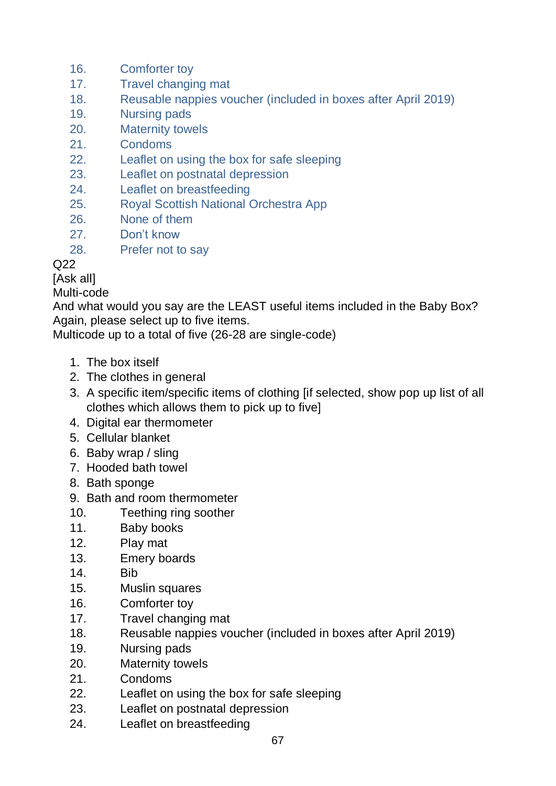- 16. Comforter toy
- 17. Travel changing mat
- 18. Reusable nappies voucher (included in boxes after April 2019)
- 19. Nursing pads
- 20. Maternity towels
- 21. Condoms
- 22. Leaflet on using the box for safe sleeping
- 23. Leaflet on postnatal depression
- 24. Leaflet on breastfeeding
- 25. Royal Scottish National Orchestra App
- 26. None of them
- 27. Don't know
- 28. Prefer not to say

# $O<sub>22</sub>$

[Ask all]

#### Multi-code

And what would you say are the LEAST useful items included in the Baby Box? Again, please select up to five items.

Multicode up to a total of five (26-28 are single-code)

- 1. The box itself
- 2. The clothes in general
- 3. A specific item/specific items of clothing [if selected, show pop up list of all clothes which allows them to pick up to five]
- 4. Digital ear thermometer
- 5. Cellular blanket
- 6. Baby wrap / sling
- 7. Hooded bath towel
- 8. Bath sponge
- 9. Bath and room thermometer
- 10. Teething ring soother
- 11. Baby books
- 12. Play mat
- 13. Emery boards
- 14. Bib
- 15. Muslin squares
- 16. Comforter toy
- 17. Travel changing mat
- 18. Reusable nappies voucher (included in boxes after April 2019)
- 19. Nursing pads
- 20. Maternity towels
- 21. Condoms
- 22. Leaflet on using the box for safe sleeping
- 23. Leaflet on postnatal depression
- 24. Leaflet on breastfeeding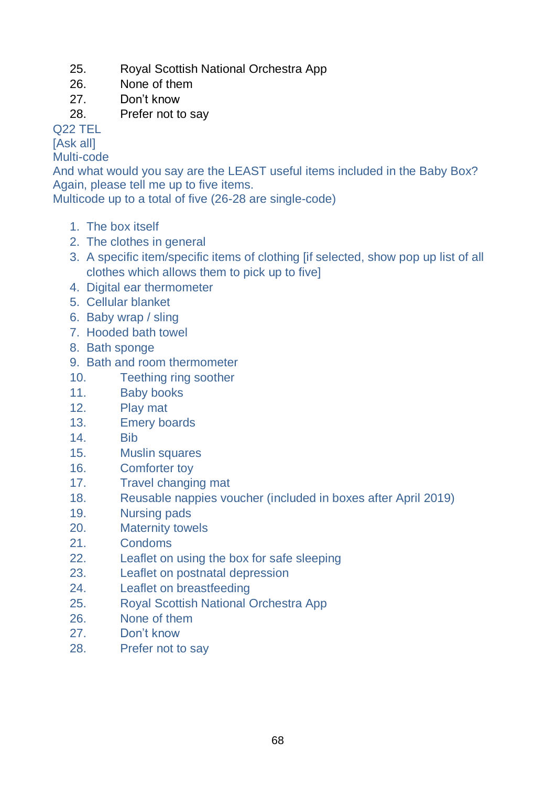- 25. Royal Scottish National Orchestra App
- 26. None of them
- 27. Don't know
- 28. Prefer not to say

Q22 TEL

[Ask all]

Multi-code

And what would you say are the LEAST useful items included in the Baby Box? Again, please tell me up to five items.

Multicode up to a total of five (26-28 are single-code)

- 1. The box itself
- 2. The clothes in general
- 3. A specific item/specific items of clothing [if selected, show pop up list of all clothes which allows them to pick up to five]
- 4. Digital ear thermometer
- 5. Cellular blanket
- 6. Baby wrap / sling
- 7. Hooded bath towel
- 8. Bath sponge
- 9. Bath and room thermometer
- 10. Teething ring soother
- 11. Baby books
- 12. Play mat
- 13. Emery boards
- 14. Bib
- 15. Muslin squares
- 16. Comforter toy
- 17. Travel changing mat
- 18. Reusable nappies voucher (included in boxes after April 2019)
- 19. Nursing pads
- 20. Maternity towels
- 21. Condoms
- 22. Leaflet on using the box for safe sleeping
- 23. Leaflet on postnatal depression
- 24. Leaflet on breastfeeding
- 25. Royal Scottish National Orchestra App
- 26. None of them
- 27. Don't know
- 28. Prefer not to say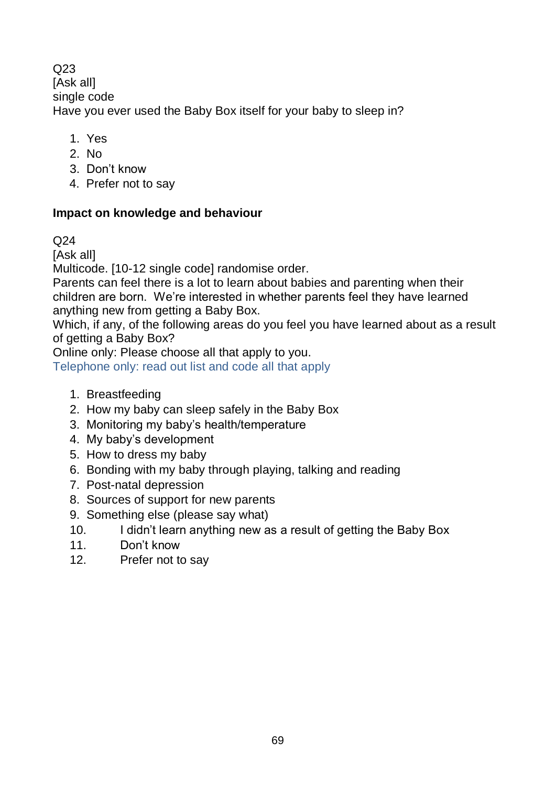$O<sub>23</sub>$ [Ask all] single code Have you ever used the Baby Box itself for your baby to sleep in?

- 1. Yes
- 2. No
- 3. Don't know
- 4. Prefer not to say

## **Impact on knowledge and behaviour**

#### Q24

[Ask all]

Multicode. [10-12 single code] randomise order.

Parents can feel there is a lot to learn about babies and parenting when their children are born. We're interested in whether parents feel they have learned anything new from getting a Baby Box.

Which, if any, of the following areas do you feel you have learned about as a result of getting a Baby Box?

Online only: Please choose all that apply to you.

Telephone only: read out list and code all that apply

- 1. Breastfeeding
- 2. How my baby can sleep safely in the Baby Box
- 3. Monitoring my baby's health/temperature
- 4. My baby's development
- 5. How to dress my baby
- 6. Bonding with my baby through playing, talking and reading
- 7. Post-natal depression
- 8. Sources of support for new parents
- 9. Something else (please say what)
- 10. I didn't learn anything new as a result of getting the Baby Box
- 11. Don't know
- 12. Prefer not to say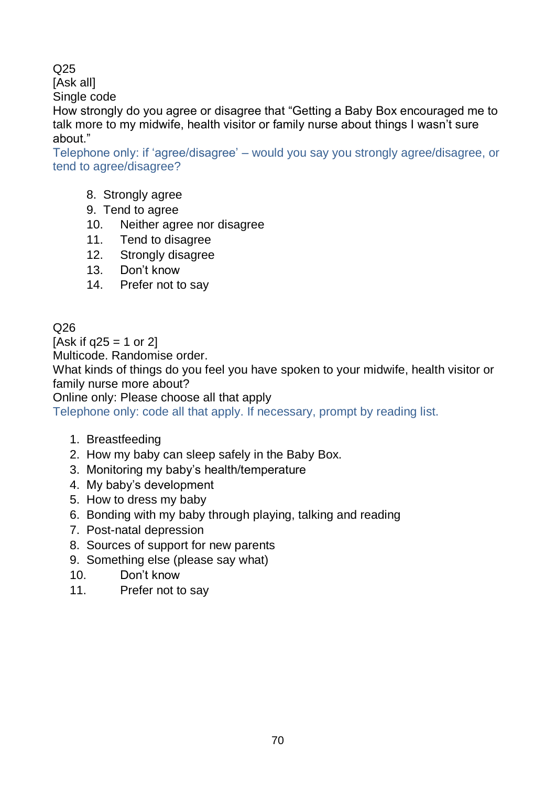Q<sub>25</sub>

[Ask all]

Single code

How strongly do you agree or disagree that "Getting a Baby Box encouraged me to talk more to my midwife, health visitor or family nurse about things I wasn't sure about."

Telephone only: if 'agree/disagree' – would you say you strongly agree/disagree, or tend to agree/disagree?

- 8. Strongly agree
- 9. Tend to agree
- 10. Neither agree nor disagree
- 11. Tend to disagree
- 12. Strongly disagree
- 13. Don't know
- 14. Prefer not to say

# Q26

[Ask if  $a25 = 1$  or 2] Multicode. Randomise order. What kinds of things do you feel you have spoken to your midwife, health visitor or family nurse more about?

Online only: Please choose all that apply

Telephone only: code all that apply. If necessary, prompt by reading list.

- 1. Breastfeeding
- 2. How my baby can sleep safely in the Baby Box.
- 3. Monitoring my baby's health/temperature
- 4. My baby's development
- 5. How to dress my baby
- 6. Bonding with my baby through playing, talking and reading
- 7. Post-natal depression
- 8. Sources of support for new parents
- 9. Something else (please say what)
- 10. Don't know
- 11. Prefer not to say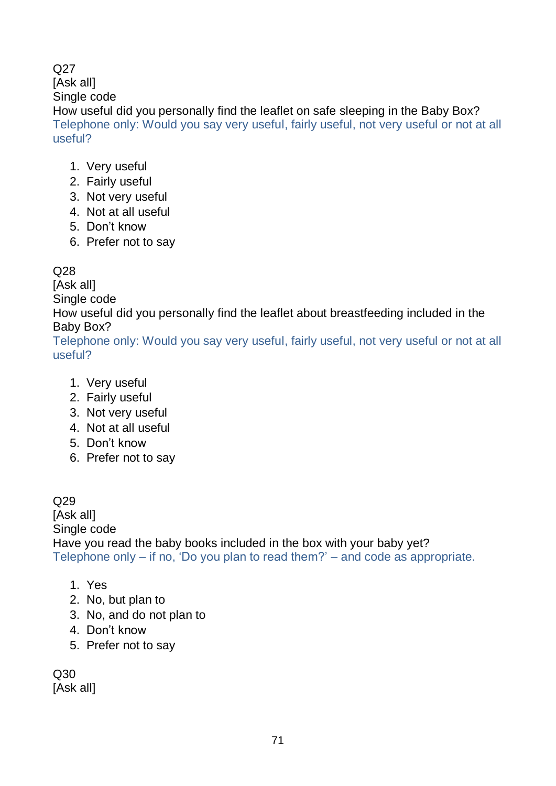#### Q<sub>27</sub> [Ask all] Single code How useful did you personally find the leaflet on safe sleeping in the Baby Box? Telephone only: Would you say very useful, fairly useful, not very useful or not at all useful?

- 1. Very useful
- 2. Fairly useful
- 3. Not very useful
- 4. Not at all useful
- 5. Don't know
- 6. Prefer not to say

## Q28

[Ask all]

Single code

How useful did you personally find the leaflet about breastfeeding included in the Baby Box?

Telephone only: Would you say very useful, fairly useful, not very useful or not at all useful?

- 1. Very useful
- 2. Fairly useful
- 3. Not very useful
- 4. Not at all useful
- 5. Don't know
- 6. Prefer not to say

#### Q29 [Ask all] Single code Have you read the baby books included in the box with your baby yet? Telephone only – if no, 'Do you plan to read them?' – and code as appropriate.

- 1. Yes
- 2. No, but plan to
- 3. No, and do not plan to
- 4. Don't know
- 5. Prefer not to say

Q30 [Ask all]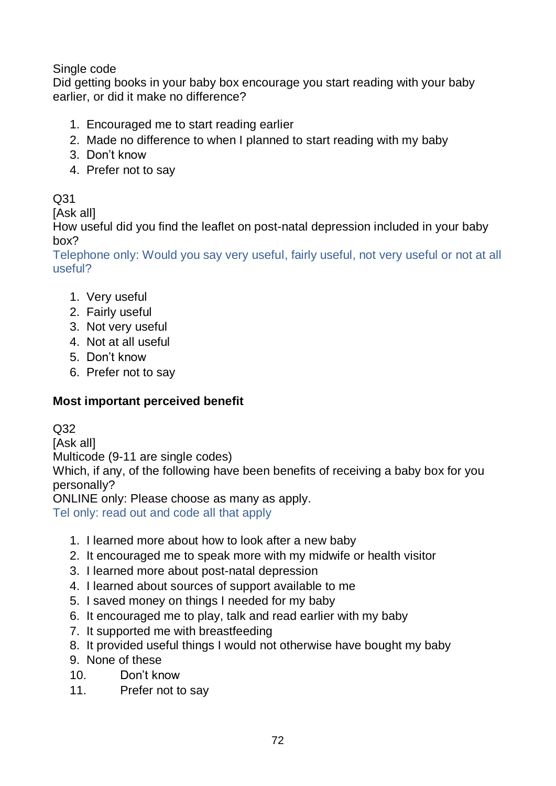## Single code

Did getting books in your baby box encourage you start reading with your baby earlier, or did it make no difference?

- 1. Encouraged me to start reading earlier
- 2. Made no difference to when I planned to start reading with my baby
- 3. Don't know
- 4. Prefer not to say

# Q31

[Ask all]

How useful did you find the leaflet on post-natal depression included in your baby box?

Telephone only: Would you say very useful, fairly useful, not very useful or not at all useful?

- 1. Very useful
- 2. Fairly useful
- 3. Not very useful
- 4. Not at all useful
- 5. Don't know
- 6. Prefer not to say

# **Most important perceived benefit**

Q32

[Ask all]

Multicode (9-11 are single codes)

Which, if any, of the following have been benefits of receiving a baby box for you personally?

ONLINE only: Please choose as many as apply.

Tel only: read out and code all that apply

- 1. I learned more about how to look after a new baby
- 2. It encouraged me to speak more with my midwife or health visitor
- 3. I learned more about post-natal depression
- 4. I learned about sources of support available to me
- 5. I saved money on things I needed for my baby
- 6. It encouraged me to play, talk and read earlier with my baby
- 7. It supported me with breastfeeding
- 8. It provided useful things I would not otherwise have bought my baby
- 9. None of these
- 10. Don't know
- 11. Prefer not to say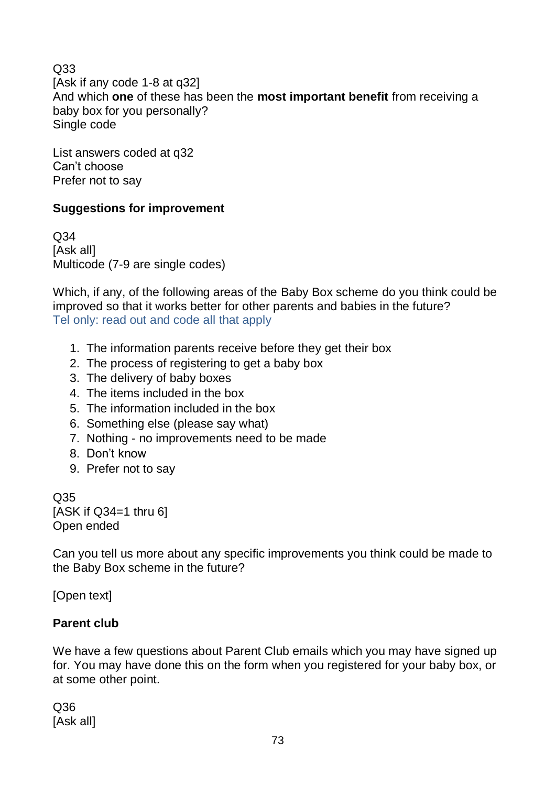Q33 [Ask if any code 1-8 at q32] And which **one** of these has been the **most important benefit** from receiving a baby box for you personally? Single code

List answers coded at q32 Can't choose Prefer not to say

# **Suggestions for improvement**

Q34 [Ask all] Multicode (7-9 are single codes)

Which, if any, of the following areas of the Baby Box scheme do you think could be improved so that it works better for other parents and babies in the future? Tel only: read out and code all that apply

- 1. The information parents receive before they get their box
- 2. The process of registering to get a baby box
- 3. The delivery of baby boxes
- 4. The items included in the box
- 5. The information included in the box
- 6. Something else (please say what)
- 7. Nothing no improvements need to be made
- 8. Don't know
- 9. Prefer not to say

Q35 [ASK if  $Q34=1$  thru 6] Open ended

Can you tell us more about any specific improvements you think could be made to the Baby Box scheme in the future?

[Open text]

# **Parent club**

We have a few questions about Parent Club emails which you may have signed up for. You may have done this on the form when you registered for your baby box, or at some other point.

Q36 [Ask all]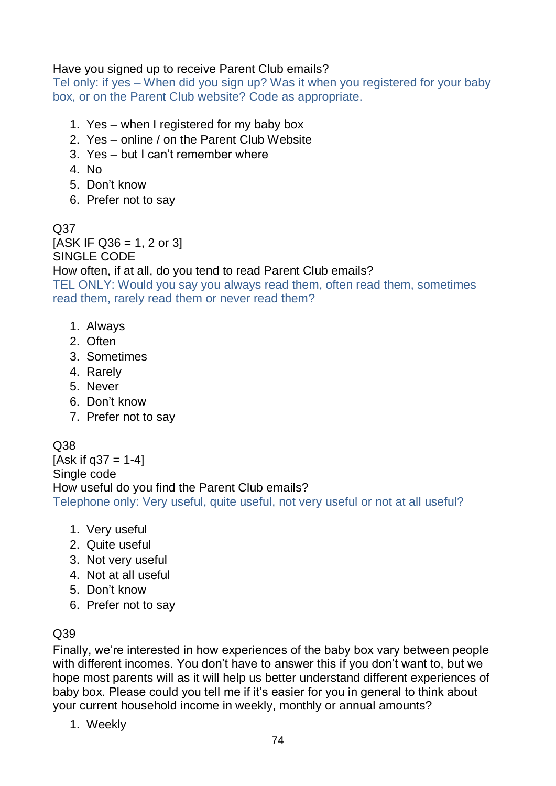#### Have you signed up to receive Parent Club emails?

Tel only: if yes – When did you sign up? Was it when you registered for your baby box, or on the Parent Club website? Code as appropriate.

- 1. Yes when I registered for my baby box
- 2. Yes online / on the Parent Club Website
- 3. Yes but I can't remember where
- 4. No
- 5. Don't know
- 6. Prefer not to say

Q37  $[ASK IF Q36 = 1, 2 or 3]$ SINGLE CODE How often, if at all, do you tend to read Parent Club emails? TEL ONLY: Would you say you always read them, often read them, sometimes read them, rarely read them or never read them?

- 1. Always
- 2. Often
- 3. Sometimes
- 4. Rarely
- 5. Never
- 6. Don't know
- 7. Prefer not to say

# Q38

[Ask if  $q37 = 1-4$ ] Single code How useful do you find the Parent Club emails? Telephone only: Very useful, quite useful, not very useful or not at all useful?

- 1. Very useful
- 2. Quite useful
- 3. Not very useful
- 4. Not at all useful
- 5. Don't know
- 6. Prefer not to say

# Q39

Finally, we're interested in how experiences of the baby box vary between people with different incomes. You don't have to answer this if you don't want to, but we hope most parents will as it will help us better understand different experiences of baby box. Please could you tell me if it's easier for you in general to think about your current household income in weekly, monthly or annual amounts?

1. Weekly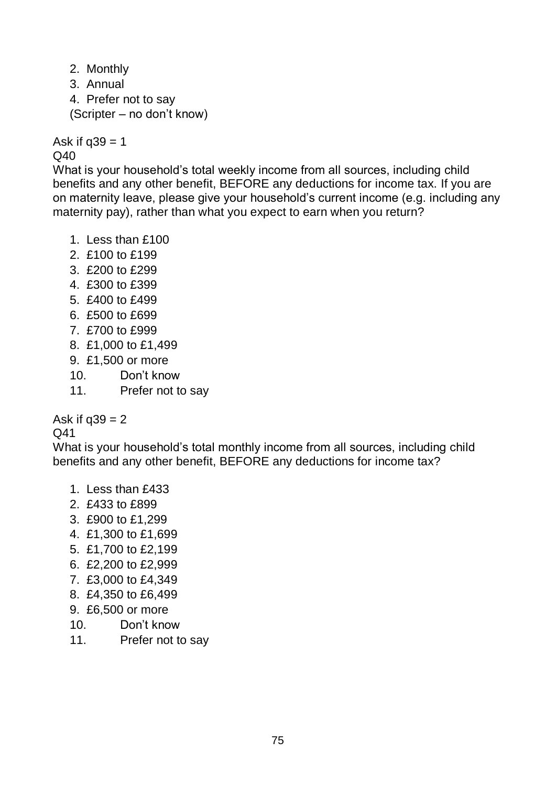2. Monthly 3. Annual 4. Prefer not to say (Scripter – no don't know)

Ask if  $q39 = 1$ Q40

What is your household's total weekly income from all sources, including child benefits and any other benefit, BEFORE any deductions for income tax. If you are on maternity leave, please give your household's current income (e.g. including any maternity pay), rather than what you expect to earn when you return?

- 1. Less than £100
- 2. £100 to £199
- 3. £200 to £299
- 4. £300 to £399
- 5. £400 to £499
- 6. £500 to £699
- 7. £700 to £999
- 8. £1,000 to £1,499
- 9. £1,500 or more
- 10. Don't know
- 11. Prefer not to say

Ask if  $q39 = 2$ 

#### Q41

What is your household's total monthly income from all sources, including child benefits and any other benefit, BEFORE any deductions for income tax?

- 1. Less than £433
- 2. £433 to £899
- 3. £900 to £1,299
- 4. £1,300 to £1,699
- 5. £1,700 to £2,199
- 6. £2,200 to £2,999
- 7. £3,000 to £4,349
- 8. £4,350 to £6,499
- 9. £6,500 or more
- 10. Don't know
- 11. Prefer not to say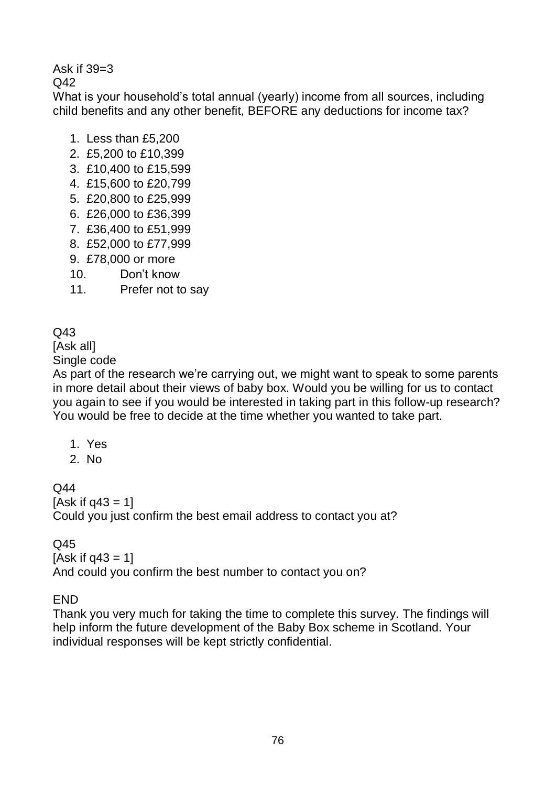Ask if 39=3

 $Q<sub>42</sub>$ 

What is your household's total annual (yearly) income from all sources, including child benefits and any other benefit, BEFORE any deductions for income tax?

- 1. Less than £5,200
- 2. £5,200 to £10,399
- 3. £10,400 to £15,599
- 4. £15,600 to £20,799
- 5. £20,800 to £25,999
- 6. £26,000 to £36,399
- 7. £36,400 to £51,999
- 8. £52,000 to £77,999
- 9. £78,000 or more
- 10. Don't know
- 11. Prefer not to say

# Q43

[Ask all]

Single code

As part of the research we're carrying out, we might want to speak to some parents in more detail about their views of baby box. Would you be willing for us to contact you again to see if you would be interested in taking part in this follow-up research? You would be free to decide at the time whether you wanted to take part.

- 1. Yes
- 2. No

 $O<sub>44</sub>$ 

 $[Ask if a43 = 1]$ 

Could you just confirm the best email address to contact you at?

Q45

#### $[Ask if a43 = 1]$

And could you confirm the best number to contact you on?

**FND** 

Thank you very much for taking the time to complete this survey. The findings will help inform the future development of the Baby Box scheme in Scotland. Your individual responses will be kept strictly confidential.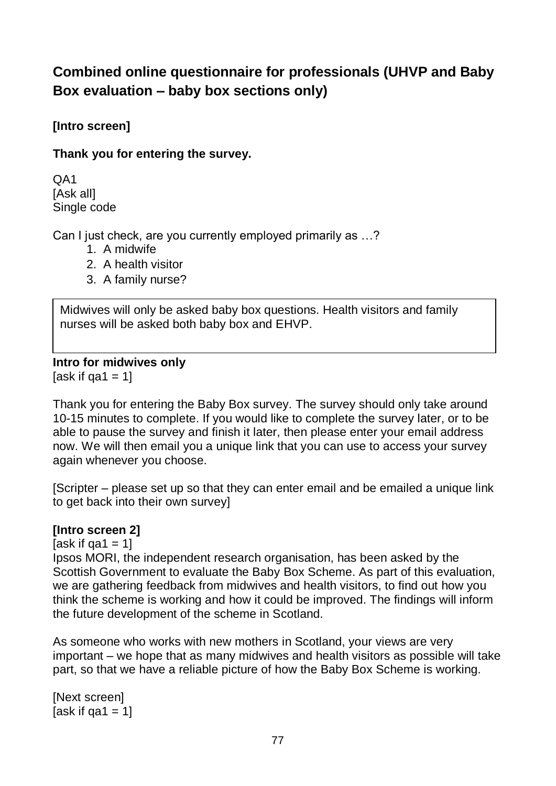# **Combined online questionnaire for professionals (UHVP and Baby Box evaluation – baby box sections only)**

**[Intro screen]** 

**Thank you for entering the survey.** 

QA1 [Ask all] Single code

Can I just check, are you currently employed primarily as …?

- 1. A midwife
- 2. A health visitor
- 3. A family nurse?

Midwives will only be asked baby box questions. Health visitors and family nurses will be asked both baby box and EHVP.

**Intro for midwives only**  [ask if qa1 =  $1$ ]

Thank you for entering the Baby Box survey. The survey should only take around 10-15 minutes to complete. If you would like to complete the survey later, or to be able to pause the survey and finish it later, then please enter your email address now. We will then email you a unique link that you can use to access your survey

again whenever you choose.

[Scripter – please set up so that they can enter email and be emailed a unique link to get back into their own survey]

#### **[Intro screen 2]**

[ask if  $qa1 = 1$ ]

Ipsos MORI, the independent research organisation, has been asked by the Scottish Government to evaluate the Baby Box Scheme. As part of this evaluation, we are gathering feedback from midwives and health visitors, to find out how you think the scheme is working and how it could be improved. The findings will inform the future development of the scheme in Scotland.

As someone who works with new mothers in Scotland, your views are very important – we hope that as many midwives and health visitors as possible will take part, so that we have a reliable picture of how the Baby Box Scheme is working.

[Next screen]  $[ask if aa1 = 1]$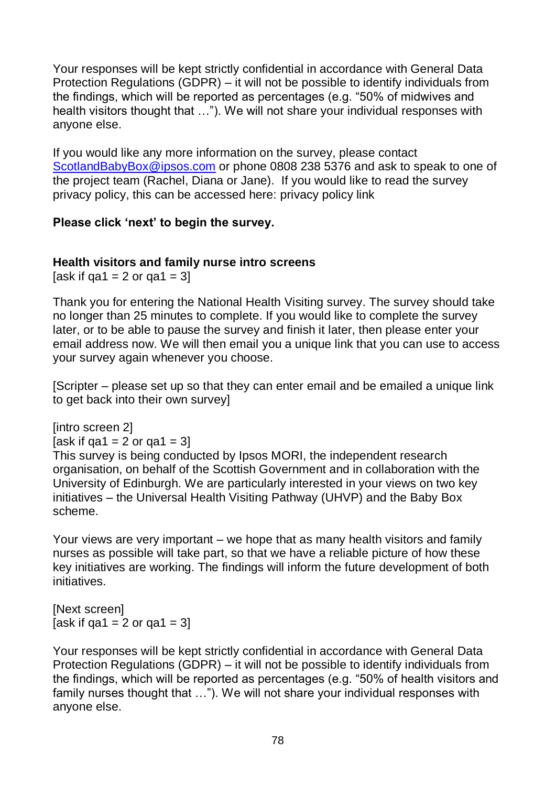Your responses will be kept strictly confidential in accordance with General Data Protection Regulations (GDPR) – it will not be possible to identify individuals from the findings, which will be reported as percentages (e.g. "50% of midwives and health visitors thought that …"). We will not share your individual responses with anyone else.

If you would like any more information on the survey, please contact [ScotlandBabyBox@ipsos.com](mailto:ScotlandBabyBox@ipsos.com) or phone 0808 238 5376 and ask to speak to one of the project team (Rachel, Diana or Jane). If you would like to read the survey privacy policy, this can be accessed here: privacy policy link

## **Please click 'next' to begin the survey.**

#### **Health visitors and family nurse intro screens**

[ask if  $qa1 = 2$  or  $qa1 = 3$ ]

Thank you for entering the National Health Visiting survey. The survey should take no longer than 25 minutes to complete. If you would like to complete the survey later, or to be able to pause the survey and finish it later, then please enter your email address now. We will then email you a unique link that you can use to access your survey again whenever you choose.

[Scripter – please set up so that they can enter email and be emailed a unique link to get back into their own survey]

[intro screen 2]

[ask if  $qa1 = 2$  or  $qa1 = 3$ ]

This survey is being conducted by Ipsos MORI, the independent research organisation, on behalf of the Scottish Government and in collaboration with the University of Edinburgh. We are particularly interested in your views on two key initiatives – the Universal Health Visiting Pathway (UHVP) and the Baby Box scheme.

Your views are very important – we hope that as many health visitors and family nurses as possible will take part, so that we have a reliable picture of how these key initiatives are working. The findings will inform the future development of both initiatives.

[Next screen] [ask if qa1 = 2 or qa1 = 3]

Your responses will be kept strictly confidential in accordance with General Data Protection Regulations (GDPR) – it will not be possible to identify individuals from the findings, which will be reported as percentages (e.g. "50% of health visitors and family nurses thought that …"). We will not share your individual responses with anyone else.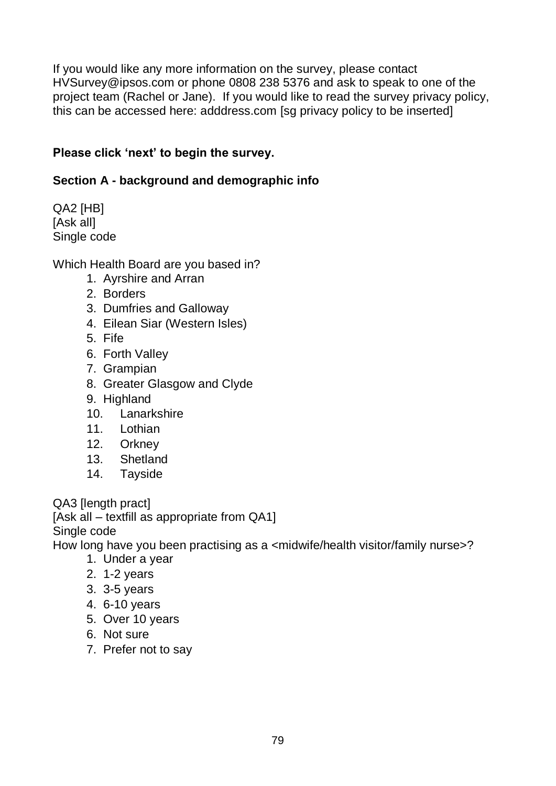If you would like any more information on the survey, please contact [HVSurvey@ipsos.com](mailto:UHVP@ipsos.com) or phone 0808 238 5376 and ask to speak to one of the project team (Rachel or Jane). If you would like to read the survey privacy policy, this can be accessed here: adddress.com [sg privacy policy to be inserted]

## **Please click 'next' to begin the survey.**

## **Section A - background and demographic info**

QA2 [HB] [Ask all] Single code

Which Health Board are you based in?

- 1. Ayrshire and Arran
- 2. Borders
- 3. Dumfries and Galloway
- 4. Eilean Siar (Western Isles)
- 5. Fife
- 6. Forth Valley
- 7. Grampian
- 8. Greater Glasgow and Clyde
- 9. Highland
- 10. Lanarkshire
- 11. Lothian
- 12. Orkney
- 13. Shetland
- 14. Tayside

QA3 [length pract]

[Ask all – textfill as appropriate from QA1]

Single code

How long have you been practising as a <midwife/health visitor/family nurse>?

- 1. Under a year
- 2. 1-2 years
- 3. 3-5 years
- 4. 6-10 years
- 5. Over 10 years
- 6. Not sure
- 7. Prefer not to say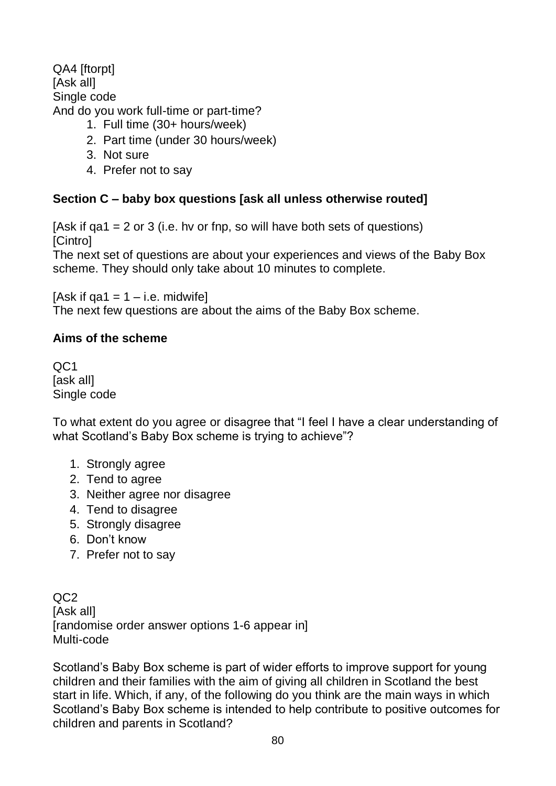QA4 [ftorpt] [Ask all] Single code And do you work full-time or part-time?

- 1. Full time (30+ hours/week)
- 2. Part time (under 30 hours/week)
- 3. Not sure
- 4. Prefer not to say

#### **Section C – baby box questions [ask all unless otherwise routed]**

[Ask if  $q$ a1 = 2 or 3 (i.e. hv or fnp, so will have both sets of questions) [Cintro]

The next set of questions are about your experiences and views of the Baby Box scheme. They should only take about 10 minutes to complete.

[Ask if qa1 =  $1 - i.e.$  midwife]

The next few questions are about the aims of the Baby Box scheme.

#### **Aims of the scheme**

QC1 [ask all] Single code

To what extent do you agree or disagree that "I feel I have a clear understanding of what Scotland's Baby Box scheme is trying to achieve"?

- 1. Strongly agree
- 2. Tend to agree
- 3. Neither agree nor disagree
- 4. Tend to disagree
- 5. Strongly disagree
- 6. Don't know
- 7. Prefer not to say

QC2 [Ask all] [randomise order answer options 1-6 appear in] Multi-code

Scotland's Baby Box scheme is part of wider efforts to improve support for young children and their families with the aim of giving all children in Scotland the best start in life. Which, if any, of the following do you think are the main ways in which Scotland's Baby Box scheme is intended to help contribute to positive outcomes for children and parents in Scotland?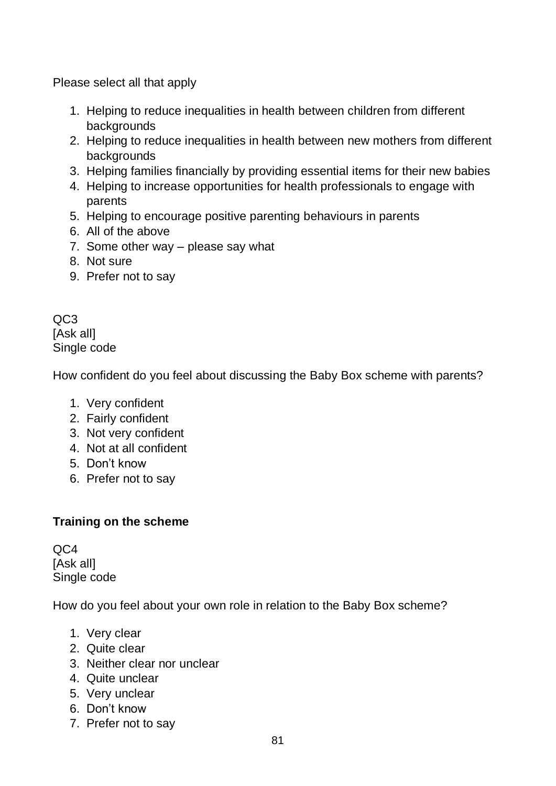Please select all that apply

- 1. Helping to reduce inequalities in health between children from different backgrounds
- 2. Helping to reduce inequalities in health between new mothers from different backgrounds
- 3. Helping families financially by providing essential items for their new babies
- 4. Helping to increase opportunities for health professionals to engage with parents
- 5. Helping to encourage positive parenting behaviours in parents
- 6. All of the above
- 7. Some other way please say what
- 8. Not sure
- 9. Prefer not to say

QC3 [Ask all] Single code

How confident do you feel about discussing the Baby Box scheme with parents?

- 1. Very confident
- 2. Fairly confident
- 3. Not very confident
- 4. Not at all confident
- 5. Don't know
- 6. Prefer not to say

# **Training on the scheme**

 $OC<sub>4</sub>$ [Ask all] Single code

How do you feel about your own role in relation to the Baby Box scheme?

- 1. Very clear
- 2. Quite clear
- 3. Neither clear nor unclear
- 4. Quite unclear
- 5. Very unclear
- 6. Don't know
- 7. Prefer not to say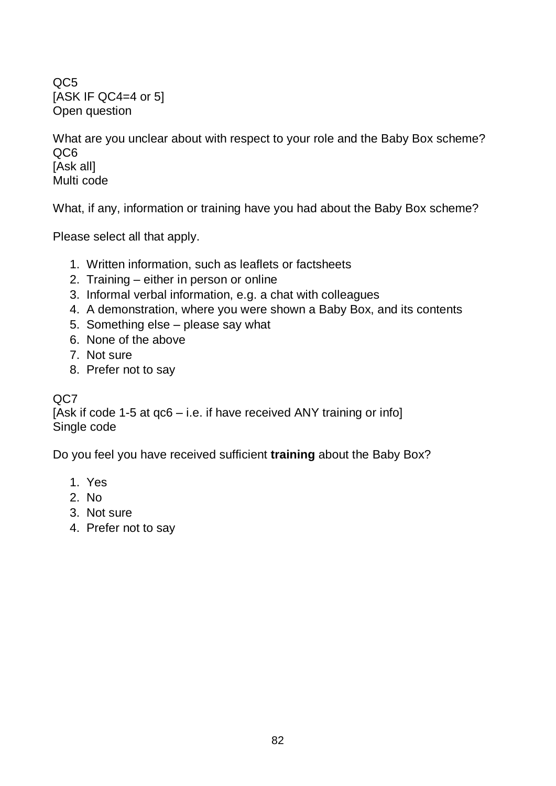QC5 [ASK IF QC4=4 or 5] Open question

What are you unclear about with respect to your role and the Baby Box scheme? QC6 [Ask all] Multi code

What, if any, information or training have you had about the Baby Box scheme?

Please select all that apply.

- 1. Written information, such as leaflets or factsheets
- 2. Training either in person or online
- 3. Informal verbal information, e.g. a chat with colleagues
- 4. A demonstration, where you were shown a Baby Box, and its contents
- 5. Something else please say what
- 6. None of the above
- 7. Not sure
- 8. Prefer not to say

QC7

[Ask if code 1-5 at qc6 – i.e. if have received ANY training or info] Single code

Do you feel you have received sufficient **training** about the Baby Box?

- 1. Yes
- 2. No
- 3. Not sure
- 4. Prefer not to say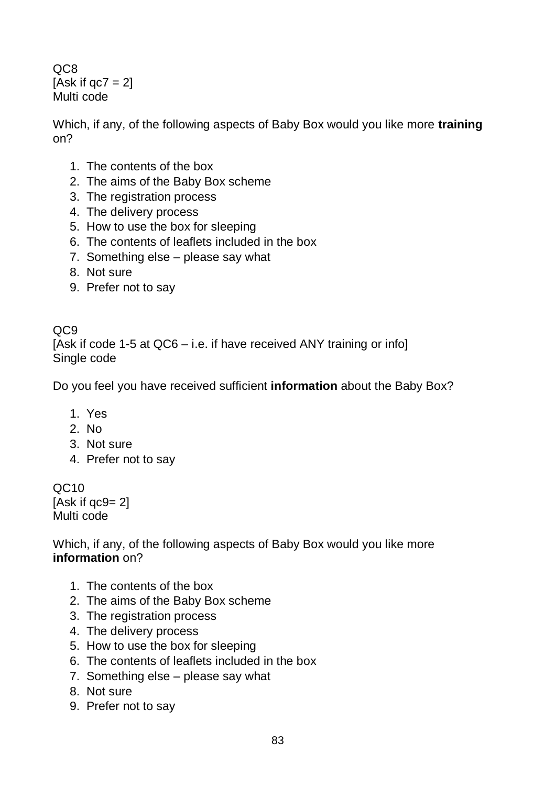QC8 [Ask if  $qc7 = 2$ ] Multi code

Which, if any, of the following aspects of Baby Box would you like more **training** on?

- 1. The contents of the box
- 2. The aims of the Baby Box scheme
- 3. The registration process
- 4. The delivery process
- 5. How to use the box for sleeping
- 6. The contents of leaflets included in the box
- 7. Something else please say what
- 8. Not sure
- 9. Prefer not to say

QC9 [Ask if code 1-5 at QC6 – i.e. if have received ANY training or info] Single code

Do you feel you have received sufficient **information** about the Baby Box?

- 1. Yes
- 2. No
- 3. Not sure
- 4. Prefer not to say

QC10 [Ask if qc9= 2] Multi code

Which, if any, of the following aspects of Baby Box would you like more **information** on?

- 1. The contents of the box
- 2. The aims of the Baby Box scheme
- 3. The registration process
- 4. The delivery process
- 5. How to use the box for sleeping
- 6. The contents of leaflets included in the box
- 7. Something else please say what
- 8. Not sure
- 9. Prefer not to say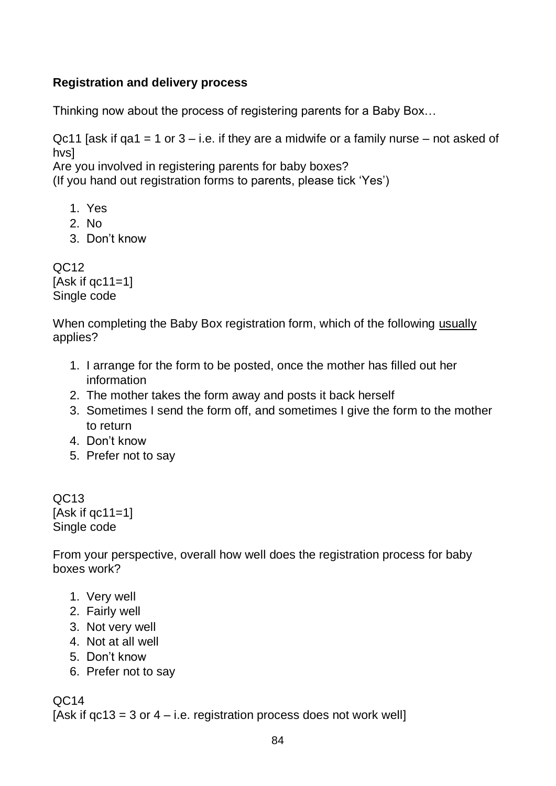# **Registration and delivery process**

Thinking now about the process of registering parents for a Baby Box…

Qc11 [ask if  $q$ a1 = 1 or 3 – i.e. if they are a midwife or a family nurse – not asked of hvs]

Are you involved in registering parents for baby boxes?

(If you hand out registration forms to parents, please tick 'Yes')

- 1. Yes
- 2. No
- 3. Don't know

 $OC12$  $[Ask if  $ac11=1]$ ]$ Single code

When completing the Baby Box registration form, which of the following usually applies?

- 1. I arrange for the form to be posted, once the mother has filled out her information
- 2. The mother takes the form away and posts it back herself
- 3. Sometimes I send the form off, and sometimes I give the form to the mother to return
- 4. Don't know
- 5. Prefer not to say

QC13 [Ask if  $qc11=1$ ] Single code

From your perspective, overall how well does the registration process for baby boxes work?

- 1. Very well
- 2. Fairly well
- 3. Not very well
- 4. Not at all well
- 5. Don't know
- 6. Prefer not to say

QC14

[Ask if  $qc13 = 3$  or  $4 - i.e.$  registration process does not work well]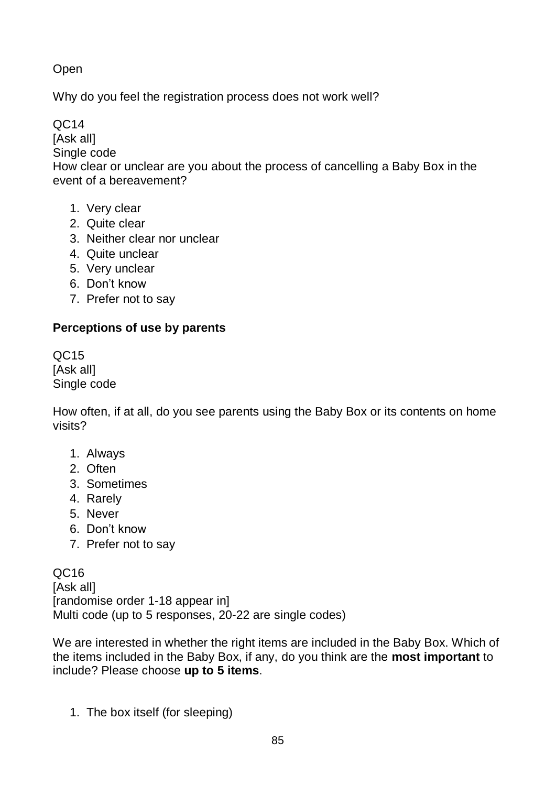Open

Why do you feel the registration process does not work well?

QC14

[Ask all]

Single code

How clear or unclear are you about the process of cancelling a Baby Box in the event of a bereavement?

- 1. Very clear
- 2. Quite clear
- 3. Neither clear nor unclear
- 4. Quite unclear
- 5. Very unclear
- 6. Don't know
- 7. Prefer not to say

# **Perceptions of use by parents**

QC15 [Ask all] Single code

How often, if at all, do you see parents using the Baby Box or its contents on home visits?

- 1. Always
- 2. Often
- 3. Sometimes
- 4. Rarely
- 5. Never
- 6. Don't know
- 7. Prefer not to say

QC16 [Ask all] [randomise order 1-18 appear in] Multi code (up to 5 responses, 20-22 are single codes)

We are interested in whether the right items are included in the Baby Box. Which of the items included in the Baby Box, if any, do you think are the **most important** to include? Please choose **up to 5 items**.

1. The box itself (for sleeping)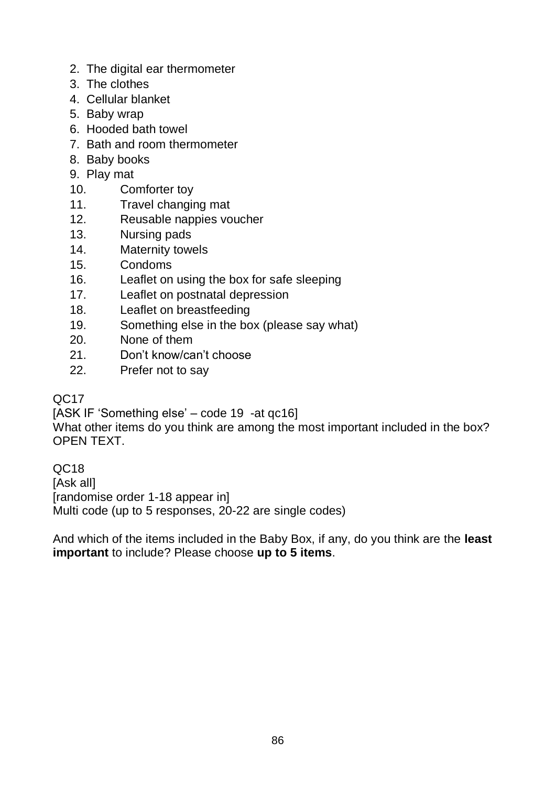- 2. The digital ear thermometer
- 3. The clothes
- 4. Cellular blanket
- 5. Baby wrap
- 6. Hooded bath towel
- 7. Bath and room thermometer
- 8. Baby books
- 9. Play mat
- 10. Comforter toy
- 11. Travel changing mat
- 12. Reusable nappies voucher
- 13. Nursing pads
- 14. Maternity towels
- 15. Condoms
- 16. Leaflet on using the box for safe sleeping
- 17. Leaflet on postnatal depression
- 18. Leaflet on breastfeeding
- 19. Something else in the box (please say what)
- 20. None of them
- 21. Don't know/can't choose
- 22. Prefer not to say

#### QC17

[ASK IF 'Something else' – code 19 -at qc16]

What other items do you think are among the most important included in the box? OPEN TEXT.

QC18 [Ask all] [randomise order 1-18 appear in] Multi code (up to 5 responses, 20-22 are single codes)

And which of the items included in the Baby Box, if any, do you think are the **least important** to include? Please choose **up to 5 items**.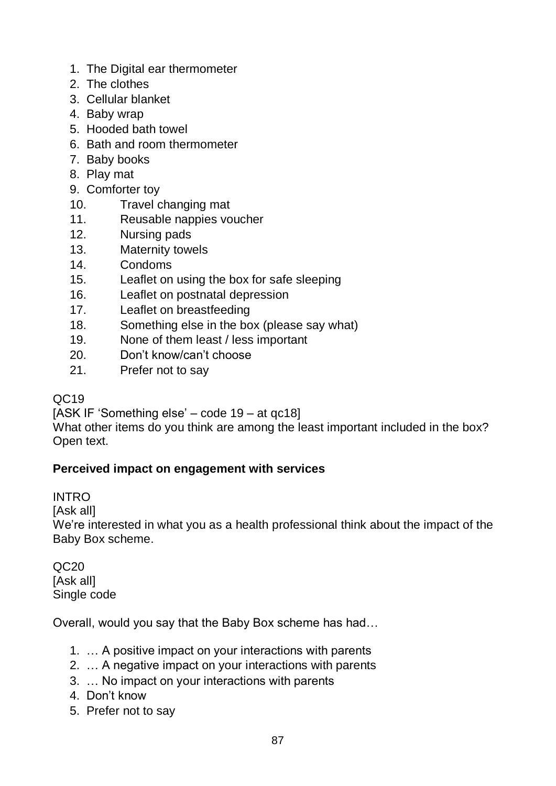- 1. The Digital ear thermometer
- 2. The clothes
- 3. Cellular blanket
- 4. Baby wrap
- 5. Hooded bath towel
- 6. Bath and room thermometer
- 7. Baby books
- 8. Play mat
- 9. Comforter toy
- 10. Travel changing mat
- 11. Reusable nappies voucher
- 12. Nursing pads
- 13. Maternity towels
- 14. Condoms
- 15. Leaflet on using the box for safe sleeping
- 16. Leaflet on postnatal depression
- 17. Leaflet on breastfeeding
- 18. Something else in the box (please say what)
- 19. None of them least / less important
- 20. Don't know/can't choose
- 21. Prefer not to say

# QC19

[ASK IF 'Something else' – code 19 – at qc18]

What other items do you think are among the least important included in the box? Open text.

# **Perceived impact on engagement with services**

INTRO

[Ask all]

We're interested in what you as a health professional think about the impact of the Baby Box scheme.

QC20 [Ask all] Single code

Overall, would you say that the Baby Box scheme has had…

- 1. … A positive impact on your interactions with parents
- 2. … A negative impact on your interactions with parents
- 3. … No impact on your interactions with parents
- 4. Don't know
- 5. Prefer not to say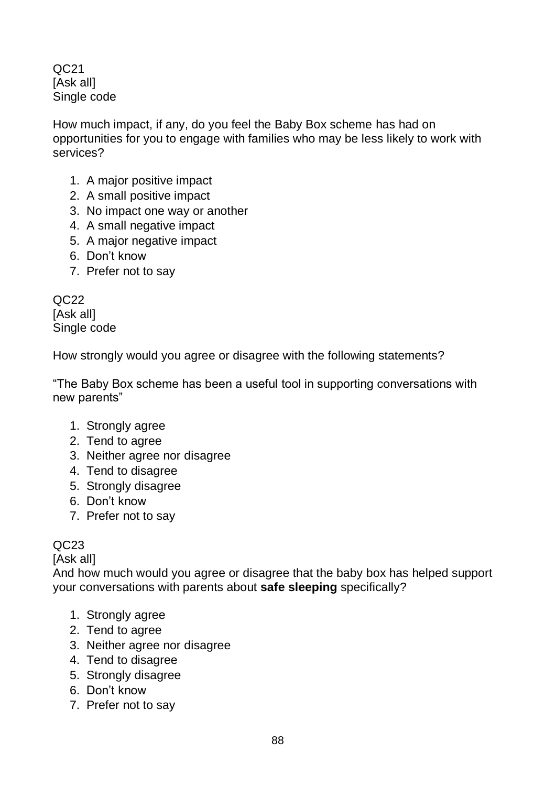QC21 [Ask all] Single code

How much impact, if any, do you feel the Baby Box scheme has had on opportunities for you to engage with families who may be less likely to work with services?

- 1. A major positive impact
- 2. A small positive impact
- 3. No impact one way or another
- 4. A small negative impact
- 5. A major negative impact
- 6. Don't know
- 7. Prefer not to say

QC22 [Ask all] Single code

How strongly would you agree or disagree with the following statements?

"The Baby Box scheme has been a useful tool in supporting conversations with new parents"

- 1. Strongly agree
- 2. Tend to agree
- 3. Neither agree nor disagree
- 4. Tend to disagree
- 5. Strongly disagree
- 6. Don't know
- 7. Prefer not to say

# QC23

[Ask all]

And how much would you agree or disagree that the baby box has helped support your conversations with parents about **safe sleeping** specifically?

- 1. Strongly agree
- 2. Tend to agree
- 3. Neither agree nor disagree
- 4. Tend to disagree
- 5. Strongly disagree
- 6. Don't know
- 7. Prefer not to say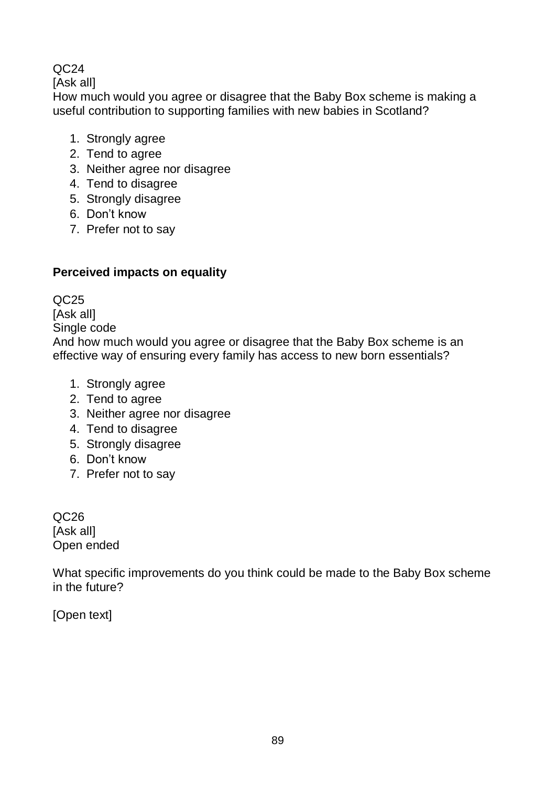# $OC<sub>24</sub>$

[Ask all]

How much would you agree or disagree that the Baby Box scheme is making a useful contribution to supporting families with new babies in Scotland?

- 1. Strongly agree
- 2. Tend to agree
- 3. Neither agree nor disagree
- 4. Tend to disagree
- 5. Strongly disagree
- 6. Don't know
- 7. Prefer not to say

# **Perceived impacts on equality**

QC25

[Ask all]

Single code

And how much would you agree or disagree that the Baby Box scheme is an effective way of ensuring every family has access to new born essentials?

- 1. Strongly agree
- 2. Tend to agree
- 3. Neither agree nor disagree
- 4. Tend to disagree
- 5. Strongly disagree
- 6. Don't know
- 7. Prefer not to say

QC26 [Ask all] Open ended

What specific improvements do you think could be made to the Baby Box scheme in the future?

[Open text]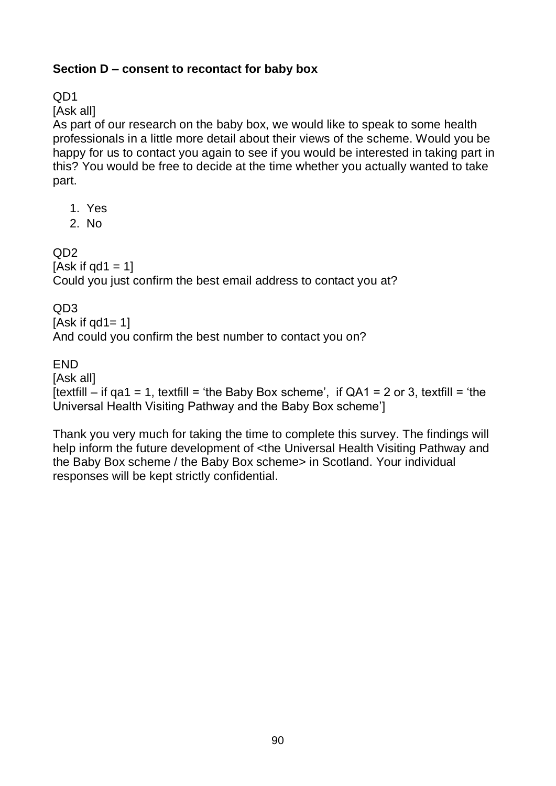## **Section D – consent to recontact for baby box**

QD1

[Ask all]

As part of our research on the baby box, we would like to speak to some health professionals in a little more detail about their views of the scheme. Would you be happy for us to contact you again to see if you would be interested in taking part in this? You would be free to decide at the time whether you actually wanted to take part.

- 1. Yes
- 2. No

 $OD2$ 

[Ask if  $qd1 = 1$ ] Could you just confirm the best email address to contact you at?

QD3

[Ask if  $qd1 = 1$ ]

And could you confirm the best number to contact you on?

**FND** 

[Ask all]

[textfill – if qa1 = 1, textfill = 'the Baby Box scheme', if  $QA1 = 2$  or 3, textfill = 'the Universal Health Visiting Pathway and the Baby Box scheme']

Thank you very much for taking the time to complete this survey. The findings will help inform the future development of <the Universal Health Visiting Pathway and the Baby Box scheme / the Baby Box scheme> in Scotland. Your individual responses will be kept strictly confidential.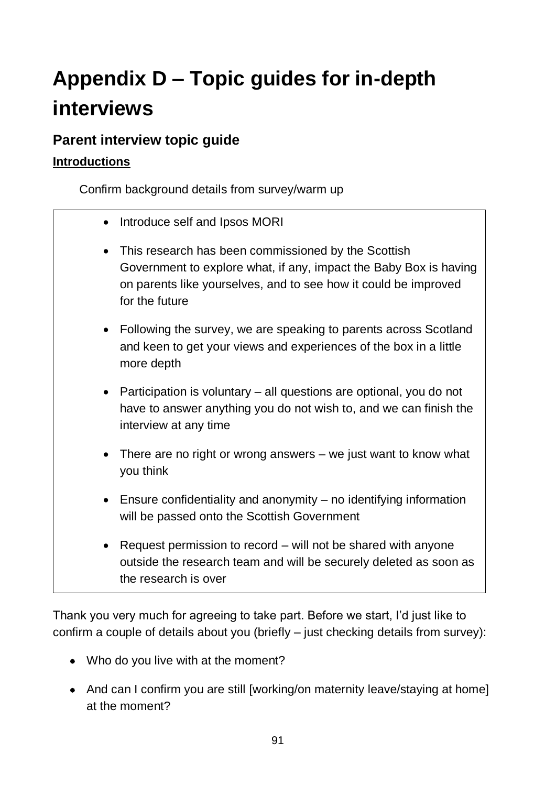# **Appendix D – Topic guides for in-depth interviews**

# **Parent interview topic guide**

# **Introductions**

Confirm background details from survey/warm up

- Introduce self and Ipsos MORI
- This research has been commissioned by the Scottish Government to explore what, if any, impact the Baby Box is having on parents like yourselves, and to see how it could be improved for the future
- Following the survey, we are speaking to parents across Scotland and keen to get your views and experiences of the box in a little more depth
- Participation is voluntary all questions are optional, you do not have to answer anything you do not wish to, and we can finish the interview at any time
- There are no right or wrong answers we just want to know what you think
- Ensure confidentiality and anonymity no identifying information will be passed onto the Scottish Government
- Request permission to record will not be shared with anyone outside the research team and will be securely deleted as soon as the research is over

Thank you very much for agreeing to take part. Before we start, I'd just like to confirm a couple of details about you (briefly – just checking details from survey):

- Who do you live with at the moment?
- And can I confirm you are still [working/on maternity leave/staying at home] at the moment?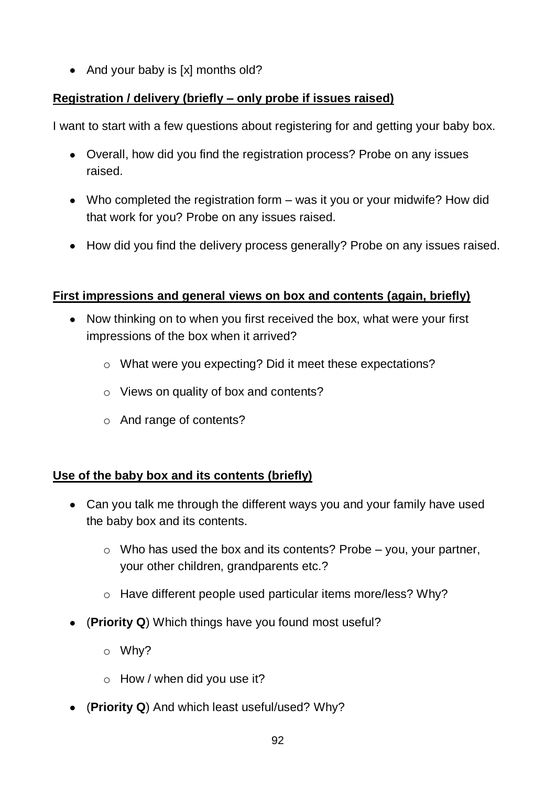• And your baby is [x] months old?

# **Registration / delivery (briefly – only probe if issues raised)**

I want to start with a few questions about registering for and getting your baby box.

- Overall, how did you find the registration process? Probe on any issues raised.
- Who completed the registration form was it you or your midwife? How did that work for you? Probe on any issues raised.
- How did you find the delivery process generally? Probe on any issues raised.

# **First impressions and general views on box and contents (again, briefly)**

- Now thinking on to when you first received the box, what were your first impressions of the box when it arrived?
	- o What were you expecting? Did it meet these expectations?
	- o Views on quality of box and contents?
	- o And range of contents?

# **Use of the baby box and its contents (briefly)**

- Can you talk me through the different ways you and your family have used the baby box and its contents.
	- $\circ$  Who has used the box and its contents? Probe you, your partner, your other children, grandparents etc.?
	- o Have different people used particular items more/less? Why?
- (**Priority Q**) Which things have you found most useful?
	- o Why?
	- $\circ$  How / when did you use it?
- (**Priority Q**) And which least useful/used? Why?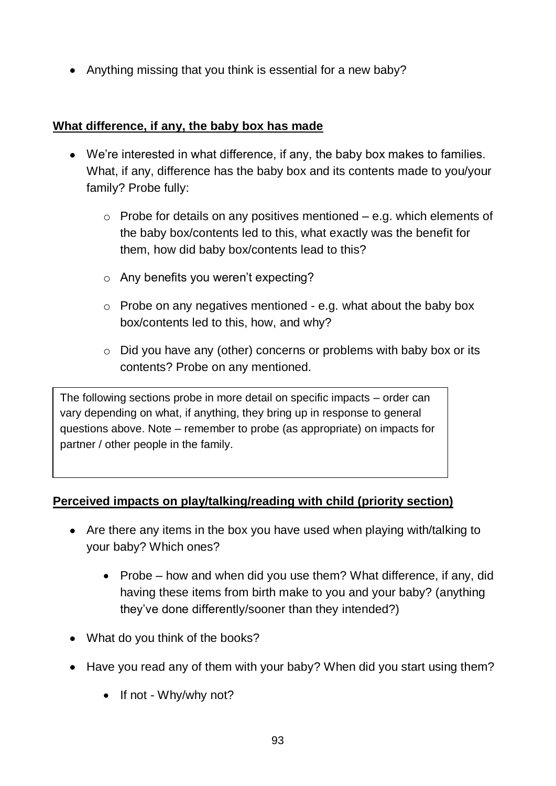• Anything missing that you think is essential for a new baby?

#### **What difference, if any, the baby box has made**

- We're interested in what difference, if any, the baby box makes to families. What, if any, difference has the baby box and its contents made to you/your family? Probe fully:
	- $\circ$  Probe for details on any positives mentioned e.g. which elements of the baby box/contents led to this, what exactly was the benefit for them, how did baby box/contents lead to this?
	- o Any benefits you weren't expecting?
	- $\circ$  Probe on any negatives mentioned e.g. what about the baby box box/contents led to this, how, and why?
	- o Did you have any (other) concerns or problems with baby box or its contents? Probe on any mentioned.

The following sections probe in more detail on specific impacts – order can vary depending on what, if anything, they bring up in response to general questions above. Note – remember to probe (as appropriate) on impacts for partner / other people in the family.

#### **Perceived impacts on play/talking/reading with child (priority section)**

- Are there any items in the box you have used when playing with/talking to your baby? Which ones?
	- Probe how and when did you use them? What difference, if any, did having these items from birth make to you and your baby? (anything they've done differently/sooner than they intended?)
- What do you think of the books?
- Have you read any of them with your baby? When did you start using them?
	- If not Why/why not?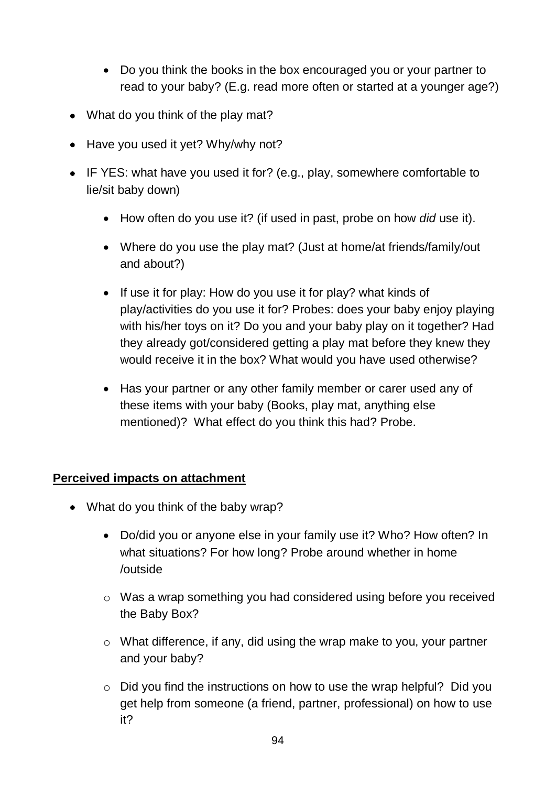- Do you think the books in the box encouraged you or your partner to read to your baby? (E.g. read more often or started at a younger age?)
- What do you think of the play mat?
- Have you used it yet? Why/why not?
- IF YES: what have you used it for? (e.g., play, somewhere comfortable to lie/sit baby down)
	- How often do you use it? (if used in past, probe on how *did* use it).
	- Where do you use the play mat? (Just at home/at friends/family/out and about?)
	- If use it for play: How do you use it for play? what kinds of play/activities do you use it for? Probes: does your baby enjoy playing with his/her toys on it? Do you and your baby play on it together? Had they already got/considered getting a play mat before they knew they would receive it in the box? What would you have used otherwise?
	- Has your partner or any other family member or carer used any of these items with your baby (Books, play mat, anything else mentioned)? What effect do you think this had? Probe.

#### **Perceived impacts on attachment**

- What do you think of the baby wrap?
	- Do/did you or anyone else in your family use it? Who? How often? In what situations? For how long? Probe around whether in home /outside
	- o Was a wrap something you had considered using before you received the Baby Box?
	- o What difference, if any, did using the wrap make to you, your partner and your baby?
	- o Did you find the instructions on how to use the wrap helpful? Did you get help from someone (a friend, partner, professional) on how to use it?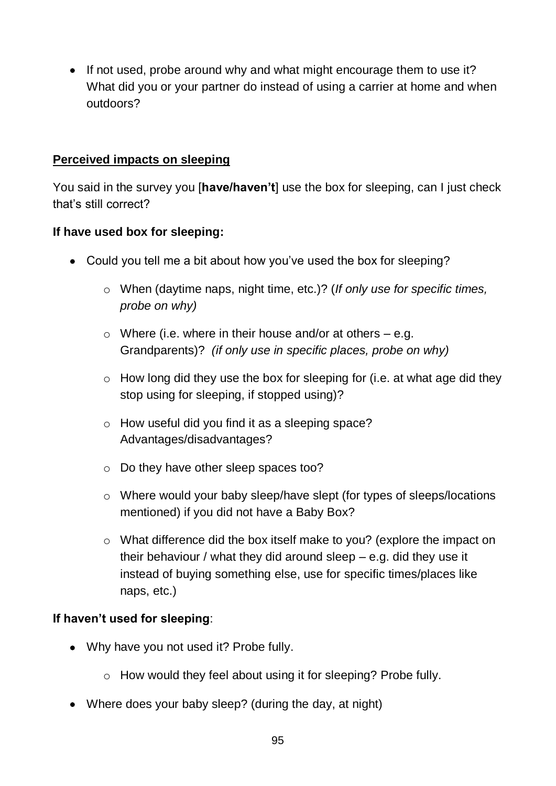• If not used, probe around why and what might encourage them to use it? What did you or your partner do instead of using a carrier at home and when outdoors?

#### **Perceived impacts on sleeping**

You said in the survey you [**have/haven't**] use the box for sleeping, can I just check that's still correct?

#### **If have used box for sleeping:**

- Could you tell me a bit about how you've used the box for sleeping?
	- o When (daytime naps, night time, etc.)? (*If only use for specific times, probe on why)*
	- $\circ$  Where (i.e. where in their house and/or at others e.g. Grandparents)? *(if only use in specific places, probe on why)*
	- $\circ$  How long did they use the box for sleeping for (i.e. at what age did they stop using for sleeping, if stopped using)?
	- o How useful did you find it as a sleeping space? Advantages/disadvantages?
	- o Do they have other sleep spaces too?
	- o Where would your baby sleep/have slept (for types of sleeps/locations mentioned) if you did not have a Baby Box?
	- o What difference did the box itself make to you? (explore the impact on their behaviour / what they did around sleep – e.g. did they use it instead of buying something else, use for specific times/places like naps, etc.)

#### **If haven't used for sleeping**:

- Why have you not used it? Probe fully.
	- o How would they feel about using it for sleeping? Probe fully.
- Where does your baby sleep? (during the day, at night)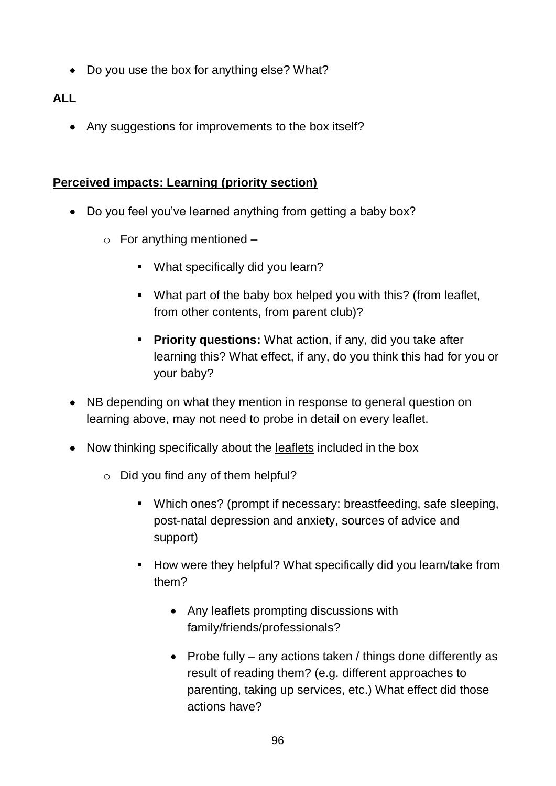• Do you use the box for anything else? What?

# **ALL**

• Any suggestions for improvements to the box itself?

# **Perceived impacts: Learning (priority section)**

- Do you feel you've learned anything from getting a baby box?
	- $\circ$  For anything mentioned
		- What specifically did you learn?
		- What part of the baby box helped you with this? (from leaflet, from other contents, from parent club)?
		- **Priority questions:** What action, if any, did you take after learning this? What effect, if any, do you think this had for you or your baby?
- NB depending on what they mention in response to general question on learning above, may not need to probe in detail on every leaflet.
- Now thinking specifically about the leaflets included in the box
	- $\circ$  Did you find any of them helpful?
		- Which ones? (prompt if necessary: breastfeeding, safe sleeping, post-natal depression and anxiety, sources of advice and support)
		- How were they helpful? What specifically did you learn/take from them?
			- Any leaflets prompting discussions with family/friends/professionals?
			- Probe fully any actions taken / things done differently as result of reading them? (e.g. different approaches to parenting, taking up services, etc.) What effect did those actions have?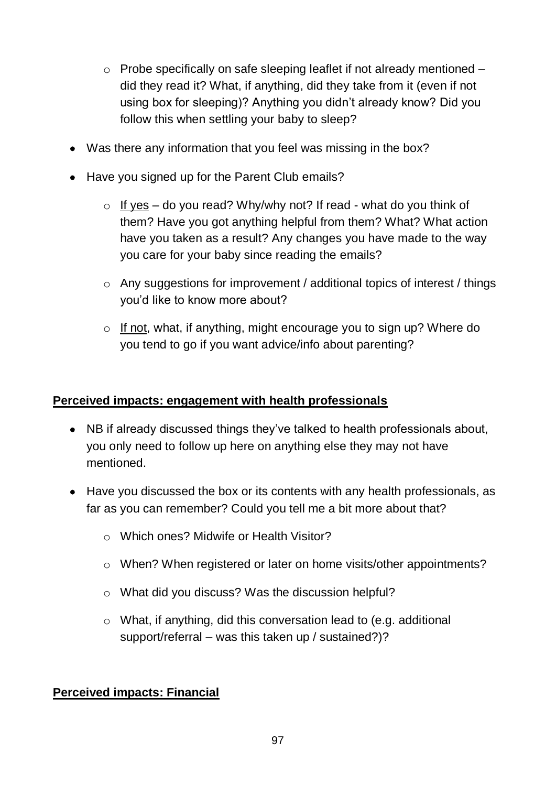- $\circ$  Probe specifically on safe sleeping leaflet if not already mentioned  $$ did they read it? What, if anything, did they take from it (even if not using box for sleeping)? Anything you didn't already know? Did you follow this when settling your baby to sleep?
- Was there any information that you feel was missing in the box?
- Have you signed up for the Parent Club emails?
	- $\circ$  If yes do you read? Why/why not? If read what do you think of them? Have you got anything helpful from them? What? What action have you taken as a result? Any changes you have made to the way you care for your baby since reading the emails?
	- o Any suggestions for improvement / additional topics of interest / things you'd like to know more about?
	- o If not, what, if anything, might encourage you to sign up? Where do you tend to go if you want advice/info about parenting?

#### **Perceived impacts: engagement with health professionals**

- NB if already discussed things they've talked to health professionals about, you only need to follow up here on anything else they may not have mentioned.
- Have you discussed the box or its contents with any health professionals, as far as you can remember? Could you tell me a bit more about that?
	- o Which ones? Midwife or Health Visitor?
	- o When? When registered or later on home visits/other appointments?
	- o What did you discuss? Was the discussion helpful?
	- o What, if anything, did this conversation lead to (e.g. additional support/referral – was this taken up / sustained?)?

#### **Perceived impacts: Financial**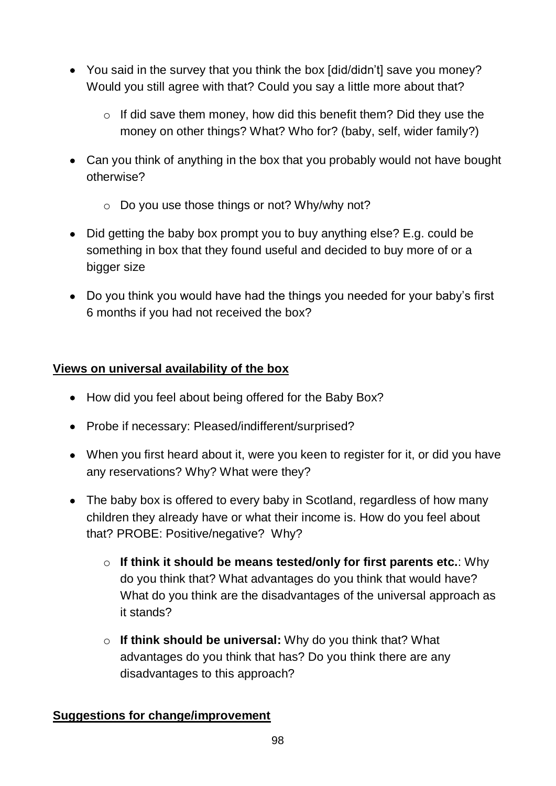- You said in the survey that you think the box [did/didn't] save you money? Would you still agree with that? Could you say a little more about that?
	- o If did save them money, how did this benefit them? Did they use the money on other things? What? Who for? (baby, self, wider family?)
- Can you think of anything in the box that you probably would not have bought otherwise?
	- o Do you use those things or not? Why/why not?
- Did getting the baby box prompt you to buy anything else? E.g. could be something in box that they found useful and decided to buy more of or a bigger size
- Do you think you would have had the things you needed for your baby's first 6 months if you had not received the box?

# **Views on universal availability of the box**

- How did you feel about being offered for the Baby Box?
- Probe if necessary: Pleased/indifferent/surprised?
- When you first heard about it, were you keen to register for it, or did you have any reservations? Why? What were they?
- The baby box is offered to every baby in Scotland, regardless of how many children they already have or what their income is. How do you feel about that? PROBE: Positive/negative? Why?
	- o **If think it should be means tested/only for first parents etc.**: Why do you think that? What advantages do you think that would have? What do you think are the disadvantages of the universal approach as it stands?
	- o **If think should be universal:** Why do you think that? What advantages do you think that has? Do you think there are any disadvantages to this approach?

# **Suggestions for change/improvement**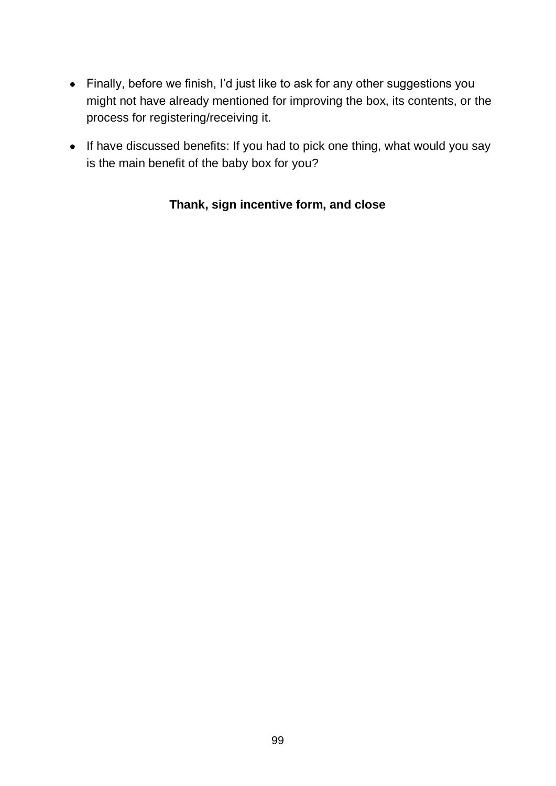- Finally, before we finish, I'd just like to ask for any other suggestions you might not have already mentioned for improving the box, its contents, or the process for registering/receiving it.
- If have discussed benefits: If you had to pick one thing, what would you say is the main benefit of the baby box for you?

## **Thank, sign incentive form, and close**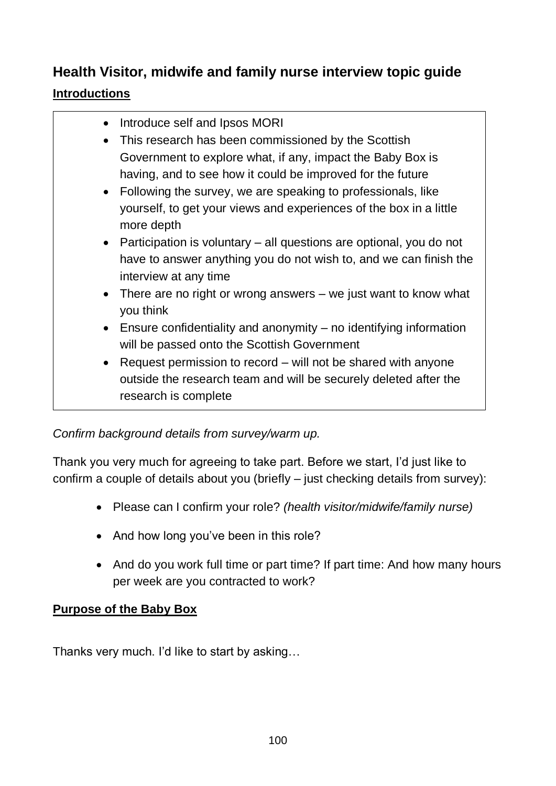# **Health Visitor, midwife and family nurse interview topic guide**

# **Introductions**

- Introduce self and Ipsos MORI
- This research has been commissioned by the Scottish Government to explore what, if any, impact the Baby Box is having, and to see how it could be improved for the future
- Following the survey, we are speaking to professionals, like yourself, to get your views and experiences of the box in a little more depth
- Participation is voluntary all questions are optional, you do not have to answer anything you do not wish to, and we can finish the interview at any time
- There are no right or wrong answers we just want to know what you think
- Ensure confidentiality and anonymity no identifying information will be passed onto the Scottish Government
- Request permission to record will not be shared with anyone outside the research team and will be securely deleted after the research is complete

# *Confirm background details from survey/warm up.*

Thank you very much for agreeing to take part. Before we start, I'd just like to confirm a couple of details about you (briefly – just checking details from survey):

- Please can I confirm your role? *(health visitor/midwife/family nurse)*
- And how long you've been in this role?
- And do you work full time or part time? If part time: And how many hours per week are you contracted to work?

# **Purpose of the Baby Box**

Thanks very much. I'd like to start by asking…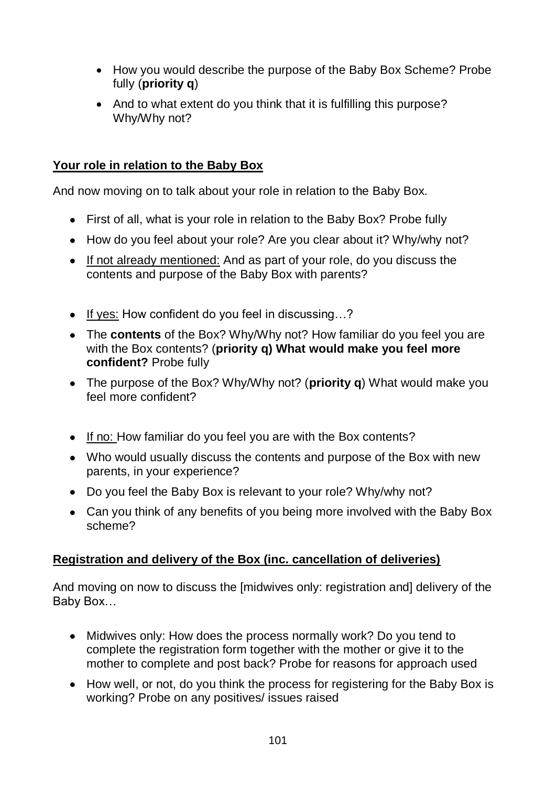- How you would describe the purpose of the Baby Box Scheme? Probe fully (**priority q**)
- And to what extent do you think that it is fulfilling this purpose? Why/Why not?

## **Your role in relation to the Baby Box**

And now moving on to talk about your role in relation to the Baby Box.

- First of all, what is your role in relation to the Baby Box? Probe fully
- How do you feel about your role? Are you clear about it? Why/why not?
- If not already mentioned: And as part of your role, do you discuss the contents and purpose of the Baby Box with parents?
- If yes: How confident do you feel in discussing...?
- The **contents** of the Box? Why/Why not? How familiar do you feel you are with the Box contents? (**priority q) What would make you feel more confident?** Probe fully
- The purpose of the Box? Why/Why not? (**priority q**) What would make you feel more confident?
- If no: How familiar do you feel you are with the Box contents?
- Who would usually discuss the contents and purpose of the Box with new parents, in your experience?
- Do you feel the Baby Box is relevant to your role? Why/why not?
- Can you think of any benefits of you being more involved with the Baby Box scheme?

## **Registration and delivery of the Box (inc. cancellation of deliveries)**

And moving on now to discuss the [midwives only: registration and] delivery of the Baby Box…

- Midwives only: How does the process normally work? Do you tend to complete the registration form together with the mother or give it to the mother to complete and post back? Probe for reasons for approach used
- How well, or not, do you think the process for registering for the Baby Box is working? Probe on any positives/ issues raised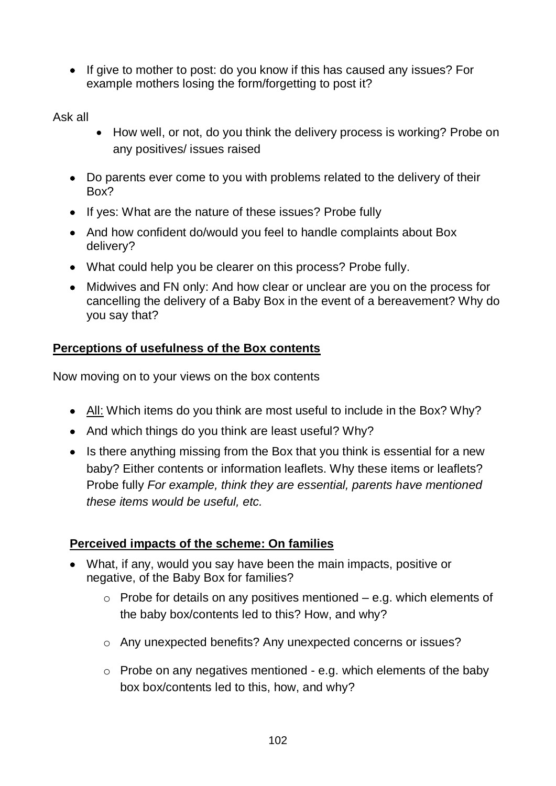• If give to mother to post: do you know if this has caused any issues? For example mothers losing the form/forgetting to post it?

Ask all

- How well, or not, do you think the delivery process is working? Probe on any positives/ issues raised
- Do parents ever come to you with problems related to the delivery of their Box?
- If yes: What are the nature of these issues? Probe fully
- And how confident do/would you feel to handle complaints about Box delivery?
- What could help you be clearer on this process? Probe fully.
- Midwives and FN only: And how clear or unclear are you on the process for cancelling the delivery of a Baby Box in the event of a bereavement? Why do you say that?

# **Perceptions of usefulness of the Box contents**

Now moving on to your views on the box contents

- All: Which items do you think are most useful to include in the Box? Why?
- And which things do you think are least useful? Why?
- Is there anything missing from the Box that you think is essential for a new baby? Either contents or information leaflets. Why these items or leaflets? Probe fully *For example, think they are essential, parents have mentioned these items would be useful, etc.*

## **Perceived impacts of the scheme: On families**

- What, if any, would you say have been the main impacts, positive or negative, of the Baby Box for families?
	- $\circ$  Probe for details on any positives mentioned e.g. which elements of the baby box/contents led to this? How, and why?
	- o Any unexpected benefits? Any unexpected concerns or issues?
	- $\circ$  Probe on any negatives mentioned e.g. which elements of the baby box box/contents led to this, how, and why?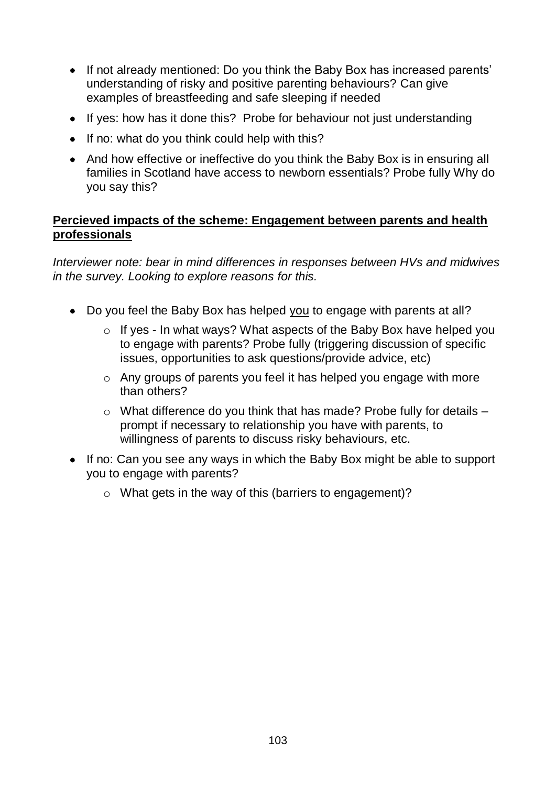- If not already mentioned: Do you think the Baby Box has increased parents' understanding of risky and positive parenting behaviours? Can give examples of breastfeeding and safe sleeping if needed
- If yes: how has it done this? Probe for behaviour not just understanding
- If no: what do you think could help with this?
- And how effective or ineffective do you think the Baby Box is in ensuring all families in Scotland have access to newborn essentials? Probe fully Why do you say this?

#### **Percieved impacts of the scheme: Engagement between parents and health professionals**

*Interviewer note: bear in mind differences in responses between HVs and midwives in the survey. Looking to explore reasons for this.* 

- Do you feel the Baby Box has helped you to engage with parents at all?
	- $\circ$  If yes In what ways? What aspects of the Baby Box have helped you to engage with parents? Probe fully (triggering discussion of specific issues, opportunities to ask questions/provide advice, etc)
	- o Any groups of parents you feel it has helped you engage with more than others?
	- $\circ$  What difference do you think that has made? Probe fully for details  $$ prompt if necessary to relationship you have with parents, to willingness of parents to discuss risky behaviours, etc.
- If no: Can you see any ways in which the Baby Box might be able to support you to engage with parents?
	- o What gets in the way of this (barriers to engagement)?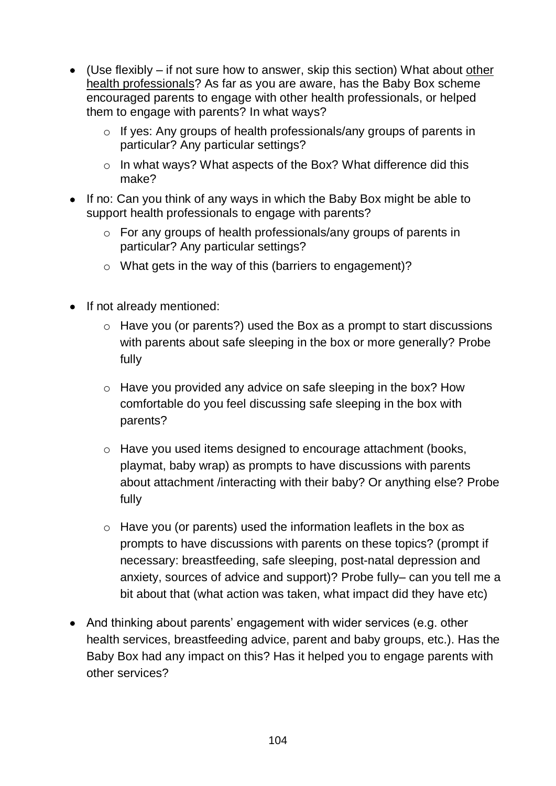- (Use flexibly if not sure how to answer, skip this section) What about other health professionals? As far as you are aware, has the Baby Box scheme encouraged parents to engage with other health professionals, or helped them to engage with parents? In what ways?
	- o If yes: Any groups of health professionals/any groups of parents in particular? Any particular settings?
	- o In what ways? What aspects of the Box? What difference did this make?
- If no: Can you think of any ways in which the Baby Box might be able to support health professionals to engage with parents?
	- o For any groups of health professionals/any groups of parents in particular? Any particular settings?
	- o What gets in the way of this (barriers to engagement)?
- If not already mentioned:
	- $\circ$  Have you (or parents?) used the Box as a prompt to start discussions with parents about safe sleeping in the box or more generally? Probe fully
	- o Have you provided any advice on safe sleeping in the box? How comfortable do you feel discussing safe sleeping in the box with parents?
	- o Have you used items designed to encourage attachment (books, playmat, baby wrap) as prompts to have discussions with parents about attachment /interacting with their baby? Or anything else? Probe fully
	- $\circ$  Have you (or parents) used the information leaflets in the box as prompts to have discussions with parents on these topics? (prompt if necessary: breastfeeding, safe sleeping, post-natal depression and anxiety, sources of advice and support)? Probe fully– can you tell me a bit about that (what action was taken, what impact did they have etc)
- And thinking about parents' engagement with wider services (e.g. other health services, breastfeeding advice, parent and baby groups, etc.). Has the Baby Box had any impact on this? Has it helped you to engage parents with other services?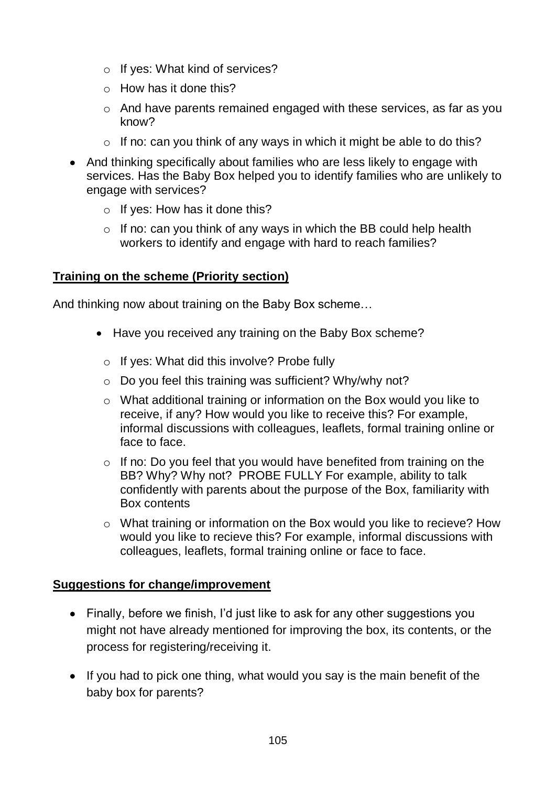- o If yes: What kind of services?
- $\circ$  How has it done this?
- o And have parents remained engaged with these services, as far as you know?
- $\circ$  If no: can you think of any ways in which it might be able to do this?
- And thinking specifically about families who are less likely to engage with services. Has the Baby Box helped you to identify families who are unlikely to engage with services?
	- $\circ$  If yes: How has it done this?
	- $\circ$  If no: can you think of any ways in which the BB could help health workers to identify and engage with hard to reach families?

#### **Training on the scheme (Priority section)**

And thinking now about training on the Baby Box scheme…

- Have you received any training on the Baby Box scheme?
	- o If yes: What did this involve? Probe fully
	- o Do you feel this training was sufficient? Why/why not?
	- o What additional training or information on the Box would you like to receive, if any? How would you like to receive this? For example, informal discussions with colleagues, leaflets, formal training online or face to face.
	- $\circ$  If no: Do you feel that you would have benefited from training on the BB? Why? Why not? PROBE FULLY For example, ability to talk confidently with parents about the purpose of the Box, familiarity with Box contents
	- o What training or information on the Box would you like to recieve? How would you like to recieve this? For example, informal discussions with colleagues, leaflets, formal training online or face to face.

#### **Suggestions for change/improvement**

- Finally, before we finish, I'd just like to ask for any other suggestions you might not have already mentioned for improving the box, its contents, or the process for registering/receiving it.
- If you had to pick one thing, what would you say is the main benefit of the baby box for parents?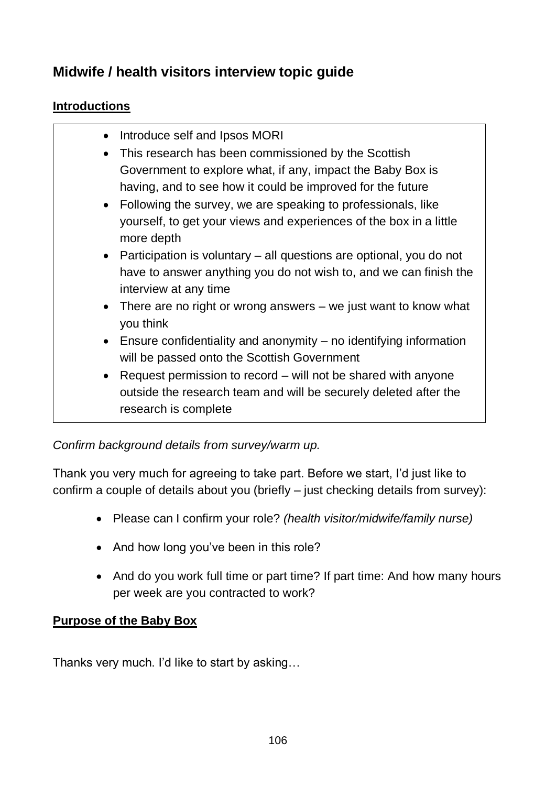# **Midwife / health visitors interview topic guide**

## **Introductions**

- Introduce self and Ipsos MORI
- This research has been commissioned by the Scottish Government to explore what, if any, impact the Baby Box is having, and to see how it could be improved for the future
- Following the survey, we are speaking to professionals, like yourself, to get your views and experiences of the box in a little more depth
- Participation is voluntary all questions are optional, you do not have to answer anything you do not wish to, and we can finish the interview at any time
- There are no right or wrong answers we just want to know what you think
- Ensure confidentiality and anonymity no identifying information will be passed onto the Scottish Government
- Request permission to record will not be shared with anyone outside the research team and will be securely deleted after the research is complete

## *Confirm background details from survey/warm up.*

Thank you very much for agreeing to take part. Before we start, I'd just like to confirm a couple of details about you (briefly – just checking details from survey):

- Please can I confirm your role? *(health visitor/midwife/family nurse)*
- And how long you've been in this role?
- And do you work full time or part time? If part time: And how many hours per week are you contracted to work?

## **Purpose of the Baby Box**

Thanks very much. I'd like to start by asking…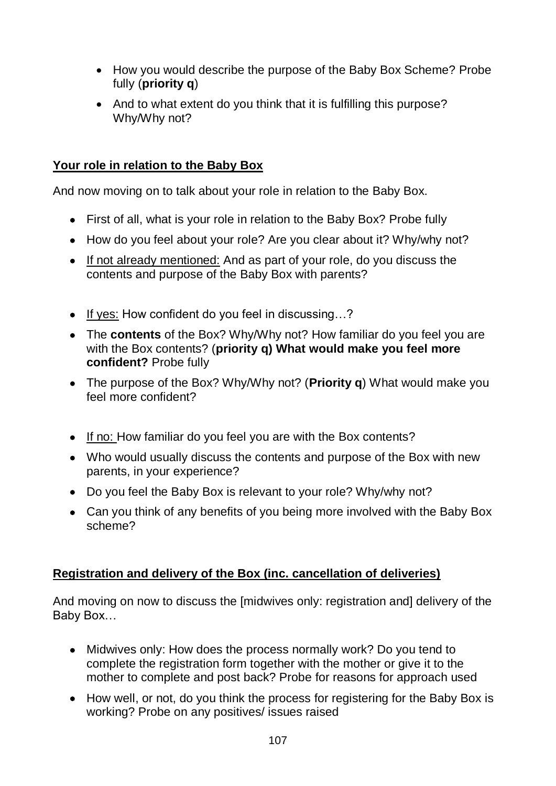- How you would describe the purpose of the Baby Box Scheme? Probe fully (**priority q**)
- And to what extent do you think that it is fulfilling this purpose? Why/Why not?

## **Your role in relation to the Baby Box**

And now moving on to talk about your role in relation to the Baby Box.

- First of all, what is your role in relation to the Baby Box? Probe fully
- How do you feel about your role? Are you clear about it? Why/why not?
- If not already mentioned: And as part of your role, do you discuss the contents and purpose of the Baby Box with parents?
- If yes: How confident do you feel in discussing...?
- The **contents** of the Box? Why/Why not? How familiar do you feel you are with the Box contents? (**priority q) What would make you feel more confident?** Probe fully
- The purpose of the Box? Why/Why not? (**Priority q**) What would make you feel more confident?
- If no: How familiar do you feel you are with the Box contents?
- Who would usually discuss the contents and purpose of the Box with new parents, in your experience?
- Do you feel the Baby Box is relevant to your role? Why/why not?
- Can you think of any benefits of you being more involved with the Baby Box scheme?

#### **Registration and delivery of the Box (inc. cancellation of deliveries)**

And moving on now to discuss the [midwives only: registration and] delivery of the Baby Box…

- Midwives only: How does the process normally work? Do you tend to complete the registration form together with the mother or give it to the mother to complete and post back? Probe for reasons for approach used
- How well, or not, do you think the process for registering for the Baby Box is working? Probe on any positives/ issues raised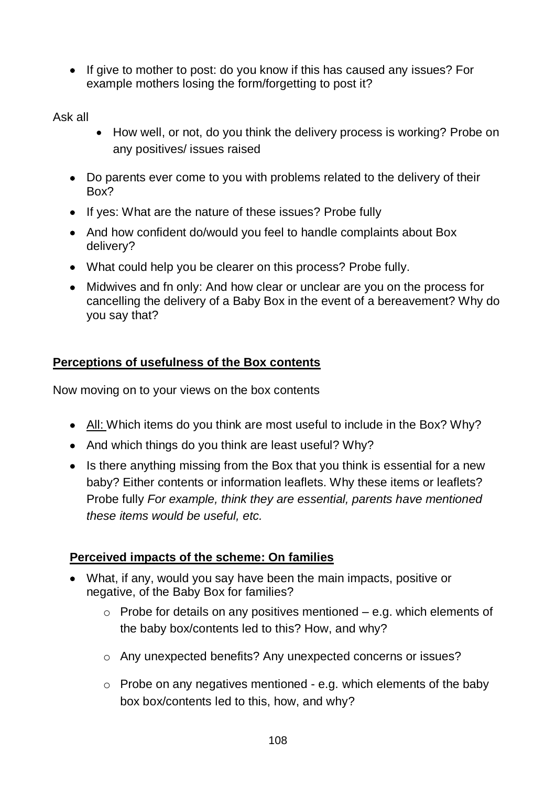• If give to mother to post: do you know if this has caused any issues? For example mothers losing the form/forgetting to post it?

Ask all

- How well, or not, do you think the delivery process is working? Probe on any positives/ issues raised
- Do parents ever come to you with problems related to the delivery of their Box?
- If yes: What are the nature of these issues? Probe fully
- And how confident do/would you feel to handle complaints about Box delivery?
- What could help you be clearer on this process? Probe fully.
- Midwives and fn only: And how clear or unclear are you on the process for cancelling the delivery of a Baby Box in the event of a bereavement? Why do you say that?

# **Perceptions of usefulness of the Box contents**

Now moving on to your views on the box contents

- All: Which items do you think are most useful to include in the Box? Why?
- And which things do you think are least useful? Why?
- Is there anything missing from the Box that you think is essential for a new baby? Either contents or information leaflets. Why these items or leaflets? Probe fully *For example, think they are essential, parents have mentioned these items would be useful, etc.*

## **Perceived impacts of the scheme: On families**

- What, if any, would you say have been the main impacts, positive or negative, of the Baby Box for families?
	- $\circ$  Probe for details on any positives mentioned e.g. which elements of the baby box/contents led to this? How, and why?
	- o Any unexpected benefits? Any unexpected concerns or issues?
	- $\circ$  Probe on any negatives mentioned e.g. which elements of the baby box box/contents led to this, how, and why?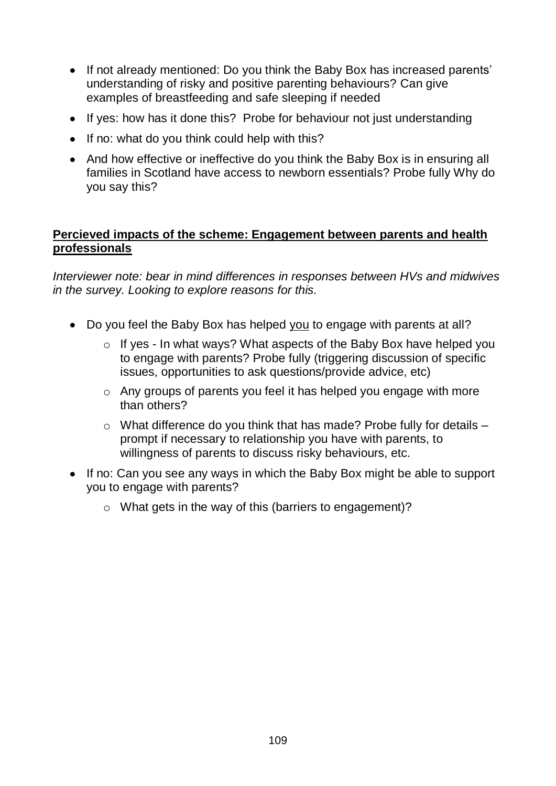- If not already mentioned: Do you think the Baby Box has increased parents' understanding of risky and positive parenting behaviours? Can give examples of breastfeeding and safe sleeping if needed
- If yes: how has it done this? Probe for behaviour not just understanding
- If no: what do you think could help with this?
- And how effective or ineffective do you think the Baby Box is in ensuring all families in Scotland have access to newborn essentials? Probe fully Why do you say this?

#### **Percieved impacts of the scheme: Engagement between parents and health professionals**

*Interviewer note: bear in mind differences in responses between HVs and midwives in the survey. Looking to explore reasons for this.* 

- Do you feel the Baby Box has helped you to engage with parents at all?
	- o If yes In what ways? What aspects of the Baby Box have helped you to engage with parents? Probe fully (triggering discussion of specific issues, opportunities to ask questions/provide advice, etc)
	- o Any groups of parents you feel it has helped you engage with more than others?
	- $\circ$  What difference do you think that has made? Probe fully for details  $$ prompt if necessary to relationship you have with parents, to willingness of parents to discuss risky behaviours, etc.
- If no: Can you see any ways in which the Baby Box might be able to support you to engage with parents?
	- o What gets in the way of this (barriers to engagement)?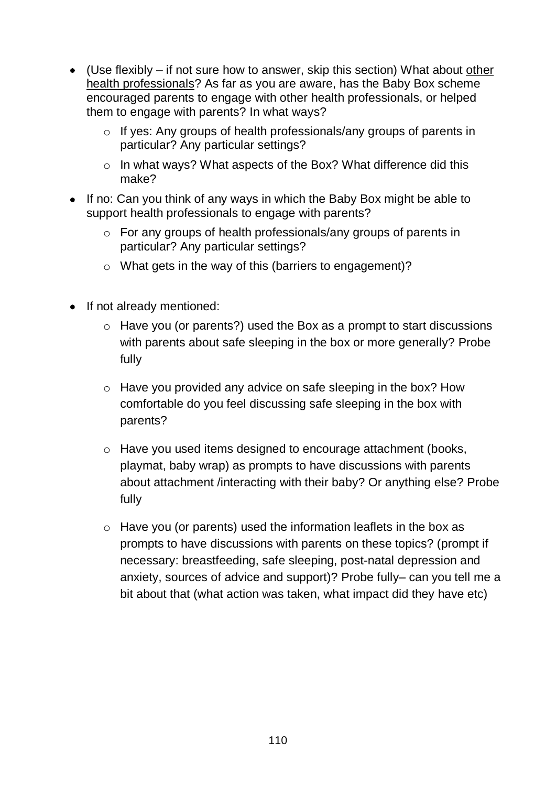- (Use flexibly if not sure how to answer, skip this section) What about other health professionals? As far as you are aware, has the Baby Box scheme encouraged parents to engage with other health professionals, or helped them to engage with parents? In what ways?
	- o If yes: Any groups of health professionals/any groups of parents in particular? Any particular settings?
	- o In what ways? What aspects of the Box? What difference did this make?
- If no: Can you think of any ways in which the Baby Box might be able to support health professionals to engage with parents?
	- o For any groups of health professionals/any groups of parents in particular? Any particular settings?
	- o What gets in the way of this (barriers to engagement)?
- If not already mentioned:
	- $\circ$  Have you (or parents?) used the Box as a prompt to start discussions with parents about safe sleeping in the box or more generally? Probe fully
	- o Have you provided any advice on safe sleeping in the box? How comfortable do you feel discussing safe sleeping in the box with parents?
	- o Have you used items designed to encourage attachment (books, playmat, baby wrap) as prompts to have discussions with parents about attachment /interacting with their baby? Or anything else? Probe fully
	- $\circ$  Have you (or parents) used the information leaflets in the box as prompts to have discussions with parents on these topics? (prompt if necessary: breastfeeding, safe sleeping, post-natal depression and anxiety, sources of advice and support)? Probe fully– can you tell me a bit about that (what action was taken, what impact did they have etc)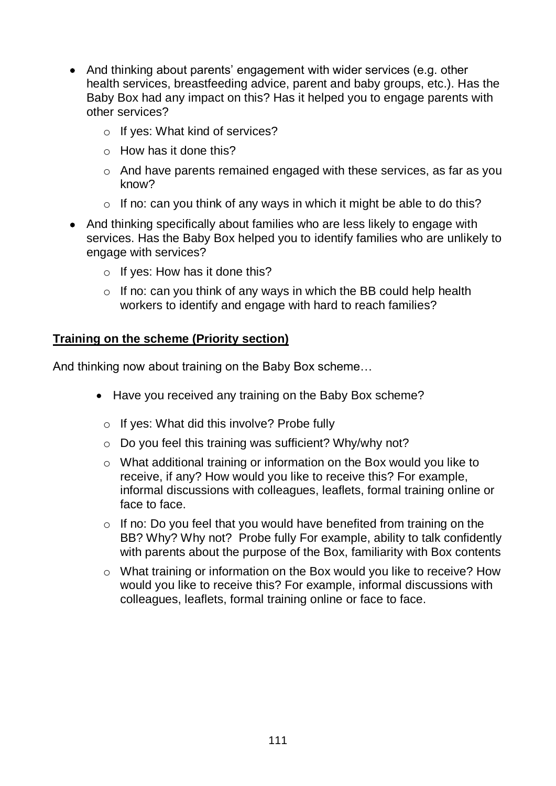- And thinking about parents' engagement with wider services (e.g. other health services, breastfeeding advice, parent and baby groups, etc.). Has the Baby Box had any impact on this? Has it helped you to engage parents with other services?
	- o If yes: What kind of services?
	- $\circ$  How has it done this?
	- o And have parents remained engaged with these services, as far as you know?
	- $\circ$  If no: can you think of any ways in which it might be able to do this?
- And thinking specifically about families who are less likely to engage with services. Has the Baby Box helped you to identify families who are unlikely to engage with services?
	- $\circ$  If yes: How has it done this?
	- $\circ$  If no: can you think of any ways in which the BB could help health workers to identify and engage with hard to reach families?

#### **Training on the scheme (Priority section)**

And thinking now about training on the Baby Box scheme…

- Have you received any training on the Baby Box scheme?
	- o If yes: What did this involve? Probe fully
	- o Do you feel this training was sufficient? Why/why not?
	- o What additional training or information on the Box would you like to receive, if any? How would you like to receive this? For example, informal discussions with colleagues, leaflets, formal training online or face to face.
	- $\circ$  If no: Do you feel that you would have benefited from training on the BB? Why? Why not? Probe fully For example, ability to talk confidently with parents about the purpose of the Box, familiarity with Box contents
	- o What training or information on the Box would you like to receive? How would you like to receive this? For example, informal discussions with colleagues, leaflets, formal training online or face to face.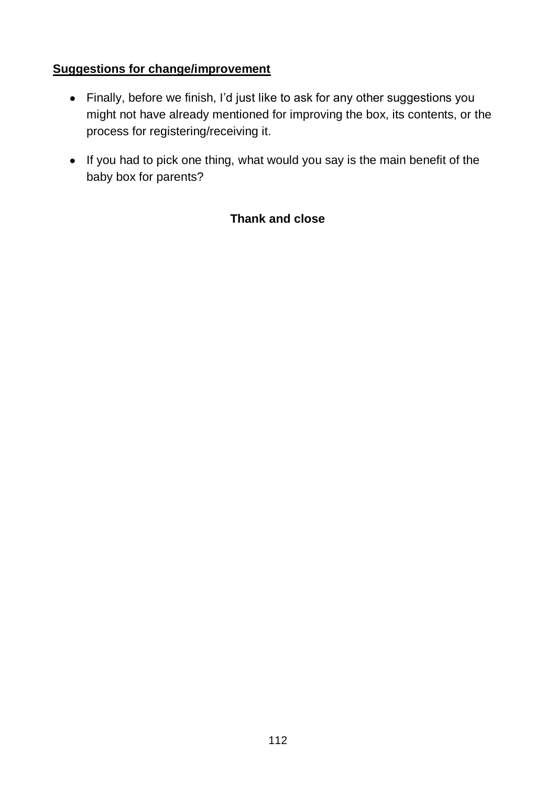## **Suggestions for change/improvement**

- Finally, before we finish, I'd just like to ask for any other suggestions you might not have already mentioned for improving the box, its contents, or the process for registering/receiving it.
- If you had to pick one thing, what would you say is the main benefit of the baby box for parents?

## **Thank and close**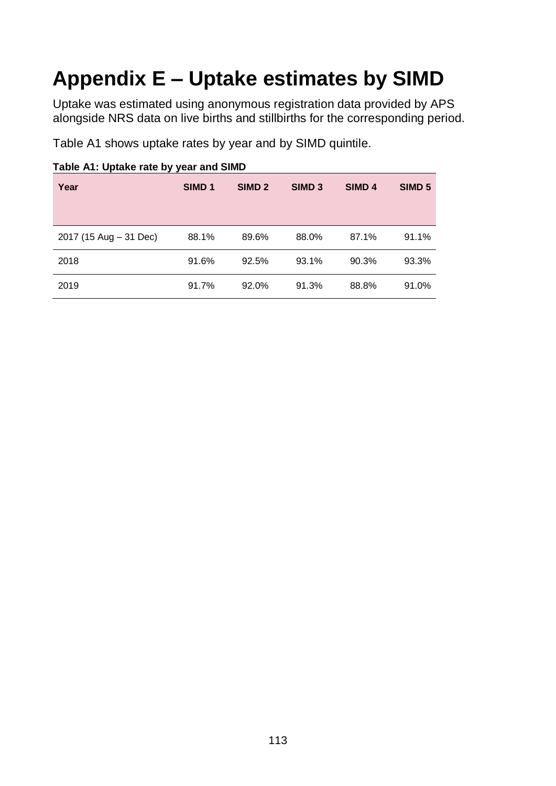# **Appendix E – Uptake estimates by SIMD**

Uptake was estimated using anonymous registration data provided by APS alongside NRS data on live births and stillbirths for the corresponding period.

Table A1 shows uptake rates by year and by SIMD quintile.

| Year                   | SIMD <sub>1</sub> | SIMD <sub>2</sub> | SIMD <sub>3</sub> | SIMD <sub>4</sub> | SIMD <sub>5</sub> |
|------------------------|-------------------|-------------------|-------------------|-------------------|-------------------|
| 2017 (15 Aug - 31 Dec) | 88.1%             | 89.6%             | 88.0%             | 87.1%             | 91.1%             |
| 2018                   | 91.6%             | 92.5%             | 93.1%             | 90.3%             | 93.3%             |
| 2019                   | 91.7%             | 92.0%             | 91.3%             | 88.8%             | 91.0%             |

**Table A1: Uptake rate by year and SIMD**